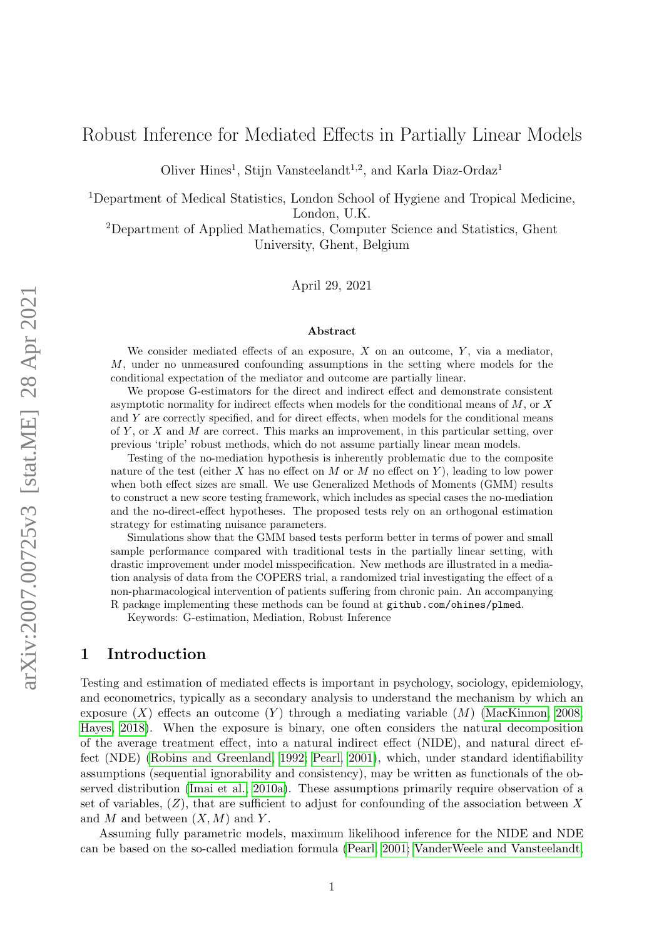# Robust Inference for Mediated Effects in Partially Linear Models

Oliver Hines<sup>1</sup>, Stijn Vansteelandt<sup>1,2</sup>, and Karla Diaz-Ordaz<sup>1</sup>

<sup>1</sup>Department of Medical Statistics, London School of Hygiene and Tropical Medicine, London, U.K.

<sup>2</sup>Department of Applied Mathematics, Computer Science and Statistics, Ghent University, Ghent, Belgium

April 29, 2021

#### Abstract

We consider mediated effects of an exposure,  $X$  on an outcome,  $Y$ , via a mediator, M, under no unmeasured confounding assumptions in the setting where models for the conditional expectation of the mediator and outcome are partially linear.

We propose G-estimators for the direct and indirect effect and demonstrate consistent asymptotic normality for indirect effects when models for the conditional means of M, or X and Y are correctly specified, and for direct effects, when models for the conditional means of Y, or X and M are correct. This marks an improvement, in this particular setting, over previous 'triple' robust methods, which do not assume partially linear mean models.

Testing of the no-mediation hypothesis is inherently problematic due to the composite nature of the test (either X has no effect on M or M no effect on Y), leading to low power when both effect sizes are small. We use Generalized Methods of Moments (GMM) results to construct a new score testing framework, which includes as special cases the no-mediation and the no-direct-effect hypotheses. The proposed tests rely on an orthogonal estimation strategy for estimating nuisance parameters.

Simulations show that the GMM based tests perform better in terms of power and small sample performance compared with traditional tests in the partially linear setting, with drastic improvement under model misspecification. New methods are illustrated in a mediation analysis of data from the COPERS trial, a randomized trial investigating the effect of a non-pharmacological intervention of patients suffering from chronic pain. An accompanying R package implementing these methods can be found at github.com/ohines/plmed.

Keywords: G-estimation, Mediation, Robust Inference

## 1 Introduction

Testing and estimation of mediated effects is important in psychology, sociology, epidemiology, and econometrics, typically as a secondary analysis to understand the mechanism by which an exposure  $(X)$  effects an outcome  $(Y)$  through a mediating variable  $(M)$  [\(MacKinnon, 2008;](#page-23-0) [Hayes, 2018\)](#page-23-1). When the exposure is binary, one often considers the natural decomposition of the average treatment effect, into a natural indirect effect (NIDE), and natural direct effect (NDE) [\(Robins and Greenland, 1992;](#page-23-2) [Pearl, 2001\)](#page-23-3), which, under standard identifiability assumptions (sequential ignorability and consistency), may be written as functionals of the observed distribution [\(Imai et al., 2010a\)](#page-23-4). These assumptions primarily require observation of a set of variables,  $(Z)$ , that are sufficient to adjust for confounding of the association between X and M and between  $(X, M)$  and Y.

Assuming fully parametric models, maximum likelihood inference for the NIDE and NDE can be based on the so-called mediation formula [\(Pearl, 2001;](#page-23-3) [VanderWeele and Vansteelandt,](#page-24-0)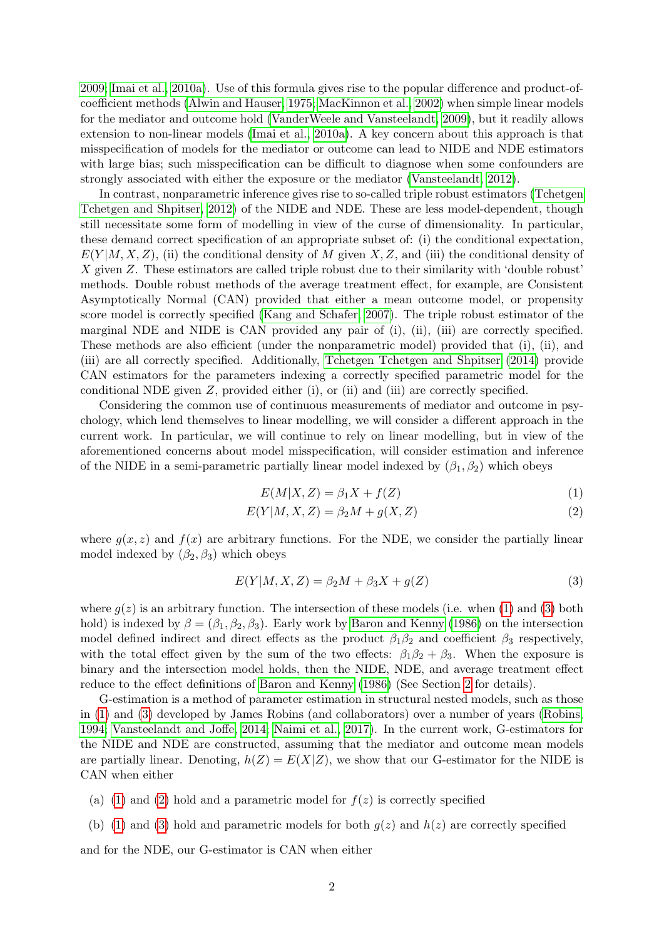[2009;](#page-24-0) [Imai et al., 2010a\)](#page-23-4). Use of this formula gives rise to the popular difference and product-ofcoefficient methods [\(Alwin and Hauser, 1975;](#page-22-0) [MacKinnon et al., 2002\)](#page-23-5) when simple linear models for the mediator and outcome hold [\(VanderWeele and Vansteelandt, 2009\)](#page-24-0), but it readily allows extension to non-linear models [\(Imai et al., 2010a\)](#page-23-4). A key concern about this approach is that misspecification of models for the mediator or outcome can lead to NIDE and NDE estimators with large bias; such misspecification can be difficult to diagnose when some confounders are strongly associated with either the exposure or the mediator [\(Vansteelandt, 2012\)](#page-24-1).

In contrast, nonparametric inference gives rise to so-called triple robust estimators [\(Tchetgen](#page-24-2) [Tchetgen and Shpitser, 2012\)](#page-24-2) of the NIDE and NDE. These are less model-dependent, though still necessitate some form of modelling in view of the curse of dimensionality. In particular, these demand correct specification of an appropriate subset of: (i) the conditional expectation,  $E(Y|M, X, Z)$ , (ii) the conditional density of M given X, Z, and (iii) the conditional density of X given Z. These estimators are called triple robust due to their similarity with 'double robust' methods. Double robust methods of the average treatment effect, for example, are Consistent Asymptotically Normal (CAN) provided that either a mean outcome model, or propensity score model is correctly specified [\(Kang and Schafer, 2007\)](#page-23-6). The triple robust estimator of the marginal NDE and NIDE is CAN provided any pair of (i), (ii), (iii) are correctly specified. These methods are also efficient (under the nonparametric model) provided that (i), (ii), and (iii) are all correctly specified. Additionally, [Tchetgen Tchetgen and Shpitser](#page-24-3) [\(2014\)](#page-24-3) provide CAN estimators for the parameters indexing a correctly specified parametric model for the conditional NDE given  $Z$ , provided either (i), or (ii) and (iii) are correctly specified.

Considering the common use of continuous measurements of mediator and outcome in psychology, which lend themselves to linear modelling, we will consider a different approach in the current work. In particular, we will continue to rely on linear modelling, but in view of the aforementioned concerns about model misspecification, will consider estimation and inference of the NIDE in a semi-parametric partially linear model indexed by  $(\beta_1, \beta_2)$  which obeys

<span id="page-1-2"></span><span id="page-1-1"></span><span id="page-1-0"></span>
$$
E(M|X,Z) = \beta_1 X + f(Z)
$$
\n<sup>(1)</sup>

$$
E(Y|M, X, Z) = \beta_2 M + g(X, Z)
$$
\n<sup>(2)</sup>

where  $g(x, z)$  and  $f(x)$  are arbitrary functions. For the NDE, we consider the partially linear model indexed by  $(\beta_2, \beta_3)$  which obeys

$$
E(Y|M, X, Z) = \beta_2 M + \beta_3 X + g(Z)
$$
\n
$$
(3)
$$

where  $q(z)$  is an arbitrary function. The intersection of these models (i.e. when [\(1\)](#page-1-0) and [\(3\)](#page-1-1) both hold) is indexed by  $\beta = (\beta_1, \beta_2, \beta_3)$ . Early work by [Baron and Kenny](#page-22-1) [\(1986\)](#page-22-1) on the intersection model defined indirect and direct effects as the product  $\beta_1\beta_2$  and coefficient  $\beta_3$  respectively, with the total effect given by the sum of the two effects:  $\beta_1\beta_2 + \beta_3$ . When the exposure is binary and the intersection model holds, then the NIDE, NDE, and average treatment effect reduce to the effect definitions of [Baron and Kenny](#page-22-1) [\(1986\)](#page-22-1) (See Section [2](#page-3-0) for details).

G-estimation is a method of parameter estimation in structural nested models, such as those in [\(1\)](#page-1-0) and [\(3\)](#page-1-1) developed by James Robins (and collaborators) over a number of years [\(Robins,](#page-23-7) [1994;](#page-23-7) [Vansteelandt and Joffe, 2014;](#page-24-4) [Naimi et al., 2017\)](#page-23-8). In the current work, G-estimators for the NIDE and NDE are constructed, assuming that the mediator and outcome mean models are partially linear. Denoting,  $h(Z) = E(X|Z)$ , we show that our G-estimator for the NIDE is CAN when either

- (a) [\(1\)](#page-1-0) and [\(2\)](#page-1-2) hold and a parametric model for  $f(z)$  is correctly specified
- (b) [\(1\)](#page-1-0) and [\(3\)](#page-1-1) hold and parametric models for both  $q(z)$  and  $h(z)$  are correctly specified

and for the NDE, our G-estimator is CAN when either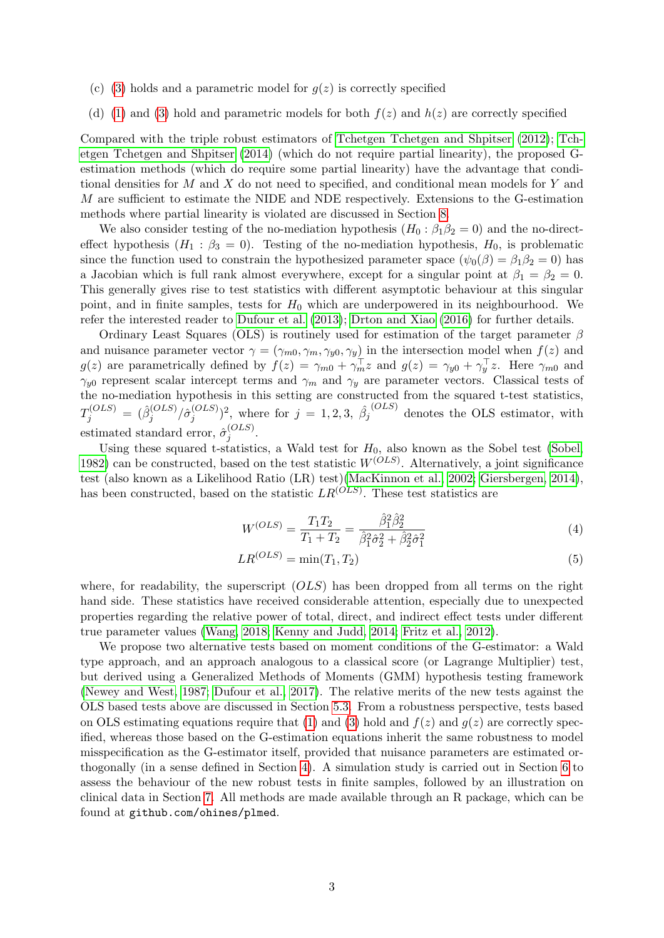- (c) [\(3\)](#page-1-1) holds and a parametric model for  $g(z)$  is correctly specified
- (d) [\(1\)](#page-1-0) and [\(3\)](#page-1-1) hold and parametric models for both  $f(z)$  and  $h(z)$  are correctly specified

Compared with the triple robust estimators of [Tchetgen Tchetgen and Shpitser](#page-24-2) [\(2012\)](#page-24-2); [Tch](#page-24-3)[etgen Tchetgen and Shpitser](#page-24-3) [\(2014\)](#page-24-3) (which do not require partial linearity), the proposed Gestimation methods (which do require some partial linearity) have the advantage that conditional densities for M and X do not need to specified, and conditional mean models for Y and M are sufficient to estimate the NIDE and NDE respectively. Extensions to the G-estimation methods where partial linearity is violated are discussed in Section [8.](#page-19-0)

We also consider testing of the no-mediation hypothesis  $(H_0 : \beta_1 \beta_2 = 0)$  and the no-directeffect hypothesis  $(H_1 : \beta_3 = 0)$ . Testing of the no-mediation hypothesis,  $H_0$ , is problematic since the function used to constrain the hypothesized parameter space  $(\psi_0(\beta) = \beta_1 \beta_2 = 0)$  has a Jacobian which is full rank almost everywhere, except for a singular point at  $\beta_1 = \beta_2 = 0$ . This generally gives rise to test statistics with different asymptotic behaviour at this singular point, and in finite samples, tests for  $H_0$  which are underpowered in its neighbourhood. We refer the interested reader to [Dufour et al.](#page-22-2) [\(2013\)](#page-22-2); [Drton and Xiao](#page-22-3) [\(2016\)](#page-22-3) for further details.

Ordinary Least Squares (OLS) is routinely used for estimation of the target parameter  $\beta$ and nuisance parameter vector  $\gamma = (\gamma_{m0}, \gamma_m, \gamma_{y0}, \gamma_y)$  in the intersection model when  $f(z)$  and  $g(z)$  are parametrically defined by  $f(z) = \gamma_{m0} + \gamma_m^{\top} z$  and  $g(z) = \gamma_{y0} + \gamma_y^{\top} z$ . Here  $\gamma_{m0}$  and  $\gamma_{y0}$  represent scalar intercept terms and  $\gamma_m$  and  $\gamma_y$  are parameter vectors. Classical tests of the no-mediation hypothesis in this setting are constructed from the squared t-test statistics,  $T_j^{(OLS)} \,=\, (\hat\beta_j^{(OLS)}$  $j^{(OLS)} / \hat{\sigma}^{(OLS)}_j$  $(j^{(OLS)})^2$ , where for  $j = 1, 2, 3, \hat{\beta}_j$ (OLS) denotes the OLS estimator, with estimated standard error,  $\hat{\sigma}_i^{(OLS)}$  $j^{(OLS)}$  .

Using these squared t-statistics, a Wald test for  $H_0$ , also known as the Sobel test [\(Sobel,](#page-24-5) [1982\)](#page-24-5) can be constructed, based on the test statistic  $W^{(OLS)}$ . Alternatively, a joint significance test (also known as a Likelihood Ratio (LR) test)[\(MacKinnon et al., 2002;](#page-23-5) [Giersbergen, 2014\)](#page-23-9), has been constructed, based on the statistic  $LR^{(OLS)}$ . These test statistics are

<span id="page-2-1"></span><span id="page-2-0"></span>
$$
W^{(OLS)} = \frac{T_1 T_2}{T_1 + T_2} = \frac{\hat{\beta}_1^2 \hat{\beta}_2^2}{\hat{\beta}_1^2 \hat{\sigma}_2^2 + \hat{\beta}_2^2 \hat{\sigma}_1^2}
$$
(4)

$$
LR^{(OLS)} = \min(T_1, T_2) \tag{5}
$$

where, for readability, the superscript  $(OLS)$  has been dropped from all terms on the right hand side. These statistics have received considerable attention, especially due to unexpected properties regarding the relative power of total, direct, and indirect effect tests under different true parameter values [\(Wang, 2018;](#page-24-6) [Kenny and Judd, 2014;](#page-23-10) [Fritz et al., 2012\)](#page-22-4).

We propose two alternative tests based on moment conditions of the G-estimator: a Wald type approach, and an approach analogous to a classical score (or Lagrange Multiplier) test, but derived using a Generalized Methods of Moments (GMM) hypothesis testing framework [\(Newey and West, 1987;](#page-23-11) [Dufour et al., 2017\)](#page-22-5). The relative merits of the new tests against the OLS based tests above are discussed in Section [5.3.](#page-10-0) From a robustness perspective, tests based on OLS estimating equations require that [\(1\)](#page-1-0) and [\(3\)](#page-1-1) hold and  $f(z)$  and  $g(z)$  are correctly specified, whereas those based on the G-estimation equations inherit the same robustness to model misspecification as the G-estimator itself, provided that nuisance parameters are estimated orthogonally (in a sense defined in Section [4\)](#page-6-0). A simulation study is carried out in Section [6](#page-11-0) to assess the behaviour of the new robust tests in finite samples, followed by an illustration on clinical data in Section [7.](#page-16-0) All methods are made available through an R package, which can be found at github.com/ohines/plmed.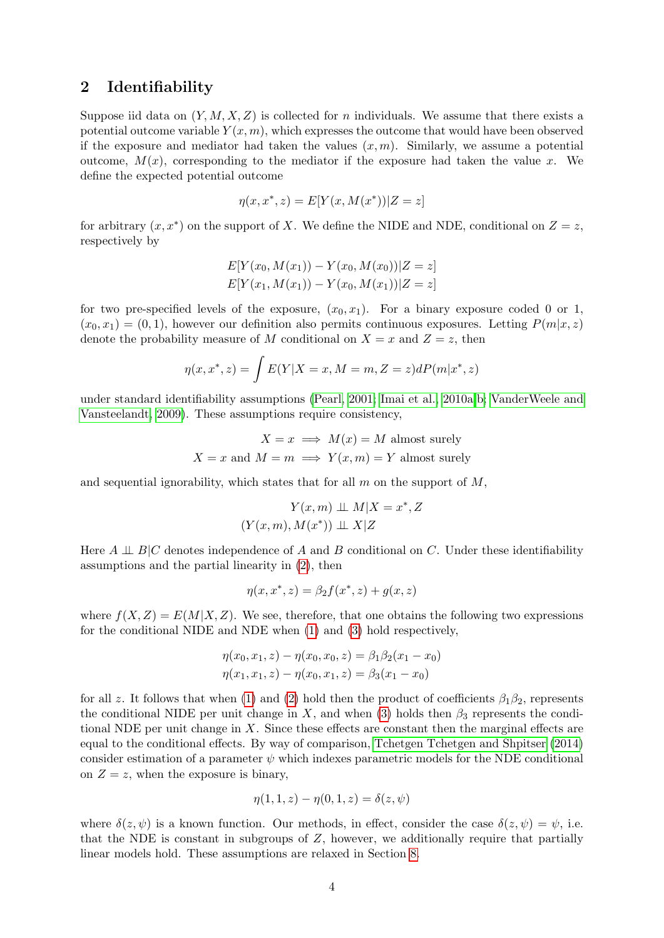## <span id="page-3-0"></span>2 Identifiability

Suppose iid data on  $(Y, M, X, Z)$  is collected for n individuals. We assume that there exists a potential outcome variable  $Y(x, m)$ , which expresses the outcome that would have been observed if the exposure and mediator had taken the values  $(x, m)$ . Similarly, we assume a potential outcome,  $M(x)$ , corresponding to the mediator if the exposure had taken the value x. We define the expected potential outcome

$$
\eta(x, x^*, z) = E[Y(x, M(x^*))|Z = z]
$$

for arbitrary  $(x, x^*)$  on the support of X. We define the NIDE and NDE, conditional on  $Z = z$ , respectively by

$$
E[Y(x_0, M(x_1)) - Y(x_0, M(x_0))|Z = z]
$$
  

$$
E[Y(x_1, M(x_1)) - Y(x_0, M(x_1))|Z = z]
$$

for two pre-specified levels of the exposure,  $(x_0, x_1)$ . For a binary exposure coded 0 or 1,  $(x_0, x_1) = (0, 1)$ , however our definition also permits continuous exposures. Letting  $P(m|x, z)$ denote the probability measure of M conditional on  $X = x$  and  $Z = z$ , then

$$
\eta(x, x^*, z) = \int E(Y|X = x, M = m, Z = z) dP(m|x^*, z)
$$

under standard identifiability assumptions [\(Pearl, 2001;](#page-23-3) [Imai et al., 2010a,](#page-23-4)[b;](#page-23-12) [VanderWeele and](#page-24-0) [Vansteelandt, 2009\)](#page-24-0). These assumptions require consistency,

$$
X = x \implies M(x) = M
$$
 almost surely  

$$
X = x
$$
 and 
$$
M = m \implies Y(x, m) = Y
$$
 almost surely

and sequential ignorability, which states that for all  $m$  on the support of  $M$ ,

$$
Y(x, m) \perp M | X = x^*, Z
$$

$$
(Y(x, m), M(x^*)) \perp X | Z
$$

Here  $A \perp\!\!\!\perp B/C$  denotes independence of A and B conditional on C. Under these identifiability assumptions and the partial linearity in [\(2\)](#page-1-2), then

$$
\eta(x, x^*, z) = \beta_2 f(x^*, z) + g(x, z)
$$

where  $f(X, Z) = E(M|X, Z)$ . We see, therefore, that one obtains the following two expressions for the conditional NIDE and NDE when [\(1\)](#page-1-0) and [\(3\)](#page-1-1) hold respectively,

$$
\eta(x_0, x_1, z) - \eta(x_0, x_0, z) = \beta_1 \beta_2 (x_1 - x_0)
$$
  

$$
\eta(x_1, x_1, z) - \eta(x_0, x_1, z) = \beta_3 (x_1 - x_0)
$$

for all z. It follows that when [\(1\)](#page-1-0) and [\(2\)](#page-1-2) hold then the product of coefficients  $\beta_1\beta_2$ , represents the conditional NIDE per unit change in X, and when [\(3\)](#page-1-1) holds then  $\beta_3$  represents the conditional NDE per unit change in X. Since these effects are constant then the marginal effects are equal to the conditional effects. By way of comparison, [Tchetgen Tchetgen and Shpitser](#page-24-3) [\(2014\)](#page-24-3) consider estimation of a parameter  $\psi$  which indexes parametric models for the NDE conditional on  $Z = z$ , when the exposure is binary,

$$
\eta(1, 1, z) - \eta(0, 1, z) = \delta(z, \psi)
$$

where  $\delta(z, \psi)$  is a known function. Our methods, in effect, consider the case  $\delta(z, \psi) = \psi$ , i.e. that the NDE is constant in subgroups of Z, however, we additionally require that partially linear models hold. These assumptions are relaxed in Section [8.](#page-19-0)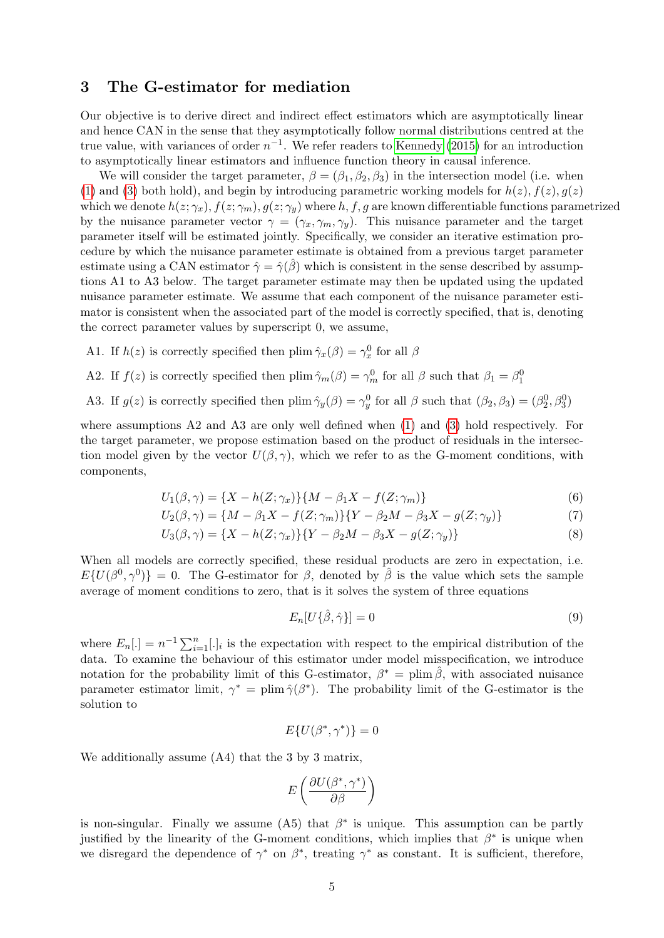## 3 The G-estimator for mediation

Our objective is to derive direct and indirect effect estimators which are asymptotically linear and hence CAN in the sense that they asymptotically follow normal distributions centred at the true value, with variances of order  $n^{-1}$ . We refer readers to [Kennedy](#page-23-13) [\(2015\)](#page-23-13) for an introduction to asymptotically linear estimators and influence function theory in causal inference.

We will consider the target parameter,  $\beta = (\beta_1, \beta_2, \beta_3)$  in the intersection model (i.e. when [\(1\)](#page-1-0) and [\(3\)](#page-1-1) both hold), and begin by introducing parametric working models for  $h(z)$ ,  $f(z)$ ,  $g(z)$ which we denote  $h(z; \gamma_x)$ ,  $f(z; \gamma_m)$ ,  $g(z; \gamma_y)$  where h, f, g are known differentiable functions parametrized by the nuisance parameter vector  $\gamma = (\gamma_x, \gamma_m, \gamma_y)$ . This nuisance parameter and the target parameter itself will be estimated jointly. Specifically, we consider an iterative estimation procedure by which the nuisance parameter estimate is obtained from a previous target parameter estimate using a CAN estimator  $\hat{\gamma} = \hat{\gamma}(\beta)$  which is consistent in the sense described by assumptions A1 to A3 below. The target parameter estimate may then be updated using the updated nuisance parameter estimate. We assume that each component of the nuisance parameter estimator is consistent when the associated part of the model is correctly specified, that is, denoting the correct parameter values by superscript 0, we assume,

A1. If  $h(z)$  is correctly specified then plim  $\hat{\gamma}_x(\beta) = \gamma_x^0$  for all  $\beta$ 

A2. If  $f(z)$  is correctly specified then plim  $\hat{\gamma}_m(\beta) = \gamma_m^0$  for all  $\beta$  such that  $\beta_1 = \beta_1^0$ 

A3. If  $g(z)$  is correctly specified then plim  $\hat{\gamma}_y(\beta) = \gamma_y^0$  for all  $\beta$  such that  $(\beta_2, \beta_3) = (\beta_2^0, \beta_3^0)$ 

where assumptions A2 and A3 are only well defined when [\(1\)](#page-1-0) and [\(3\)](#page-1-1) hold respectively. For the target parameter, we propose estimation based on the product of residuals in the intersection model given by the vector  $U(\beta, \gamma)$ , which we refer to as the G-moment conditions, with components,

$$
U_1(\beta, \gamma) = \{X - h(Z; \gamma_x)\}\{M - \beta_1 X - f(Z; \gamma_m)\}\
$$
\n(6)

$$
U_2(\beta, \gamma) = \{ M - \beta_1 X - f(Z; \gamma_m) \} \{ Y - \beta_2 M - \beta_3 X - g(Z; \gamma_y) \}
$$
(7)

$$
U_3(\beta, \gamma) = \{X - h(Z; \gamma_x)\}\{Y - \beta_2 M - \beta_3 X - g(Z; \gamma_y)\}\
$$
\n(8)

When all models are correctly specified, these residual products are zero in expectation, i.e.  $E\{U(\beta^0, \gamma^0)\}=0.$  The G-estimator for  $\beta$ , denoted by  $\hat{\beta}$  is the value which sets the sample average of moment conditions to zero, that is it solves the system of three equations

<span id="page-4-3"></span><span id="page-4-2"></span><span id="page-4-1"></span><span id="page-4-0"></span>
$$
E_n[U\{\hat{\beta}, \hat{\gamma}\}] = 0\tag{9}
$$

where  $E_n[.]=n^{-1}\sum_{i=1}^n[.]_i$  is the expectation with respect to the empirical distribution of the data. To examine the behaviour of this estimator under model misspecification, we introduce notation for the probability limit of this G-estimator,  $\beta^* = \text{plim}\,\hat{\beta}$ , with associated nuisance parameter estimator limit,  $\gamma^* = \text{plim } \hat{\gamma}(\beta^*)$ . The probability limit of the G-estimator is the solution to

$$
E\{U(\beta^*, \gamma^*)\} = 0
$$

We additionally assume (A4) that the 3 by 3 matrix,

$$
E\left(\frac{\partial U(\beta^*,\gamma^*)}{\partial\beta}\right)
$$

is non-singular. Finally we assume (A5) that  $\beta^*$  is unique. This assumption can be partly justified by the linearity of the G-moment conditions, which implies that  $\beta^*$  is unique when we disregard the dependence of  $\gamma^*$  on  $\beta^*$ , treating  $\gamma^*$  as constant. It is sufficient, therefore,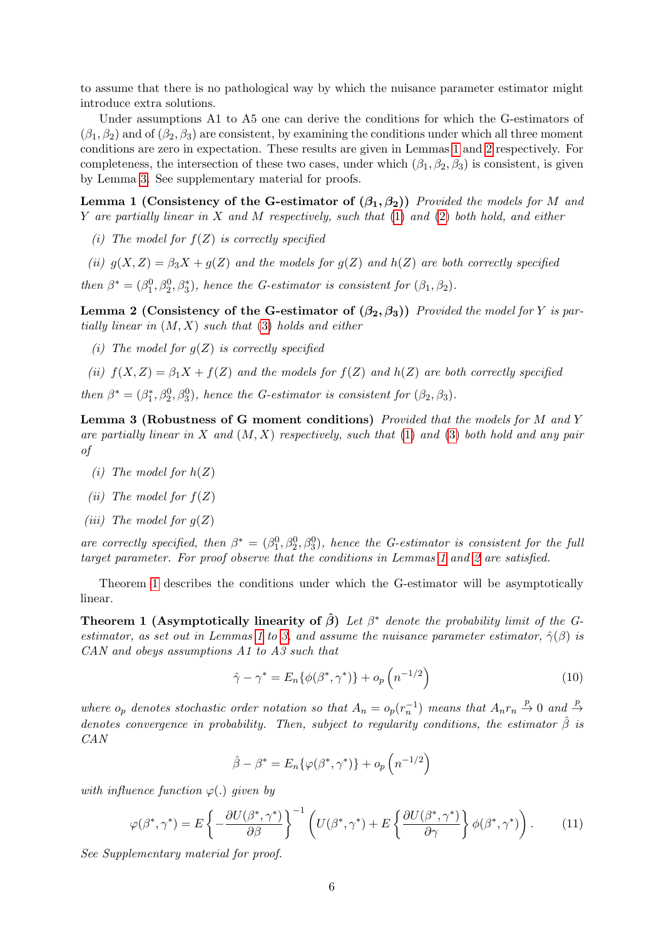to assume that there is no pathological way by which the nuisance parameter estimator might introduce extra solutions.

Under assumptions A1 to A5 one can derive the conditions for which the G-estimators of  $(\beta_1, \beta_2)$  and of  $(\beta_2, \beta_3)$  are consistent, by examining the conditions under which all three moment conditions are zero in expectation. These results are given in Lemmas [1](#page-5-0) and [2](#page-5-1) respectively. For completeness, the intersection of these two cases, under which  $(\beta_1, \beta_2, \beta_3)$  is consistent, is given by Lemma [3.](#page-5-2) See supplementary material for proofs.

<span id="page-5-0"></span>Lemma 1 (Consistency of the G-estimator of  $(\beta_1, \beta_2)$ ) Provided the models for M and Y are partially linear in X and M respectively, such that  $(1)$  and  $(2)$  both hold, and either

- (i) The model for  $f(Z)$  is correctly specified
- (ii)  $g(X, Z) = \beta_3 X + g(Z)$  and the models for  $g(Z)$  and  $h(Z)$  are both correctly specified then  $\beta^* = (\beta_1^0, \beta_2^0, \beta_3^*)$ , hence the G-estimator is consistent for  $(\beta_1, \beta_2)$ .

<span id="page-5-1"></span>Lemma 2 (Consistency of the G-estimator of  $(\beta_2, \beta_3)$ ) Provided the model for Y is partially linear in  $(M, X)$  such that [\(3\)](#page-1-1) holds and either

- (i) The model for  $q(Z)$  is correctly specified
- (ii)  $f(X, Z) = \beta_1 X + f(Z)$  and the models for  $f(Z)$  and  $h(Z)$  are both correctly specified

then  $\beta^* = (\beta_1^*, \beta_2^0, \beta_3^0)$ , hence the G-estimator is consistent for  $(\beta_2, \beta_3)$ .

<span id="page-5-2"></span>Lemma 3 (Robustness of G moment conditions) Provided that the models for M and Y are partially linear in X and  $(M, X)$  respectively, such that [\(1\)](#page-1-0) and [\(3\)](#page-1-1) both hold and any pair of

- (*i*) The model for  $h(Z)$
- (*ii*) The model for  $f(Z)$
- (*iii*) The model for  $q(Z)$

are correctly specified, then  $\beta^* = (\beta_1^0, \beta_2^0, \beta_3^0)$ , hence the G-estimator is consistent for the full target parameter. For proof observe that the conditions in Lemmas [1](#page-5-0) and [2](#page-5-1) are satisfied.

Theorem [1](#page-5-3) describes the conditions under which the G-estimator will be asymptotically linear.

<span id="page-5-3"></span>**Theorem 1 (Asymptotically linearity of**  $\hat{\beta}$ **)** Let  $\beta^*$  denote the probability limit of the G-estimator, as set out in Lemmas [1](#page-5-0) to [3,](#page-5-2) and assume the nuisance parameter estimator,  $\hat{\gamma}(\beta)$  is CAN and obeys assumptions A1 to A3 such that

<span id="page-5-5"></span>
$$
\hat{\gamma} - \gamma^* = E_n \{ \phi(\beta^*, \gamma^*) \} + o_p \left( n^{-1/2} \right)
$$
\n(10)

where  $o_p$  denotes stochastic order notation so that  $A_n = o_p(r_n^{-1})$  means that  $A_n r_n \stackrel{p}{\to} 0$  and  $\stackrel{p}{\to}$ denotes convergence in probability. Then, subject to regularity conditions, the estimator  $\hat{\beta}$  is CAN

<span id="page-5-4"></span>
$$
\hat{\beta} - \beta^* = E_n \{ \varphi(\beta^*, \gamma^*) \} + o_p \left( n^{-1/2} \right)
$$

with influence function  $\varphi(.)$  given by

$$
\varphi(\beta^*, \gamma^*) = E\left\{-\frac{\partial U(\beta^*, \gamma^*)}{\partial \beta}\right\}^{-1} \left(U(\beta^*, \gamma^*) + E\left\{\frac{\partial U(\beta^*, \gamma^*)}{\partial \gamma}\right\} \phi(\beta^*, \gamma^*)\right). \tag{11}
$$

See Supplementary material for proof.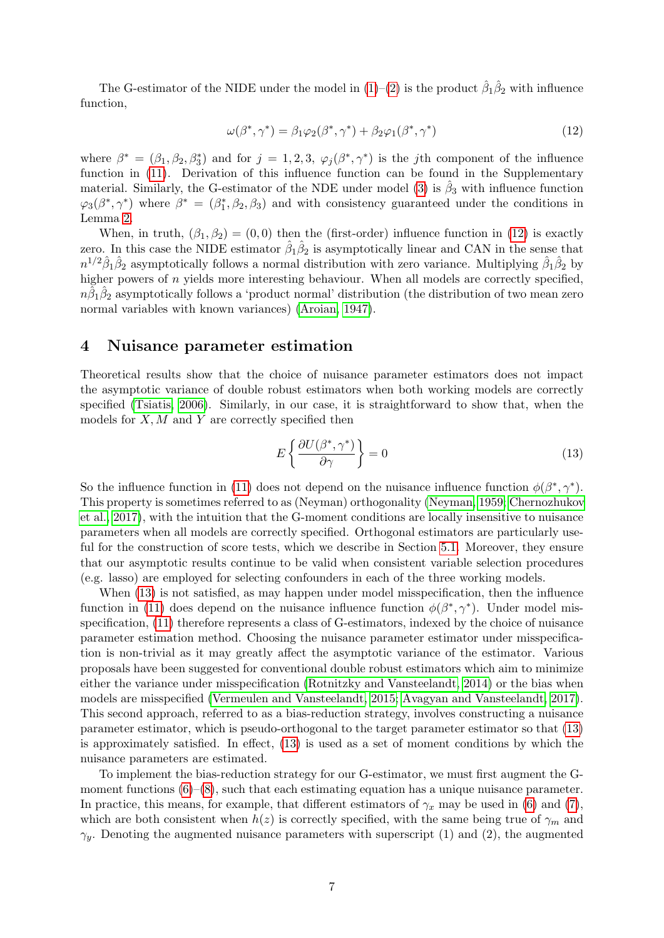The G-estimator of the NIDE under the model in  $(1)-(2)$  $(1)-(2)$  $(1)-(2)$  is the product  $\hat{\beta}_1 \hat{\beta}_2$  with influence function,

<span id="page-6-1"></span>
$$
\omega(\beta^*, \gamma^*) = \beta_1 \varphi_2(\beta^*, \gamma^*) + \beta_2 \varphi_1(\beta^*, \gamma^*)
$$
\n(12)

where  $\beta^* = (\beta_1, \beta_2, \beta_3^*)$  and for  $j = 1, 2, 3, \varphi_j(\beta^*, \gamma^*)$  is the *j*th component of the influence function in  $(11)$ . Derivation of this influence function can be found in the Supplementary material. Similarly, the G-estimator of the NDE under model [\(3\)](#page-1-1) is  $\hat{\beta}_3$  with influence function  $\varphi_3(\beta^*, \gamma^*)$  where  $\beta^* = (\beta_1^*, \beta_2, \beta_3)$  and with consistency guaranteed under the conditions in Lemma [2.](#page-5-1)

When, in truth,  $(\beta_1, \beta_2) = (0, 0)$  then the (first-order) influence function in [\(12\)](#page-6-1) is exactly zero. In this case the NIDE estimator  $\hat{\beta}_1 \hat{\beta}_2$  is asymptotically linear and CAN in the sense that  $n^{1/2}\hat{\beta}_1\hat{\beta}_2$  asymptotically follows a normal distribution with zero variance. Multiplying  $\hat{\beta}_1\hat{\beta}_2$  by higher powers of n yields more interesting behaviour. When all models are correctly specified,  $n\hat{\beta}_1\hat{\beta}_2$  asymptotically follows a 'product normal' distribution (the distribution of two mean zero normal variables with known variances) [\(Aroian, 1947\)](#page-22-6).

## <span id="page-6-0"></span>4 Nuisance parameter estimation

Theoretical results show that the choice of nuisance parameter estimators does not impact the asymptotic variance of double robust estimators when both working models are correctly specified [\(Tsiatis, 2006\)](#page-24-7). Similarly, in our case, it is straightforward to show that, when the models for  $X, M$  and  $Y$  are correctly specified then

<span id="page-6-2"></span>
$$
E\left\{\frac{\partial U(\beta^*,\gamma^*)}{\partial \gamma}\right\} = 0\tag{13}
$$

So the influence function in [\(11\)](#page-5-4) does not depend on the nuisance influence function  $\phi(\beta^*, \gamma^*)$ . This property is sometimes referred to as (Neyman) orthogonality [\(Neyman, 1959;](#page-23-14) [Chernozhukov](#page-22-7) [et al., 2017\)](#page-22-7), with the intuition that the G-moment conditions are locally insensitive to nuisance parameters when all models are correctly specified. Orthogonal estimators are particularly useful for the construction of score tests, which we describe in Section [5.1.](#page-7-0) Moreover, they ensure that our asymptotic results continue to be valid when consistent variable selection procedures (e.g. lasso) are employed for selecting confounders in each of the three working models.

When [\(13\)](#page-6-2) is not satisfied, as may happen under model misspecification, then the influence function in [\(11\)](#page-5-4) does depend on the nuisance influence function  $\phi(\beta^*, \gamma^*)$ . Under model misspecification, [\(11\)](#page-5-4) therefore represents a class of G-estimators, indexed by the choice of nuisance parameter estimation method. Choosing the nuisance parameter estimator under misspecification is non-trivial as it may greatly affect the asymptotic variance of the estimator. Various proposals have been suggested for conventional double robust estimators which aim to minimize either the variance under misspecification [\(Rotnitzky and Vansteelandt, 2014\)](#page-24-8) or the bias when models are misspecified [\(Vermeulen and Vansteelandt, 2015;](#page-24-9) [Avagyan and Vansteelandt, 2017\)](#page-22-8). This second approach, referred to as a bias-reduction strategy, involves constructing a nuisance parameter estimator, which is pseudo-orthogonal to the target parameter estimator so that [\(13\)](#page-6-2) is approximately satisfied. In effect, [\(13\)](#page-6-2) is used as a set of moment conditions by which the nuisance parameters are estimated.

To implement the bias-reduction strategy for our G-estimator, we must first augment the Gmoment functions  $(6)-(8)$  $(6)-(8)$  $(6)-(8)$ , such that each estimating equation has a unique nuisance parameter. In practice, this means, for example, that different estimators of  $\gamma_x$  may be used in [\(6\)](#page-4-0) and [\(7\)](#page-4-2), which are both consistent when  $h(z)$  is correctly specified, with the same being true of  $\gamma_m$  and  $\gamma_y$ . Denoting the augmented nuisance parameters with superscript (1) and (2), the augmented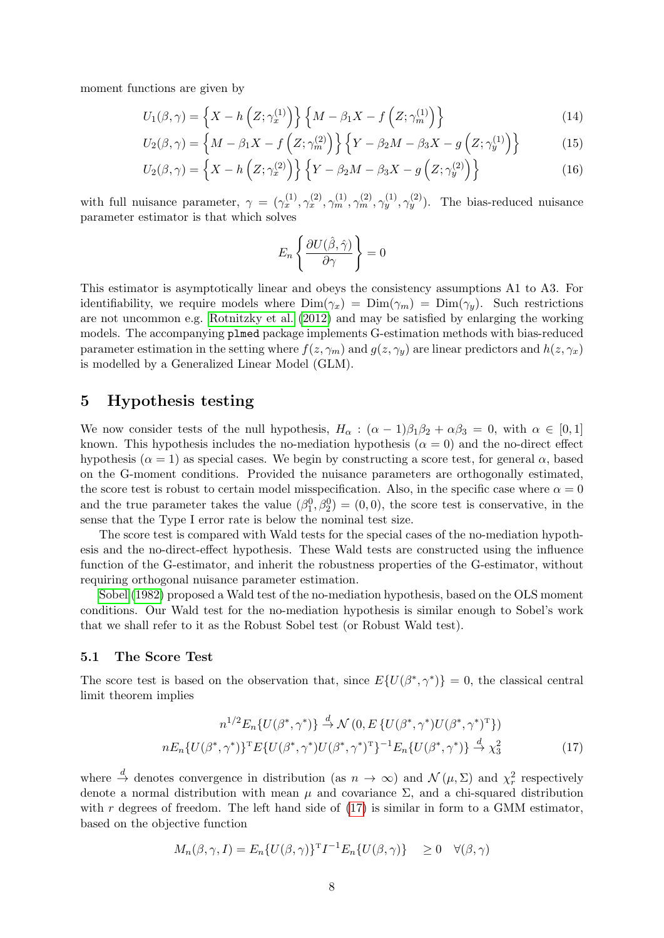moment functions are given by

$$
U_1(\beta, \gamma) = \left\{ X - h\left(Z; \gamma_x^{(1)}\right) \right\} \left\{ M - \beta_1 X - f\left(Z; \gamma_m^{(1)}\right) \right\} \tag{14}
$$

$$
U_2(\beta, \gamma) = \left\{ M - \beta_1 X - f\left(Z; \gamma_m^{(2)}\right) \right\} \left\{ Y - \beta_2 M - \beta_3 X - g\left(Z; \gamma_y^{(1)}\right) \right\} \tag{15}
$$

$$
U_2(\beta, \gamma) = \left\{ X - h\left(Z; \gamma_x^{(2)}\right) \right\} \left\{ Y - \beta_2 M - \beta_3 X - g\left(Z; \gamma_y^{(2)}\right) \right\} \tag{16}
$$

with full nuisance parameter,  $\gamma = (\gamma_x^{(1)}, \gamma_x^{(2)}, \gamma_m^{(1)}, \gamma_m^{(2)}, \gamma_y^{(1)}, \gamma_y^{(2)})$ . The bias-reduced nuisance parameter estimator is that which solves

$$
E_n\left\{\frac{\partial U(\hat{\beta},\hat{\gamma})}{\partial \gamma}\right\}=0
$$

This estimator is asymptotically linear and obeys the consistency assumptions A1 to A3. For identifiability, we require models where  $\text{Dim}(\gamma_x) = \text{Dim}(\gamma_m) = \text{Dim}(\gamma_y)$ . Such restrictions are not uncommon e.g. [Rotnitzky et al.](#page-23-15) [\(2012\)](#page-23-15) and may be satisfied by enlarging the working models. The accompanying plmed package implements G-estimation methods with bias-reduced parameter estimation in the setting where  $f(z, \gamma_m)$  and  $g(z, \gamma_v)$  are linear predictors and  $h(z, \gamma_x)$ is modelled by a Generalized Linear Model (GLM).

## 5 Hypothesis testing

We now consider tests of the null hypothesis,  $H_{\alpha} : (\alpha - 1)\beta_1\beta_2 + \alpha\beta_3 = 0$ , with  $\alpha \in [0, 1]$ known. This hypothesis includes the no-mediation hypothesis  $(\alpha = 0)$  and the no-direct effect hypothesis ( $\alpha = 1$ ) as special cases. We begin by constructing a score test, for general  $\alpha$ , based on the G-moment conditions. Provided the nuisance parameters are orthogonally estimated, the score test is robust to certain model misspecification. Also, in the specific case where  $\alpha = 0$ and the true parameter takes the value  $(\beta_1^0, \beta_2^0) = (0, 0)$ , the score test is conservative, in the sense that the Type I error rate is below the nominal test size.

The score test is compared with Wald tests for the special cases of the no-mediation hypothesis and the no-direct-effect hypothesis. These Wald tests are constructed using the influence function of the G-estimator, and inherit the robustness properties of the G-estimator, without requiring orthogonal nuisance parameter estimation.

[Sobel](#page-24-5) [\(1982\)](#page-24-5) proposed a Wald test of the no-mediation hypothesis, based on the OLS moment conditions. Our Wald test for the no-mediation hypothesis is similar enough to Sobel's work that we shall refer to it as the Robust Sobel test (or Robust Wald test).

#### <span id="page-7-0"></span>5.1 The Score Test

The score test is based on the observation that, since  $E\{U(\beta^*, \gamma^*)\} = 0$ , the classical central limit theorem implies

<span id="page-7-1"></span>
$$
n^{1/2} E_n \{ U(\beta^*, \gamma^*) \} \stackrel{d}{\to} \mathcal{N} \left( 0, E \{ U(\beta^*, \gamma^*) U(\beta^*, \gamma^*)^T \} \right)
$$
  

$$
n E_n \{ U(\beta^*, \gamma^*) \}^T E \{ U(\beta^*, \gamma^*) U(\beta^*, \gamma^*)^T \}^{-1} E_n \{ U(\beta^*, \gamma^*) \} \stackrel{d}{\to} \chi^2_3
$$
 (17)

where  $\stackrel{d}{\to}$  denotes convergence in distribution (as  $n \to \infty$ ) and  $\mathcal{N}(\mu, \Sigma)$  and  $\chi^2_r$  respectively denote a normal distribution with mean  $\mu$  and covariance  $\Sigma$ , and a chi-squared distribution with  $r$  degrees of freedom. The left hand side of  $(17)$  is similar in form to a GMM estimator, based on the objective function

$$
M_n(\beta, \gamma, I) = E_n \{ U(\beta, \gamma) \}^{\mathrm{T}} I^{-1} E_n \{ U(\beta, \gamma) \} \ge 0 \quad \forall (\beta, \gamma)
$$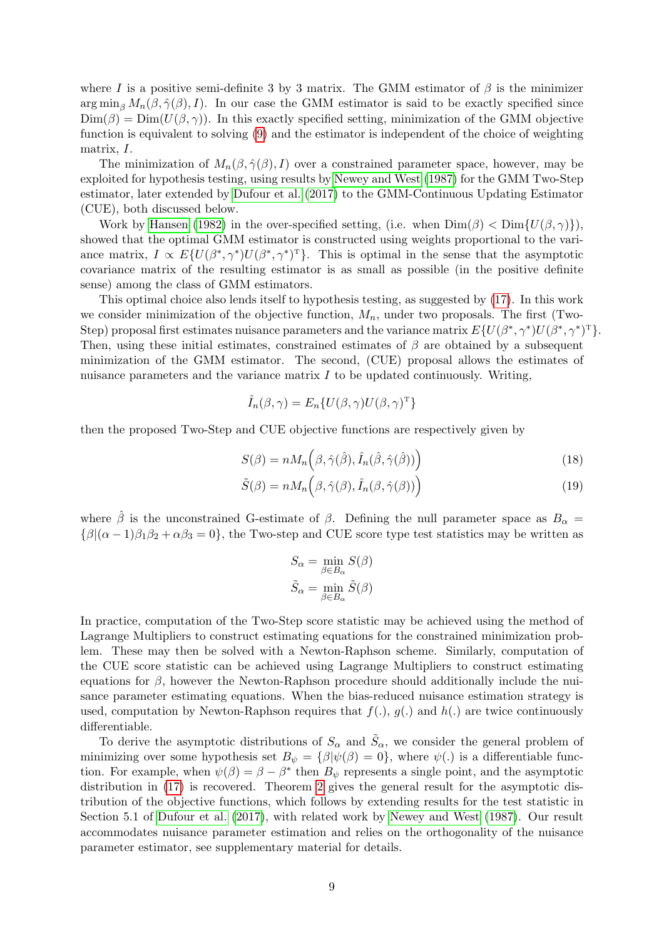where I is a positive semi-definite 3 by 3 matrix. The GMM estimator of  $\beta$  is the minimizer  $\arg \min_{\beta} M_n(\beta, \hat{\gamma}(\beta), I)$ . In our case the GMM estimator is said to be exactly specified since  $\text{Dim}(\beta) = \text{Dim}(U(\beta, \gamma)).$  In this exactly specified setting, minimization of the GMM objective function is equivalent to solving [\(9\)](#page-4-3) and the estimator is independent of the choice of weighting matrix, I.

The minimization of  $M_n(\beta, \hat{\gamma}(\beta), I)$  over a constrained parameter space, however, may be exploited for hypothesis testing, using results by [Newey and West](#page-23-11) [\(1987\)](#page-23-11) for the GMM Two-Step estimator, later extended by [Dufour et al.](#page-22-5) [\(2017\)](#page-22-5) to the GMM-Continuous Updating Estimator (CUE), both discussed below.

Work by [Hansen](#page-23-16) [\(1982\)](#page-23-16) in the over-specified setting, (i.e. when  $\text{Dim}(\beta) < \text{Dim}\{U(\beta,\gamma)\}\$ , showed that the optimal GMM estimator is constructed using weights proportional to the variance matrix,  $I \propto E\{U(\beta^*, \gamma^*)U(\beta^*, \gamma^*)^T\}$ . This is optimal in the sense that the asymptotic covariance matrix of the resulting estimator is as small as possible (in the positive definite sense) among the class of GMM estimators.

This optimal choice also lends itself to hypothesis testing, as suggested by [\(17\)](#page-7-1). In this work we consider minimization of the objective function,  $M_n$ , under two proposals. The first (Two-Step) proposal first estimates nuisance parameters and the variance matrix  $E\{U(\beta^*, \gamma^*)U(\beta^*, \gamma^*)^T\}.$ Then, using these initial estimates, constrained estimates of  $\beta$  are obtained by a subsequent minimization of the GMM estimator. The second, (CUE) proposal allows the estimates of nuisance parameters and the variance matrix  $I$  to be updated continuously. Writing,

$$
\hat{I}_n(\beta, \gamma) = E_n\{U(\beta, \gamma)U(\beta, \gamma)^{\mathrm{T}}\}
$$

then the proposed Two-Step and CUE objective functions are respectively given by

$$
S(\beta) = n M_n \left( \beta, \hat{\gamma}(\hat{\beta}), \hat{I}_n(\hat{\beta}, \hat{\gamma}(\hat{\beta})) \right)
$$
\n(18)

$$
\tilde{S}(\beta) = n M_n \left( \beta, \hat{\gamma}(\beta), \hat{I}_n(\beta, \hat{\gamma}(\beta)) \right)
$$
\n(19)

where  $\hat{\beta}$  is the unconstrained G-estimate of  $\beta$ . Defining the null parameter space as  $B_{\alpha}$  =  ${\beta | (\alpha - 1)\beta_1\beta_2 + \alpha\beta_3 = 0}$ , the Two-step and CUE score type test statistics may be written as

<span id="page-8-2"></span><span id="page-8-1"></span>
$$
S_{\alpha} = \min_{\beta \in B_{\alpha}} S(\beta)
$$

$$
\tilde{S}_{\alpha} = \min_{\beta \in B_{\alpha}} \tilde{S}(\beta)
$$

In practice, computation of the Two-Step score statistic may be achieved using the method of Lagrange Multipliers to construct estimating equations for the constrained minimization problem. These may then be solved with a Newton-Raphson scheme. Similarly, computation of the CUE score statistic can be achieved using Lagrange Multipliers to construct estimating equations for  $\beta$ , however the Newton-Raphson procedure should additionally include the nuisance parameter estimating equations. When the bias-reduced nuisance estimation strategy is used, computation by Newton-Raphson requires that  $f(.)$ ,  $g(.)$  and  $h(.)$  are twice continuously differentiable.

<span id="page-8-0"></span>To derive the asymptotic distributions of  $S_{\alpha}$  and  $\tilde{S}_{\alpha}$ , we consider the general problem of minimizing over some hypothesis set  $B_{\psi} = {\beta | \psi(\beta) = 0}$ , where  $\psi(.)$  is a differentiable function. For example, when  $\psi(\beta) = \beta - \beta^*$  then  $B_{\psi}$  represents a single point, and the asymptotic distribution in [\(17\)](#page-7-1) is recovered. Theorem [2](#page-8-0) gives the general result for the asymptotic distribution of the objective functions, which follows by extending results for the test statistic in Section 5.1 of [Dufour et al.](#page-22-5) [\(2017\)](#page-22-5), with related work by [Newey and West](#page-23-11) [\(1987\)](#page-23-11). Our result accommodates nuisance parameter estimation and relies on the orthogonality of the nuisance parameter estimator, see supplementary material for details.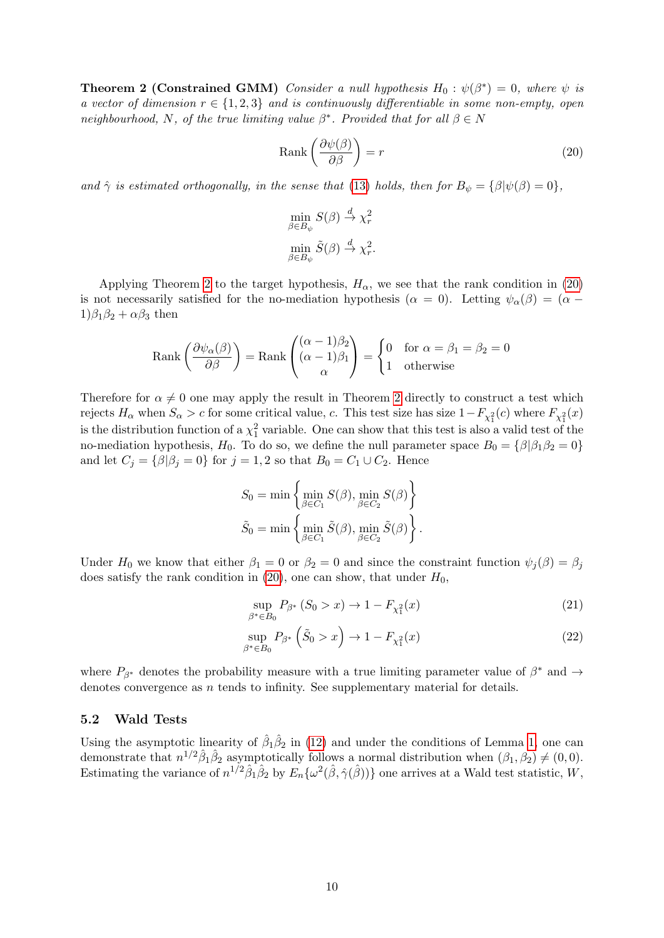**Theorem 2 (Constrained GMM)** Consider a null hypothesis  $H_0: \psi(\beta^*) = 0$ , where  $\psi$  is a vector of dimension  $r \in \{1,2,3\}$  and is continuously differentiable in some non-empty, open neighbourhood, N, of the true limiting value  $\beta^*$ . Provided that for all  $\beta \in N$ 

$$
Rank\left(\frac{\partial\psi(\beta)}{\partial\beta}\right) = r\tag{20}
$$

and  $\hat{\gamma}$  is estimated orthogonally, in the sense that [\(13\)](#page-6-2) holds, then for  $B_{\psi} = {\beta | \psi(\beta) = 0}$ ,

<span id="page-9-0"></span>
$$
\min_{\beta \in B_{\psi}} S(\beta) \stackrel{d}{\to} \chi^2_r
$$
  

$$
\min_{\beta \in B_{\psi}} \tilde{S}(\beta) \stackrel{d}{\to} \chi^2_r.
$$

Applying Theorem [2](#page-8-0) to the target hypothesis,  $H_{\alpha}$ , we see that the rank condition in [\(20\)](#page-9-0) is not necessarily satisfied for the no-mediation hypothesis ( $\alpha = 0$ ). Letting  $\psi_{\alpha}(\beta) = (\alpha - \beta)^2$  $1)\beta_1\beta_2 + \alpha\beta_3$  then

$$
Rank\left(\frac{\partial \psi_{\alpha}(\beta)}{\partial \beta}\right) = Rank\left(\begin{matrix} (\alpha - 1)\beta_2\\ (\alpha - 1)\beta_1\\ \alpha \end{matrix}\right) = \begin{cases} 0 & \text{for } \alpha = \beta_1 = \beta_2 = 0\\ 1 & \text{otherwise} \end{cases}
$$

Therefore for  $\alpha \neq 0$  one may apply the result in Theorem [2](#page-8-0) directly to construct a test which rejects  $H_{\alpha}$  when  $S_{\alpha} > c$  for some critical value, c. This test size has size  $1 - F_{\chi_1^2}(c)$  where  $F_{\chi_1^2}(x)$ is the distribution function of a  $\chi^2$  variable. One can show that this test is also a valid test of the no-mediation hypothesis,  $H_0$ . To do so, we define the null parameter space  $B_0 = {\beta|\beta_1\beta_2 = 0}$ and let  $C_j = \{\beta | \beta_j = 0\}$  for  $j = 1, 2$  so that  $B_0 = C_1 \cup C_2$ . Hence

$$
S_0 = \min \left\{ \min_{\beta \in C_1} S(\beta), \min_{\beta \in C_2} S(\beta) \right\}
$$

$$
\tilde{S}_0 = \min \left\{ \min_{\beta \in C_1} \tilde{S}(\beta), \min_{\beta \in C_2} \tilde{S}(\beta) \right\}.
$$

Under H<sub>0</sub> we know that either  $\beta_1 = 0$  or  $\beta_2 = 0$  and since the constraint function  $\psi_j(\beta) = \beta_j$ does satisfy the rank condition in [\(20\)](#page-9-0), one can show, that under  $H_0$ ,

<span id="page-9-2"></span><span id="page-9-1"></span>
$$
\sup_{\beta^* \in B_0} P_{\beta^*} (S_0 > x) \to 1 - F_{\chi_1^2}(x) \tag{21}
$$

$$
\sup_{\beta^* \in B_0} P_{\beta^*} \left( \tilde{S}_0 > x \right) \to 1 - F_{\chi_1^2}(x) \tag{22}
$$

where  $P_{\beta^*}$  denotes the probability measure with a true limiting parameter value of  $\beta^*$  and  $\rightarrow$ denotes convergence as  $n$  tends to infinity. See supplementary material for details.

#### 5.2 Wald Tests

Using the asymptotic linearity of  $\hat{\beta}_1 \hat{\beta}_2$  in [\(12\)](#page-6-1) and under the conditions of Lemma [1,](#page-5-0) one can demonstrate that  $n^{1/2}\hat{\beta}_1\hat{\beta}_2$  asymptotically follows a normal distribution when  $(\beta_1, \beta_2) \neq (0, 0)$ . Estimating the variance of  $n^{1/2}\hat{\beta}_1\hat{\beta}_2$  by  $E_n\{\omega^2(\hat{\beta},\hat{\gamma}(\hat{\beta}))\}$  one arrives at a Wald test statistic, W,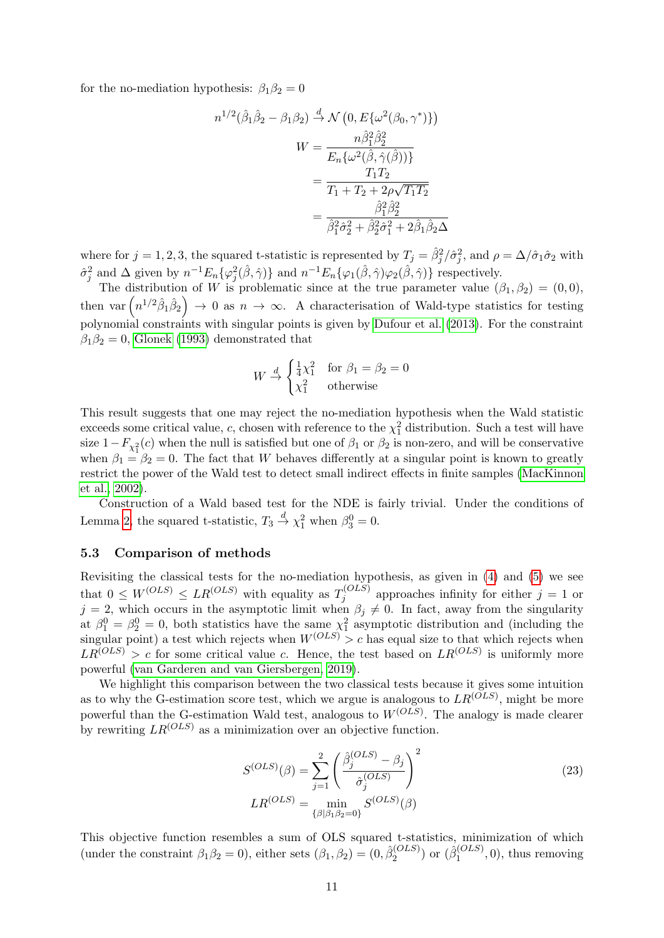for the no-mediation hypothesis:  $\beta_1\beta_2 = 0$ 

$$
n^{1/2}(\hat{\beta}_1 \hat{\beta}_2 - \beta_1 \beta_2) \stackrel{d}{\rightarrow} \mathcal{N}\left(0, E\{\omega^2(\beta_0, \gamma^*)\}\right)
$$

$$
W = \frac{n\hat{\beta}_1^2 \hat{\beta}_2^2}{E_n \{\omega^2(\hat{\beta}, \hat{\gamma}(\hat{\beta}))\}}
$$

$$
= \frac{T_1 T_2}{T_1 + T_2 + 2\rho\sqrt{T_1 T_2}}
$$

$$
= \frac{\hat{\beta}_1^2 \hat{\beta}_2^2}{\hat{\beta}_1^2 \hat{\sigma}_2^2 + \hat{\beta}_2^2 \hat{\sigma}_1^2 + 2\hat{\beta}_1 \hat{\beta}_2 \Delta}
$$

where for  $j = 1, 2, 3$ , the squared t-statistic is represented by  $T_j = \hat{\beta}_j^2/\hat{\sigma}_j^2$ , and  $\rho = \Delta/\hat{\sigma}_1\hat{\sigma}_2$  with  $\hat{\sigma}_j^2$  and  $\Delta$  given by  $n^{-1}E_n\{\varphi_j^2(\hat{\beta},\hat{\gamma})\}\$  and  $n^{-1}E_n\{\varphi_1(\hat{\beta},\hat{\gamma})\varphi_2(\hat{\beta},\hat{\gamma})\}\$ respectively.

The distribution of W is problematic since at the true parameter value  $(\beta_1, \beta_2) = (0, 0)$ , then var  $\left(n^{1/2}\hat{\beta}_1\hat{\beta}_2\right) \rightarrow 0$  as  $n \rightarrow \infty$ . A characterisation of Wald-type statistics for testing polynomial constraints with singular points is given by [Dufour et al.](#page-22-2) [\(2013\)](#page-22-2). For the constraint  $\beta_1\beta_2=0$ , [Glonek](#page-23-17) [\(1993\)](#page-23-17) demonstrated that

$$
W \stackrel{d}{\rightarrow} \begin{cases} \frac{1}{4}\chi_1^2 & \text{for } \beta_1 = \beta_2 = 0\\ \chi_1^2 & \text{otherwise} \end{cases}
$$

This result suggests that one may reject the no-mediation hypothesis when the Wald statistic exceeds some critical value, c, chosen with reference to the  $\chi^2$  distribution. Such a test will have size  $1-F_{\chi_1^2}(c)$  when the null is satisfied but one of  $\beta_1$  or  $\beta_2$  is non-zero, and will be conservative when  $\beta_1 = \beta_2 = 0$ . The fact that W behaves differently at a singular point is known to greatly restrict the power of the Wald test to detect small indirect effects in finite samples [\(MacKinnon](#page-23-5) [et al., 2002\)](#page-23-5).

Construction of a Wald based test for the NDE is fairly trivial. Under the conditions of Lemma [2,](#page-5-1) the squared t-statistic,  $T_3 \stackrel{d}{\rightarrow} \chi_1^2$  when  $\beta_3^0 = 0$ .

### <span id="page-10-0"></span>5.3 Comparison of methods

Revisiting the classical tests for the no-mediation hypothesis, as given in [\(4\)](#page-2-0) and [\(5\)](#page-2-1) we see that  $0 \leq W^{(OLS)} \leq LR^{(OLS)}$  with equality as  $T_i^{(OLS)}$  $j_j^{(OLS)}$  approaches infinity for either  $j=1$  or  $j = 2$ , which occurs in the asymptotic limit when  $\beta_j \neq 0$ . In fact, away from the singularity at  $\beta_1^0 = \beta_2^0 = 0$ , both statistics have the same  $\chi_1^2$  asymptotic distribution and (including the singular point) a test which rejects when  $W^{(OLS)} > c$  has equal size to that which rejects when  $LR^{(OLS)} > c$  for some critical value c. Hence, the test based on  $LR^{(OLS)}$  is uniformly more powerful [\(van Garderen and van Giersbergen, 2019\)](#page-24-10).

We highlight this comparison between the two classical tests because it gives some intuition as to why the G-estimation score test, which we argue is analogous to  $LR^{(OLS)}$ , might be more powerful than the G-estimation Wald test, analogous to  $W^{(OLS)}$ . The analogy is made clearer by rewriting  $LR^{(OLS)}$  as a minimization over an objective function.

<span id="page-10-1"></span>
$$
S^{(OLS)}(\beta) = \sum_{j=1}^{2} \left( \frac{\hat{\beta}_j^{(OLS)} - \beta_j}{\hat{\sigma}_j^{(OLS)}} \right)^2
$$
  

$$
LR^{(OLS)} = \min_{\{\beta | \beta_1 \beta_2 = 0\}} S^{(OLS)}(\beta)
$$
 (23)

This objective function resembles a sum of OLS squared t-statistics, minimization of which (under the constraint  $\beta_1\beta_2 = 0$ ), either sets  $(\beta_1, \beta_2) = (0, \hat{\beta}_2^{(OLS)}$  $\hat{\beta}_2^{(OLS)}$ ) or  $(\hat{\beta}_1^{(OLS)}$  $t_1^{(OLS)}$ , 0), thus removing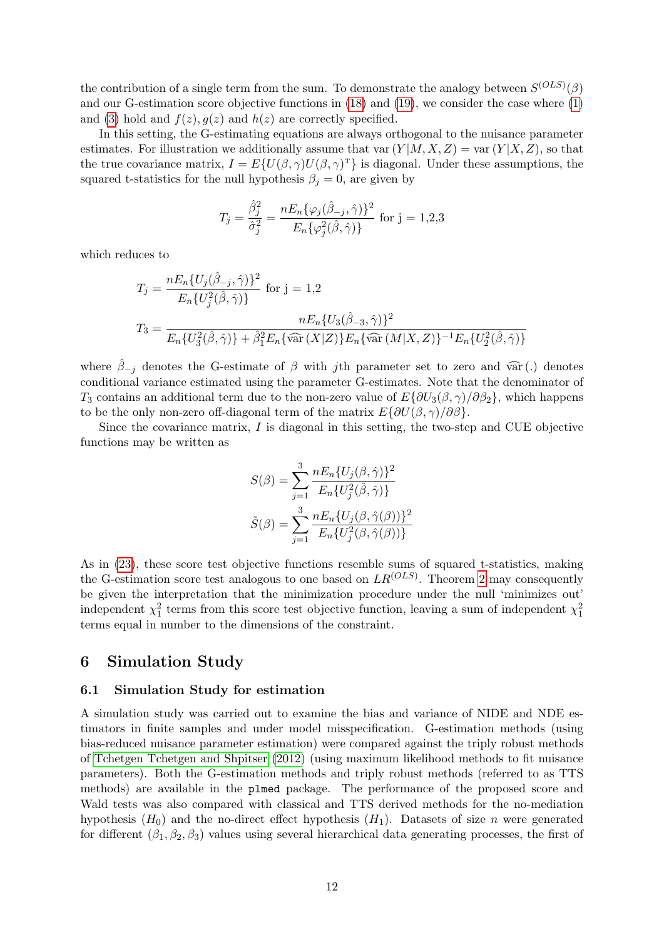the contribution of a single term from the sum. To demonstrate the analogy between  $S^{(OLS)}(\beta)$ and our G-estimation score objective functions in [\(18\)](#page-8-1) and [\(19\)](#page-8-2), we consider the case where [\(1\)](#page-1-0) and [\(3\)](#page-1-1) hold and  $f(z)$ ,  $g(z)$  and  $h(z)$  are correctly specified.

In this setting, the G-estimating equations are always orthogonal to the nuisance parameter estimates. For illustration we additionally assume that var  $(Y|M, X, Z) = \text{var}(Y|X, Z)$ , so that the true covariance matrix,  $I = E\{U(\beta, \gamma)U(\beta, \gamma)^T\}$  is diagonal. Under these assumptions, the squared t-statistics for the null hypothesis  $\beta_j = 0$ , are given by

$$
T_j = \frac{\hat{\beta}_j^2}{\hat{\sigma}_j^2} = \frac{nE_n\{\varphi_j(\hat{\beta}_{-j}, \hat{\gamma})\}^2}{E_n\{\varphi_j^2(\hat{\beta}, \hat{\gamma})\}} \text{ for } j = 1, 2, 3
$$

which reduces to

$$
T_j = \frac{nE_n\{U_j(\hat{\beta}_{-j}, \hat{\gamma})\}^2}{E_n\{U_j^2(\hat{\beta}, \hat{\gamma})\}} \text{ for } j = 1, 2
$$
  

$$
T_3 = \frac{nE_n\{U_3(\hat{\beta}_{-3}, \hat{\gamma})\}^2}{E_n\{U_3^2(\hat{\beta}, \hat{\gamma})\} + \hat{\beta}_1^2 E_n\{\widehat{\text{var}}(X|Z)\} E_n\{\widehat{\text{var}}(M|X, Z)\}^{-1} E_n\{U_2^2(\hat{\beta}, \hat{\gamma})\}}
$$

where  $\hat{\beta}_{-i}$  denotes the G-estimate of  $\beta$  with jth parameter set to zero and var (.) denotes conditional variance estimated using the parameter G-estimates. Note that the denominator of T<sub>3</sub> contains an additional term due to the non-zero value of  $E\{\partial U_3(\beta, \gamma)/\partial \beta_2\}$ , which happens to be the only non-zero off-diagonal term of the matrix  $E\{\partial U(\beta, \gamma)/\partial \beta\}.$ 

Since the covariance matrix, I is diagonal in this setting, the two-step and CUE objective functions may be written as

$$
S(\beta) = \sum_{j=1}^{3} \frac{nE_n \{U_j(\beta, \hat{\gamma})\}^2}{E_n \{U_j^2(\hat{\beta}, \hat{\gamma})\}}
$$

$$
\tilde{S}(\beta) = \sum_{j=1}^{3} \frac{nE_n \{U_j(\beta, \hat{\gamma}(\beta))\}^2}{E_n \{U_j^2(\beta, \hat{\gamma}(\beta))\}}
$$

As in [\(23\)](#page-10-1), these score test objective functions resemble sums of squared t-statistics, making the G-estimation score test analogous to one based on  $LR^{(OLS)}$ . Theorem [2](#page-8-0) may consequently be given the interpretation that the minimization procedure under the null 'minimizes out' independent  $\chi_1^2$  terms from this score test objective function, leaving a sum of independent  $\chi_1^2$ terms equal in number to the dimensions of the constraint.

## <span id="page-11-0"></span>6 Simulation Study

#### 6.1 Simulation Study for estimation

A simulation study was carried out to examine the bias and variance of NIDE and NDE estimators in finite samples and under model misspecification. G-estimation methods (using bias-reduced nuisance parameter estimation) were compared against the triply robust methods of [Tchetgen Tchetgen and Shpitser](#page-24-2) [\(2012\)](#page-24-2) (using maximum likelihood methods to fit nuisance parameters). Both the G-estimation methods and triply robust methods (referred to as TTS methods) are available in the plmed package. The performance of the proposed score and Wald tests was also compared with classical and TTS derived methods for the no-mediation hypothesis  $(H_0)$  and the no-direct effect hypothesis  $(H_1)$ . Datasets of size n were generated for different  $(\beta_1, \beta_2, \beta_3)$  values using several hierarchical data generating processes, the first of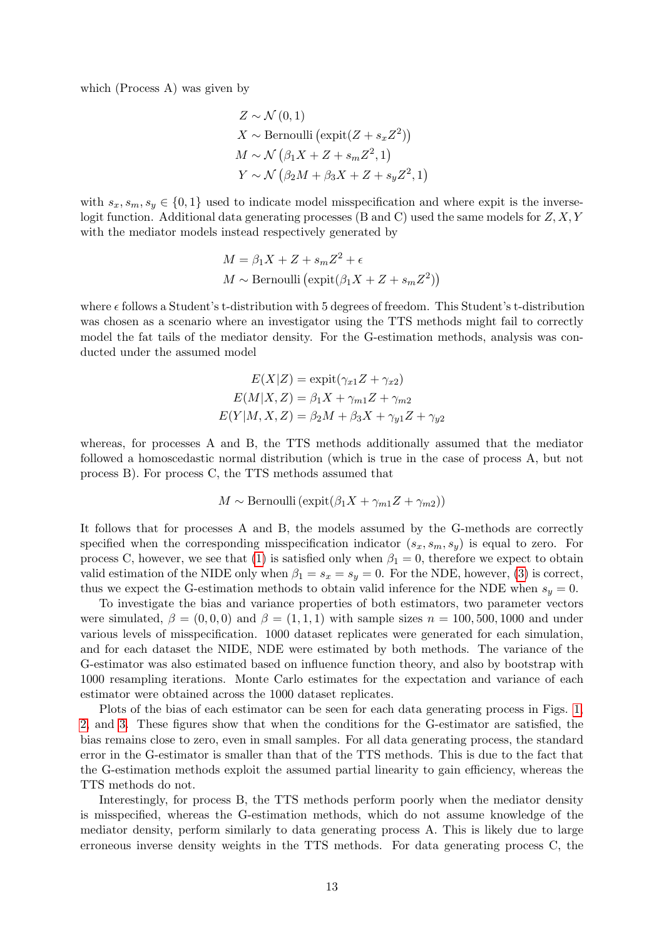which (Process A) was given by

$$
Z \sim \mathcal{N}(0, 1)
$$
  
\n
$$
X \sim \text{Bernoulli}(\text{expit}(Z + s_x Z^2))
$$
  
\n
$$
M \sim \mathcal{N}(\beta_1 X + Z + s_m Z^2, 1)
$$
  
\n
$$
Y \sim \mathcal{N}(\beta_2 M + \beta_3 X + Z + s_y Z^2, 1)
$$

with  $s_x, s_m, s_y \in \{0, 1\}$  used to indicate model misspecification and where expit is the inverselogit function. Additional data generating processes (B and C) used the same models for Z, X, Y with the mediator models instead respectively generated by

$$
M = \beta_1 X + Z + s_m Z^2 + \epsilon
$$
  

$$
M \sim \text{Bernoulli} \left( \expit(\beta_1 X + Z + s_m Z^2) \right)
$$

where  $\epsilon$  follows a Student's t-distribution with 5 degrees of freedom. This Student's t-distribution was chosen as a scenario where an investigator using the TTS methods might fail to correctly model the fat tails of the mediator density. For the G-estimation methods, analysis was conducted under the assumed model

$$
E(X|Z) = \text{expit}(\gamma_{x1}Z + \gamma_{x2})
$$

$$
E(M|X, Z) = \beta_1 X + \gamma_{m1} Z + \gamma_{m2}
$$

$$
E(Y|M, X, Z) = \beta_2 M + \beta_3 X + \gamma_{y1} Z + \gamma_{y2}
$$

whereas, for processes A and B, the TTS methods additionally assumed that the mediator followed a homoscedastic normal distribution (which is true in the case of process A, but not process B). For process C, the TTS methods assumed that

$$
M \sim \text{Bernoulli}(\expit(\beta_1 X + \gamma_{m1} Z + \gamma_{m2}))
$$

It follows that for processes A and B, the models assumed by the G-methods are correctly specified when the corresponding misspecification indicator  $(s_x, s_m, s_y)$  is equal to zero. For process C, however, we see that [\(1\)](#page-1-0) is satisfied only when  $\beta_1 = 0$ , therefore we expect to obtain valid estimation of the NIDE only when  $\beta_1 = s_x = s_y = 0$ . For the NDE, however, [\(3\)](#page-1-1) is correct, thus we expect the G-estimation methods to obtain valid inference for the NDE when  $s_y = 0$ .

To investigate the bias and variance properties of both estimators, two parameter vectors were simulated,  $\beta = (0, 0, 0)$  and  $\beta = (1, 1, 1)$  with sample sizes  $n = 100, 500, 1000$  and under various levels of misspecification. 1000 dataset replicates were generated for each simulation, and for each dataset the NIDE, NDE were estimated by both methods. The variance of the G-estimator was also estimated based on influence function theory, and also by bootstrap with 1000 resampling iterations. Monte Carlo estimates for the expectation and variance of each estimator were obtained across the 1000 dataset replicates.

Plots of the bias of each estimator can be seen for each data generating process in Figs. [1,](#page-13-0) [2,](#page-14-0) and [3.](#page-15-0) These figures show that when the conditions for the G-estimator are satisfied, the bias remains close to zero, even in small samples. For all data generating process, the standard error in the G-estimator is smaller than that of the TTS methods. This is due to the fact that the G-estimation methods exploit the assumed partial linearity to gain efficiency, whereas the TTS methods do not.

Interestingly, for process B, the TTS methods perform poorly when the mediator density is misspecified, whereas the G-estimation methods, which do not assume knowledge of the mediator density, perform similarly to data generating process A. This is likely due to large erroneous inverse density weights in the TTS methods. For data generating process C, the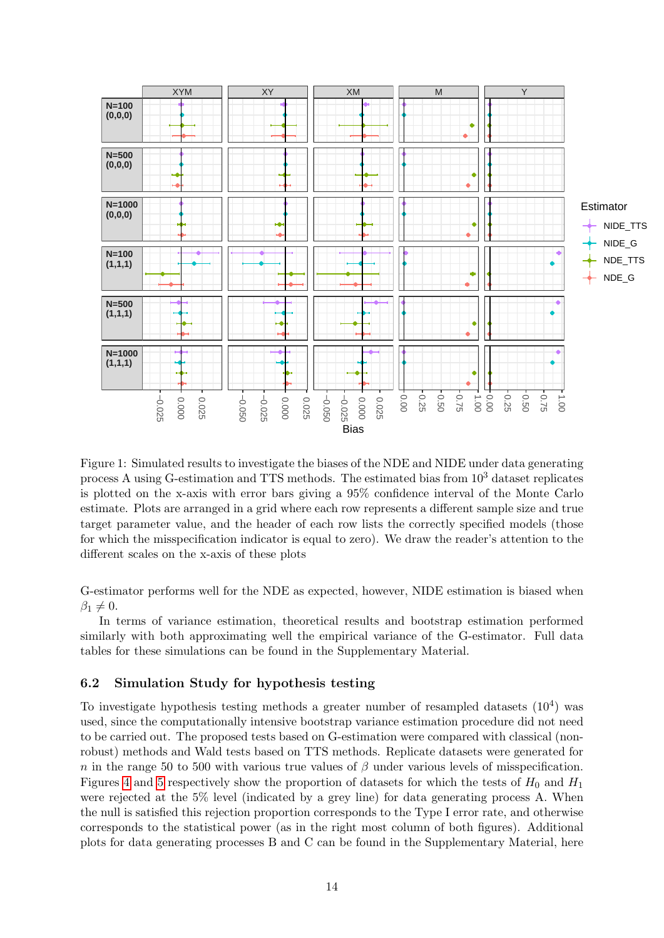

<span id="page-13-0"></span>Figure 1: Simulated results to investigate the biases of the NDE and NIDE under data generating process A using G-estimation and TTS methods. The estimated bias from  $10^3$  dataset replicates is plotted on the x-axis with error bars giving a 95% confidence interval of the Monte Carlo estimate. Plots are arranged in a grid where each row represents a different sample size and true target parameter value, and the header of each row lists the correctly specified models (those for which the misspecification indicator is equal to zero). We draw the reader's attention to the different scales on the x-axis of these plots

G-estimator performs well for the NDE as expected, however, NIDE estimation is biased when  $\beta_1 \neq 0.$ 

In terms of variance estimation, theoretical results and bootstrap estimation performed similarly with both approximating well the empirical variance of the G-estimator. Full data tables for these simulations can be found in the Supplementary Material.

#### 6.2 Simulation Study for hypothesis testing

To investigate hypothesis testing methods a greater number of resampled datasets  $(10^4)$  was used, since the computationally intensive bootstrap variance estimation procedure did not need to be carried out. The proposed tests based on G-estimation were compared with classical (nonrobust) methods and Wald tests based on TTS methods. Replicate datasets were generated for n in the range 50 to 500 with various true values of  $\beta$  under various levels of misspecification. Figures [4](#page-16-1) and [5](#page-17-0) respectively show the proportion of datasets for which the tests of  $H_0$  and  $H_1$ were rejected at the 5% level (indicated by a grey line) for data generating process A. When the null is satisfied this rejection proportion corresponds to the Type I error rate, and otherwise corresponds to the statistical power (as in the right most column of both figures). Additional plots for data generating processes B and C can be found in the Supplementary Material, here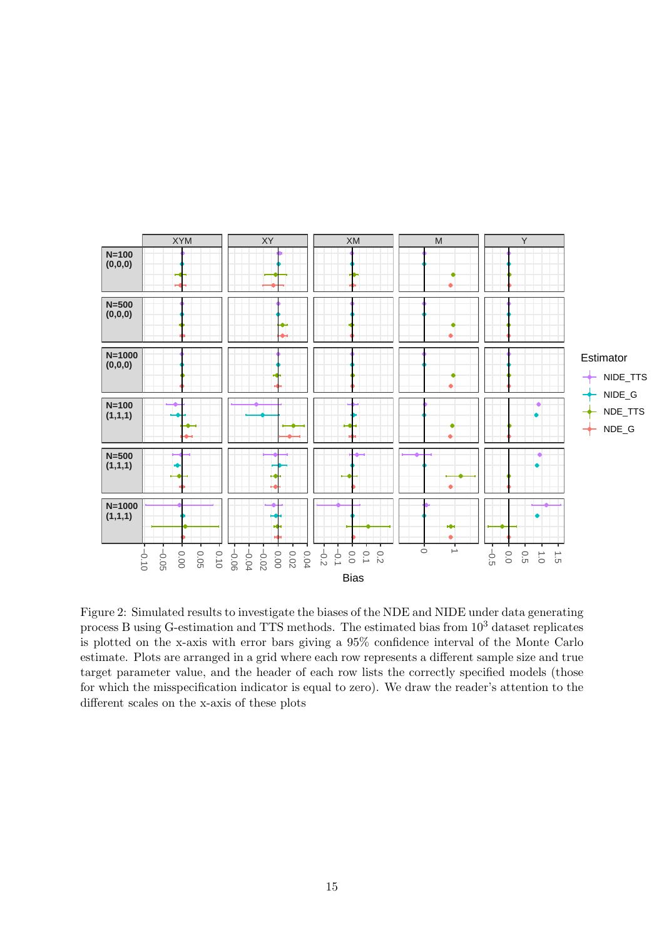

<span id="page-14-0"></span>Figure 2: Simulated results to investigate the biases of the NDE and NIDE under data generating process B using G-estimation and TTS methods. The estimated bias from  $10^3$  dataset replicates is plotted on the x-axis with error bars giving a 95% confidence interval of the Monte Carlo estimate. Plots are arranged in a grid where each row represents a different sample size and true target parameter value, and the header of each row lists the correctly specified models (those for which the misspecification indicator is equal to zero). We draw the reader's attention to the different scales on the x-axis of these plots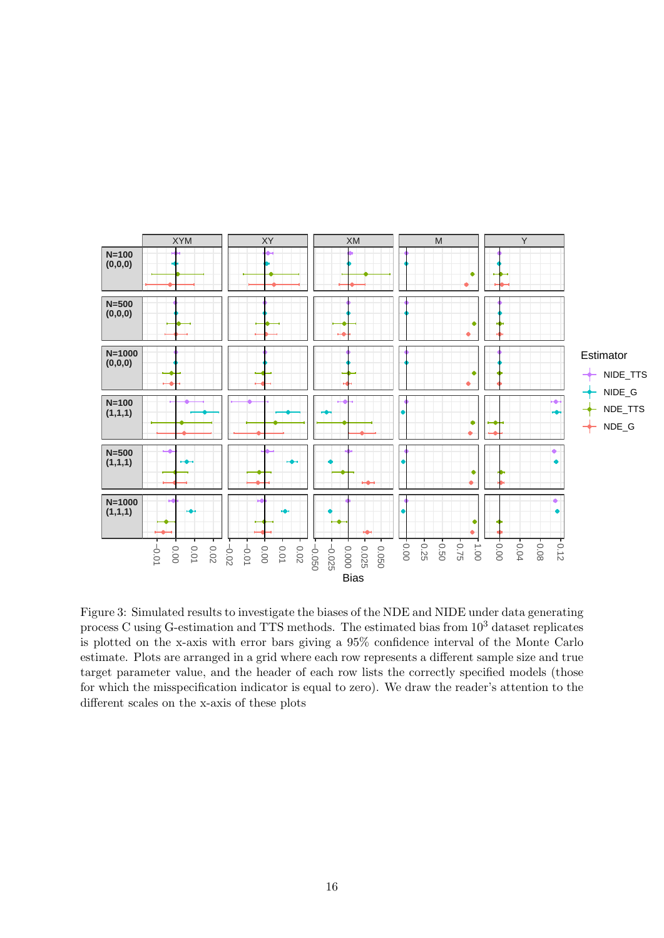

<span id="page-15-0"></span>Figure 3: Simulated results to investigate the biases of the NDE and NIDE under data generating process C using G-estimation and TTS methods. The estimated bias from 10<sup>3</sup> dataset replicates is plotted on the x-axis with error bars giving a 95% confidence interval of the Monte Carlo estimate. Plots are arranged in a grid where each row represents a different sample size and true target parameter value, and the header of each row lists the correctly specified models (those for which the misspecification indicator is equal to zero). We draw the reader's attention to the different scales on the x-axis of these plots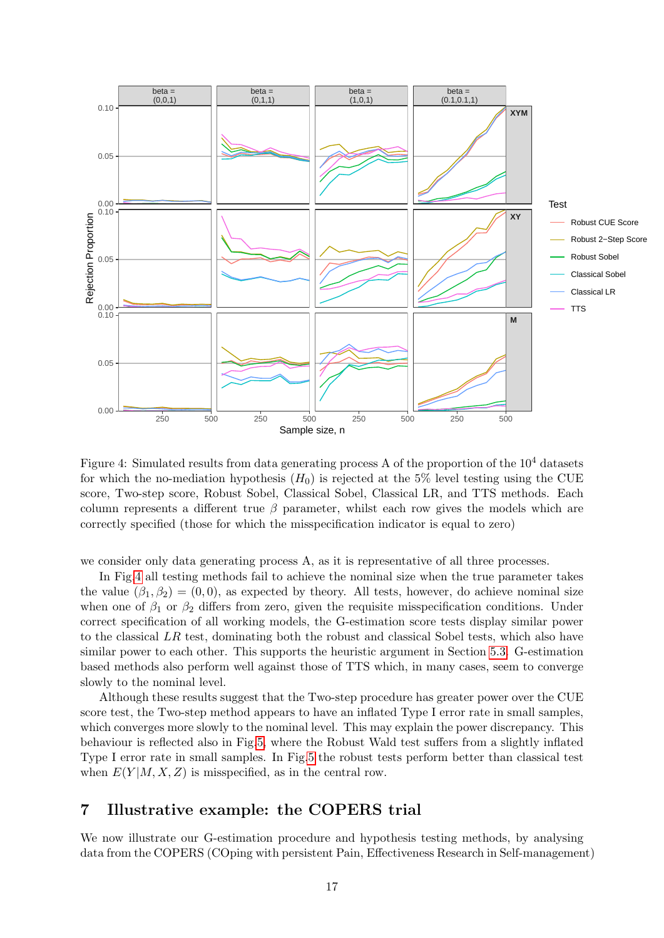

<span id="page-16-1"></span>Figure 4: Simulated results from data generating process A of the proportion of the  $10^4$  datasets for which the no-mediation hypothesis  $(H_0)$  is rejected at the 5% level testing using the CUE score, Two-step score, Robust Sobel, Classical Sobel, Classical LR, and TTS methods. Each column represents a different true  $\beta$  parameter, whilst each row gives the models which are correctly specified (those for which the misspecification indicator is equal to zero)

we consider only data generating process A, as it is representative of all three processes.

In Fig[.4](#page-16-1) all testing methods fail to achieve the nominal size when the true parameter takes the value  $(\beta_1, \beta_2) = (0, 0)$ , as expected by theory. All tests, however, do achieve nominal size when one of  $\beta_1$  or  $\beta_2$  differs from zero, given the requisite misspecification conditions. Under correct specification of all working models, the G-estimation score tests display similar power to the classical LR test, dominating both the robust and classical Sobel tests, which also have similar power to each other. This supports the heuristic argument in Section [5.3.](#page-10-0) G-estimation based methods also perform well against those of TTS which, in many cases, seem to converge slowly to the nominal level.

Although these results suggest that the Two-step procedure has greater power over the CUE score test, the Two-step method appears to have an inflated Type I error rate in small samples, which converges more slowly to the nominal level. This may explain the power discrepancy. This behaviour is reflected also in Fig[.5,](#page-17-0) where the Robust Wald test suffers from a slightly inflated Type I error rate in small samples. In Fig[.5](#page-17-0) the robust tests perform better than classical test when  $E(Y|M, X, Z)$  is misspecified, as in the central row.

## <span id="page-16-0"></span>7 Illustrative example: the COPERS trial

We now illustrate our G-estimation procedure and hypothesis testing methods, by analysing data from the COPERS (COping with persistent Pain, Effectiveness Research in Self-management)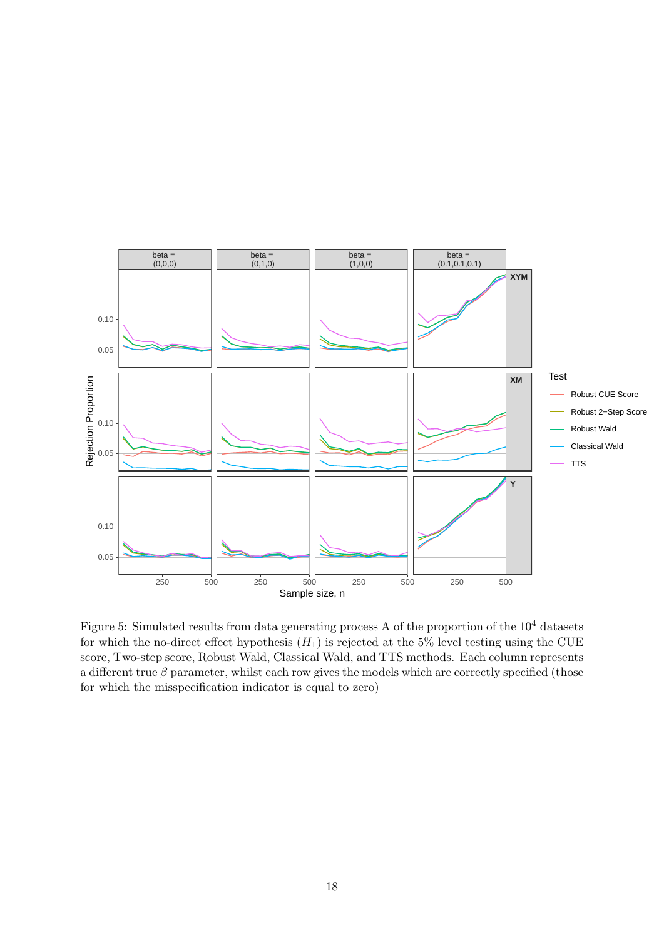

<span id="page-17-0"></span>Figure 5: Simulated results from data generating process A of the proportion of the  $10^4$  datasets for which the no-direct effect hypothesis  $(H_1)$  is rejected at the 5% level testing using the CUE score, Two-step score, Robust Wald, Classical Wald, and TTS methods. Each column represents a different true  $\beta$  parameter, whilst each row gives the models which are correctly specified (those for which the misspecification indicator is equal to zero)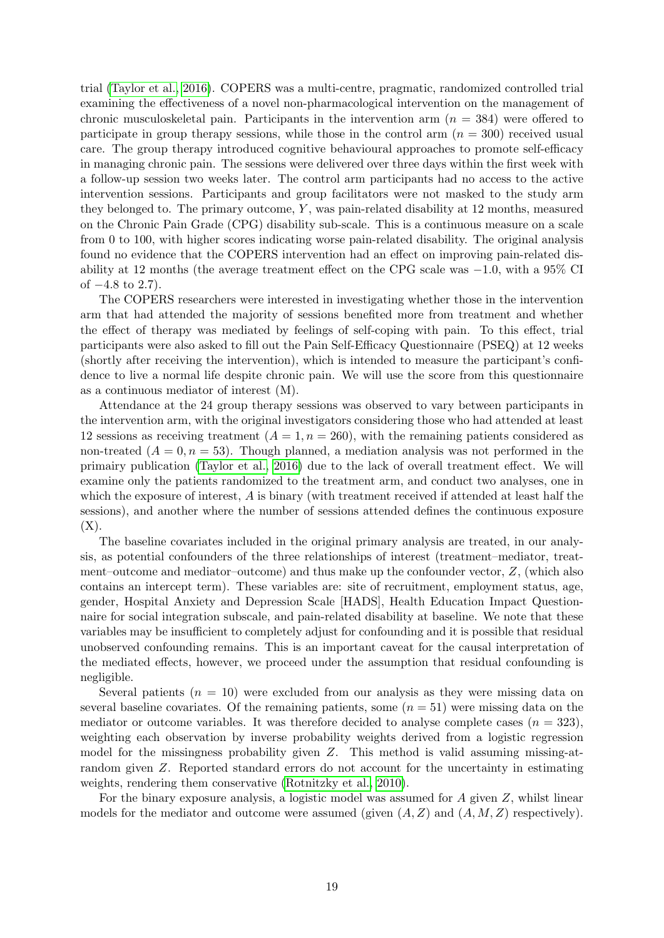trial [\(Taylor et al., 2016\)](#page-24-11). COPERS was a multi-centre, pragmatic, randomized controlled trial examining the effectiveness of a novel non-pharmacological intervention on the management of chronic musculoskeletal pain. Participants in the intervention arm  $(n = 384)$  were offered to participate in group therapy sessions, while those in the control arm  $(n = 300)$  received usual care. The group therapy introduced cognitive behavioural approaches to promote self-efficacy in managing chronic pain. The sessions were delivered over three days within the first week with a follow-up session two weeks later. The control arm participants had no access to the active intervention sessions. Participants and group facilitators were not masked to the study arm they belonged to. The primary outcome,  $Y$ , was pain-related disability at 12 months, measured on the Chronic Pain Grade (CPG) disability sub-scale. This is a continuous measure on a scale from 0 to 100, with higher scores indicating worse pain-related disability. The original analysis found no evidence that the COPERS intervention had an effect on improving pain-related disability at 12 months (the average treatment effect on the CPG scale was −1.0, with a 95% CI of  $-4.8$  to 2.7).

The COPERS researchers were interested in investigating whether those in the intervention arm that had attended the majority of sessions benefited more from treatment and whether the effect of therapy was mediated by feelings of self-coping with pain. To this effect, trial participants were also asked to fill out the Pain Self-Efficacy Questionnaire (PSEQ) at 12 weeks (shortly after receiving the intervention), which is intended to measure the participant's confidence to live a normal life despite chronic pain. We will use the score from this questionnaire as a continuous mediator of interest (M).

Attendance at the 24 group therapy sessions was observed to vary between participants in the intervention arm, with the original investigators considering those who had attended at least 12 sessions as receiving treatment  $(A = 1, n = 260)$ , with the remaining patients considered as non-treated  $(A = 0, n = 53)$ . Though planned, a mediation analysis was not performed in the primairy publication [\(Taylor et al., 2016\)](#page-24-11) due to the lack of overall treatment effect. We will examine only the patients randomized to the treatment arm, and conduct two analyses, one in which the exposure of interest, A is binary (with treatment received if attended at least half the sessions), and another where the number of sessions attended defines the continuous exposure  $(X).$ 

The baseline covariates included in the original primary analysis are treated, in our analysis, as potential confounders of the three relationships of interest (treatment–mediator, treatment–outcome and mediator–outcome) and thus make up the confounder vector, Z, (which also contains an intercept term). These variables are: site of recruitment, employment status, age, gender, Hospital Anxiety and Depression Scale [HADS], Health Education Impact Questionnaire for social integration subscale, and pain-related disability at baseline. We note that these variables may be insufficient to completely adjust for confounding and it is possible that residual unobserved confounding remains. This is an important caveat for the causal interpretation of the mediated effects, however, we proceed under the assumption that residual confounding is negligible.

Several patients  $(n = 10)$  were excluded from our analysis as they were missing data on several baseline covariates. Of the remaining patients, some  $(n = 51)$  were missing data on the mediator or outcome variables. It was therefore decided to analyse complete cases  $(n = 323)$ , weighting each observation by inverse probability weights derived from a logistic regression model for the missingness probability given Z. This method is valid assuming missing-atrandom given Z. Reported standard errors do not account for the uncertainty in estimating weights, rendering them conservative [\(Rotnitzky et al., 2010\)](#page-24-12).

For the binary exposure analysis, a logistic model was assumed for  $A$  given  $Z$ , whilst linear models for the mediator and outcome were assumed (given  $(A, Z)$  and  $(A, M, Z)$  respectively).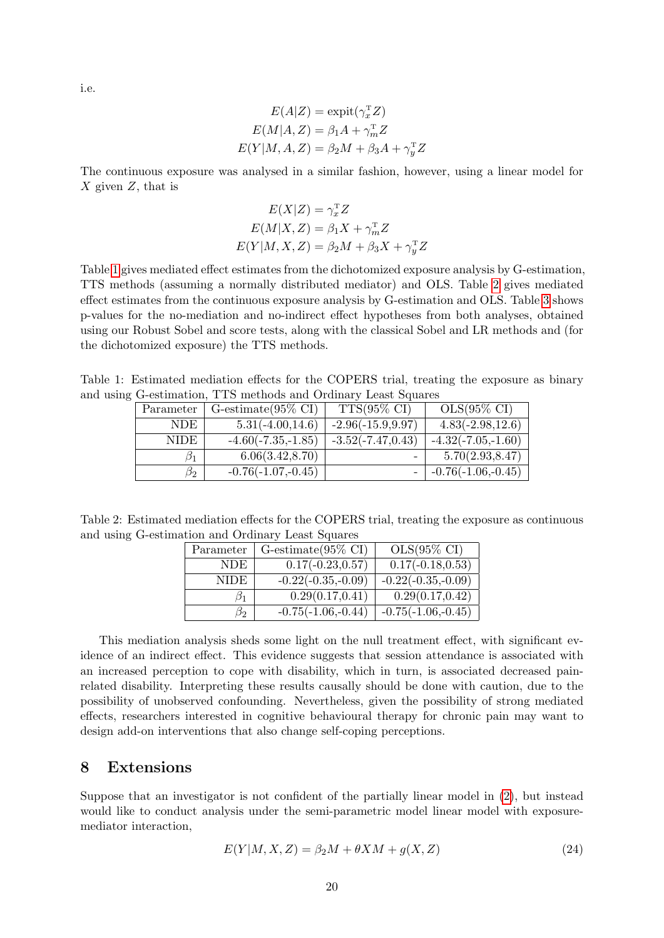i.e.

$$
E(A|Z) = \text{expit}(\gamma_x^T Z)
$$

$$
E(M|A, Z) = \beta_1 A + \gamma_m^T Z
$$

$$
E(Y|M, A, Z) = \beta_2 M + \beta_3 A + \gamma_y^T Z
$$

The continuous exposure was analysed in a similar fashion, however, using a linear model for  $X$  given  $Z$ , that is

$$
E(X|Z) = \gamma_x^{\mathrm{T}} Z
$$
  
\n
$$
E(M|X, Z) = \beta_1 X + \gamma_m^{\mathrm{T}} Z
$$
  
\n
$$
E(Y|M, X, Z) = \beta_2 M + \beta_3 X + \gamma_y^{\mathrm{T}} Z
$$

Table [1](#page-19-1) gives mediated effect estimates from the dichotomized exposure analysis by G-estimation, TTS methods (assuming a normally distributed mediator) and OLS. Table [2](#page-19-2) gives mediated effect estimates from the continuous exposure analysis by G-estimation and OLS. Table [3](#page-20-0) shows p-values for the no-mediation and no-indirect effect hypotheses from both analyses, obtained using our Robust Sobel and score tests, along with the classical Sobel and LR methods and (for the dichotomized exposure) the TTS methods.

Table 1: Estimated mediation effects for the COPERS trial, treating the exposure as binary and using G-estimation, TTS methods and Ordinary Least Squares

<span id="page-19-1"></span>

| Parameter   | G-estimate $(95\% \text{ CI})$ | $TTS(95\% \text{ CI})$ | $OLS(95\% \ CI)$     |
|-------------|--------------------------------|------------------------|----------------------|
| NDE.        | $5.31(-4.00, 14.6)$            | $-2.96(-15.9, 9.97)$   | $4.83(-2.98, 12.6)$  |
| <b>NIDE</b> | $-4.60(-7.35,-1.85)$           | $-3.52(-7.47, 0.43)$   | $-4.32(-7.05,-1.60)$ |
| Ø1          | 6.06(3.42, 8.70)               |                        | 5.70(2.93, 8.47)     |
| $\beta_2$   | $-0.76(-1.07,-0.45)$           |                        | $-0.76(-1.06,-0.45)$ |

<span id="page-19-2"></span>Table 2: Estimated mediation effects for the COPERS trial, treating the exposure as continuous and using G-estimation and Ordinary Least Squares

| Parameter | G-estimate $(95\% \text{ CI})$ | $OLS(95\% \ CI)$              |
|-----------|--------------------------------|-------------------------------|
| NDE.      | $0.17(-0.23, 0.57)$            | $0.17(-0.18, 0.53)$           |
| NIDE.     | $-0.22(-0.35,-0.09)$           | $-0.22(-0.35,-0.09)$          |
|           |                                |                               |
| 51        | $\overline{0.29} (0.17, 0.41)$ | $\overline{0.29(0.17, 0.42)}$ |
| $\beta_2$ | $-0.75(-1.06,-0.44)$           | $-0.75(-1.06,-0.45)$          |

This mediation analysis sheds some light on the null treatment effect, with significant evidence of an indirect effect. This evidence suggests that session attendance is associated with an increased perception to cope with disability, which in turn, is associated decreased painrelated disability. Interpreting these results causally should be done with caution, due to the possibility of unobserved confounding. Nevertheless, given the possibility of strong mediated effects, researchers interested in cognitive behavioural therapy for chronic pain may want to design add-on interventions that also change self-coping perceptions.

## <span id="page-19-0"></span>8 Extensions

Suppose that an investigator is not confident of the partially linear model in [\(2\)](#page-1-2), but instead would like to conduct analysis under the semi-parametric model linear model with exposuremediator interaction,

<span id="page-19-3"></span>
$$
E(Y|M, X, Z) = \beta_2 M + \theta X M + g(X, Z)
$$
\n<sup>(24)</sup>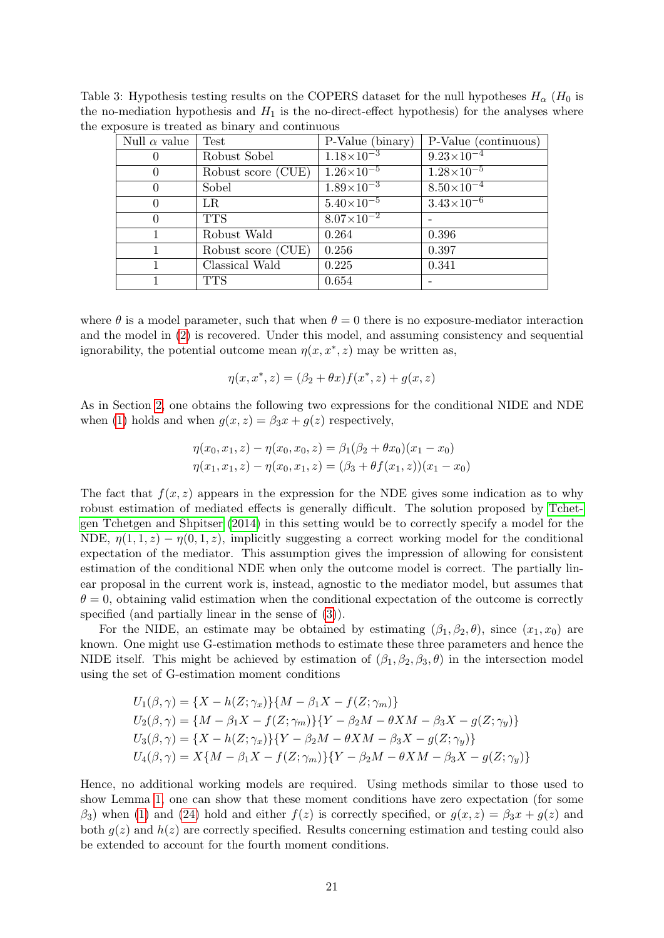<span id="page-20-0"></span>

| Null $\alpha$ value | Test               | P-Value (binary)      | P-Value (continuous)  |
|---------------------|--------------------|-----------------------|-----------------------|
| $\theta$            | Robust Sobel       | $1.18 \times 10^{-3}$ | $9.23 \times 10^{-4}$ |
| $\Omega$            | Robust score (CUE) | $1.26 \times 10^{-5}$ | $1.28 \times 10^{-5}$ |
| $\Omega$            | Sobel              | $1.89 \times 10^{-3}$ | $8.50\times10^{-4}$   |
| $\Omega$            | LR                 | $5.40\times10^{-5}$   | $3.43\times10^{-6}$   |
| $\Omega$            | <b>TTS</b>         | $8.07\times10^{-2}$   |                       |
| 1                   | Robust Wald        | 0.264                 | 0.396                 |
|                     | Robust score (CUE) | 0.256                 | 0.397                 |
|                     | Classical Wald     | 0.225                 | 0.341                 |
|                     | <b>TTS</b>         | 0.654                 |                       |

Table 3: Hypothesis testing results on the COPERS dataset for the null hypotheses  $H_{\alpha}$  ( $H_0$  is the no-mediation hypothesis and  $H_1$  is the no-direct-effect hypothesis) for the analyses where the exposure is treated as binary and continuous

where  $\theta$  is a model parameter, such that when  $\theta = 0$  there is no exposure-mediator interaction and the model in [\(2\)](#page-1-2) is recovered. Under this model, and assuming consistency and sequential ignorability, the potential outcome mean  $\eta(x, x^*, z)$  may be written as,

$$
\eta(x, x^*, z) = (\beta_2 + \theta x) f(x^*, z) + g(x, z)
$$

As in Section [2,](#page-3-0) one obtains the following two expressions for the conditional NIDE and NDE when [\(1\)](#page-1-0) holds and when  $g(x, z) = \beta_3 x + g(z)$  respectively,

$$
\eta(x_0, x_1, z) - \eta(x_0, x_0, z) = \beta_1(\beta_2 + \theta x_0)(x_1 - x_0)
$$
  

$$
\eta(x_1, x_1, z) - \eta(x_0, x_1, z) = (\beta_3 + \theta f(x_1, z))(x_1 - x_0)
$$

The fact that  $f(x, z)$  appears in the expression for the NDE gives some indication as to why robust estimation of mediated effects is generally difficult. The solution proposed by [Tchet](#page-24-3)[gen Tchetgen and Shpitser](#page-24-3) [\(2014\)](#page-24-3) in this setting would be to correctly specify a model for the NDE,  $\eta(1,1,z) - \eta(0,1,z)$ , implicitly suggesting a correct working model for the conditional expectation of the mediator. This assumption gives the impression of allowing for consistent estimation of the conditional NDE when only the outcome model is correct. The partially linear proposal in the current work is, instead, agnostic to the mediator model, but assumes that  $\theta = 0$ , obtaining valid estimation when the conditional expectation of the outcome is correctly specified (and partially linear in the sense of [\(3\)](#page-1-1)).

For the NIDE, an estimate may be obtained by estimating  $(\beta_1, \beta_2, \theta)$ , since  $(x_1, x_0)$  are known. One might use G-estimation methods to estimate these three parameters and hence the NIDE itself. This might be achieved by estimation of  $(\beta_1, \beta_2, \beta_3, \theta)$  in the intersection model using the set of G-estimation moment conditions

$$
U_1(\beta, \gamma) = \{X - h(Z; \gamma_x)\}\{M - \beta_1 X - f(Z; \gamma_m)\}
$$
  
\n
$$
U_2(\beta, \gamma) = \{M - \beta_1 X - f(Z; \gamma_m)\}\{Y - \beta_2 M - \theta X M - \beta_3 X - g(Z; \gamma_y)\}
$$
  
\n
$$
U_3(\beta, \gamma) = \{X - h(Z; \gamma_x)\}\{Y - \beta_2 M - \theta X M - \beta_3 X - g(Z; \gamma_y)\}
$$
  
\n
$$
U_4(\beta, \gamma) = X\{M - \beta_1 X - f(Z; \gamma_m)\}\{Y - \beta_2 M - \theta X M - \beta_3 X - g(Z; \gamma_y)\}
$$

Hence, no additional working models are required. Using methods similar to those used to show Lemma [1,](#page-5-0) one can show that these moment conditions have zero expectation (for some  $\beta_3$ ) when [\(1\)](#page-1-0) and [\(24\)](#page-19-3) hold and either  $f(z)$  is correctly specified, or  $g(x, z) = \beta_3 x + g(z)$  and both  $g(z)$  and  $h(z)$  are correctly specified. Results concerning estimation and testing could also be extended to account for the fourth moment conditions.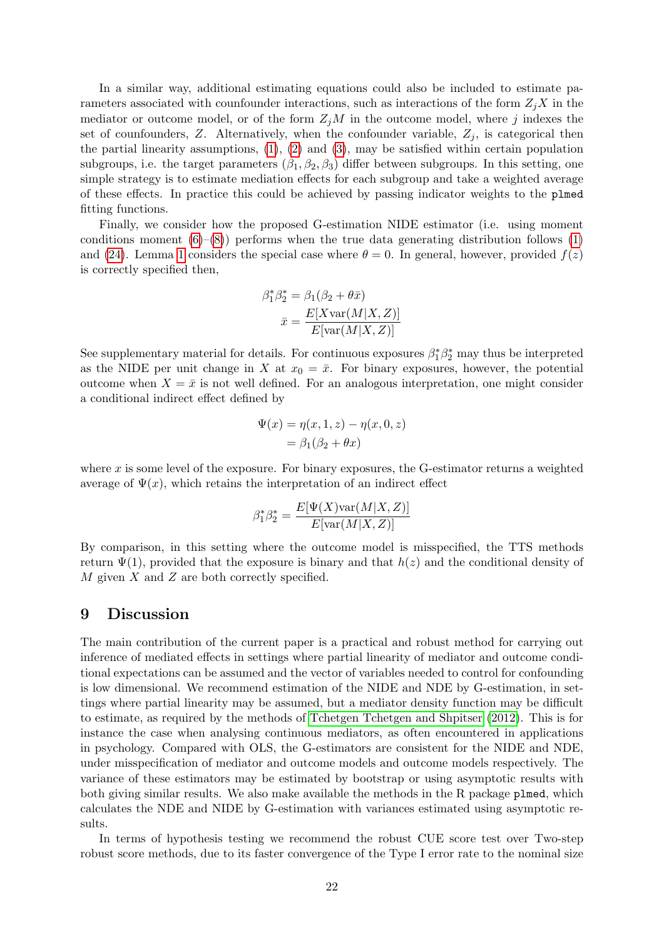In a similar way, additional estimating equations could also be included to estimate parameters associated with counfounder interactions, such as interactions of the form  $Z_iX$  in the mediator or outcome model, or of the form  $Z_jM$  in the outcome model, where j indexes the set of counfounders, Z. Alternatively, when the confounder variable,  $Z_j$ , is categorical then the partial linearity assumptions,  $(1)$ ,  $(2)$  and  $(3)$ , may be satisfied within certain population subgroups, i.e. the target parameters  $(\beta_1, \beta_2, \beta_3)$  differ between subgroups. In this setting, one simple strategy is to estimate mediation effects for each subgroup and take a weighted average of these effects. In practice this could be achieved by passing indicator weights to the plmed fitting functions.

Finally, we consider how the proposed G-estimation NIDE estimator (i.e. using moment conditions moment  $(6)–(8)$  $(6)–(8)$  $(6)–(8)$ ) performs when the true data generating distribution follows  $(1)$ and [\(24\)](#page-19-3). Lemma [1](#page-5-0) considers the special case where  $\theta = 0$ . In general, however, provided  $f(z)$ is correctly specified then,

$$
\beta_1^* \beta_2^* = \beta_1(\beta_2 + \theta \bar{x})
$$

$$
\bar{x} = \frac{E[X \text{var}(M|X, Z)]}{E[\text{var}(M|X, Z)]}
$$

See supplementary material for details. For continuous exposures  $\beta_1^* \beta_2^*$  may thus be interpreted as the NIDE per unit change in X at  $x_0 = \bar{x}$ . For binary exposures, however, the potential outcome when  $X = \bar{x}$  is not well defined. For an analogous interpretation, one might consider a conditional indirect effect defined by

$$
\Psi(x) = \eta(x, 1, z) - \eta(x, 0, z)
$$

$$
= \beta_1(\beta_2 + \theta x)
$$

where  $x$  is some level of the exposure. For binary exposures, the G-estimator returns a weighted average of  $\Psi(x)$ , which retains the interpretation of an indirect effect

$$
\beta_1^* \beta_2^* = \frac{E[\Psi(X) \text{var}(M|X, Z)]}{E[\text{var}(M|X, Z)]}
$$

By comparison, in this setting where the outcome model is misspecified, the TTS methods return  $\Psi(1)$ , provided that the exposure is binary and that  $h(z)$  and the conditional density of  $M$  given  $X$  and  $Z$  are both correctly specified.

## 9 Discussion

The main contribution of the current paper is a practical and robust method for carrying out inference of mediated effects in settings where partial linearity of mediator and outcome conditional expectations can be assumed and the vector of variables needed to control for confounding is low dimensional. We recommend estimation of the NIDE and NDE by G-estimation, in settings where partial linearity may be assumed, but a mediator density function may be difficult to estimate, as required by the methods of [Tchetgen Tchetgen and Shpitser](#page-24-2) [\(2012\)](#page-24-2). This is for instance the case when analysing continuous mediators, as often encountered in applications in psychology. Compared with OLS, the G-estimators are consistent for the NIDE and NDE, under misspecification of mediator and outcome models and outcome models respectively. The variance of these estimators may be estimated by bootstrap or using asymptotic results with both giving similar results. We also make available the methods in the R package plmed, which calculates the NDE and NIDE by G-estimation with variances estimated using asymptotic results.

In terms of hypothesis testing we recommend the robust CUE score test over Two-step robust score methods, due to its faster convergence of the Type I error rate to the nominal size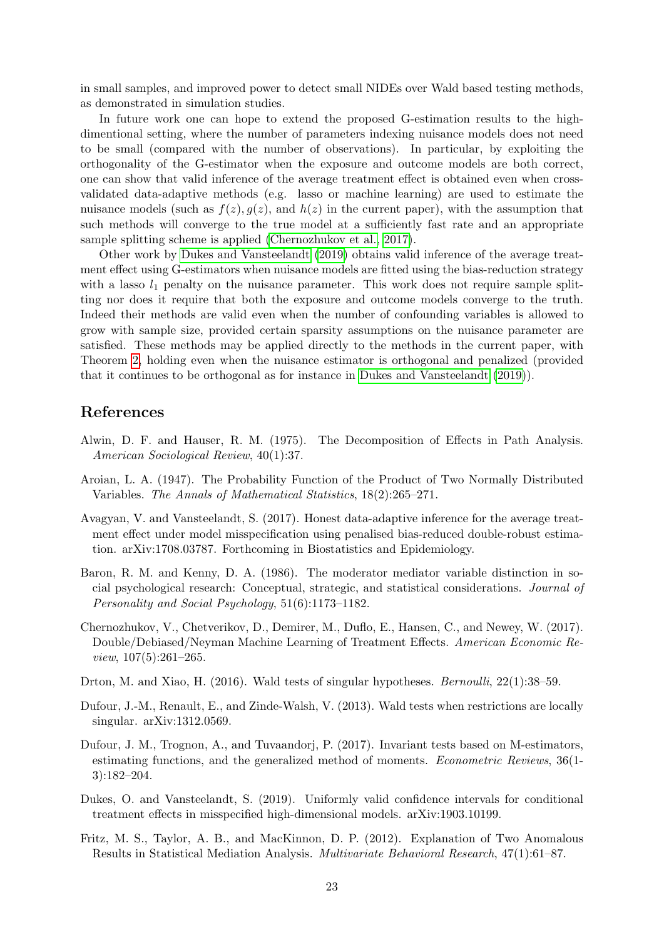in small samples, and improved power to detect small NIDEs over Wald based testing methods, as demonstrated in simulation studies.

In future work one can hope to extend the proposed G-estimation results to the highdimentional setting, where the number of parameters indexing nuisance models does not need to be small (compared with the number of observations). In particular, by exploiting the orthogonality of the G-estimator when the exposure and outcome models are both correct, one can show that valid inference of the average treatment effect is obtained even when crossvalidated data-adaptive methods (e.g. lasso or machine learning) are used to estimate the nuisance models (such as  $f(z)$ ,  $g(z)$ , and  $h(z)$  in the current paper), with the assumption that such methods will converge to the true model at a sufficiently fast rate and an appropriate sample splitting scheme is applied [\(Chernozhukov et al., 2017\)](#page-22-7).

Other work by [Dukes and Vansteelandt](#page-22-9) [\(2019\)](#page-22-9) obtains valid inference of the average treatment effect using G-estimators when nuisance models are fitted using the bias-reduction strategy with a lasso  $l_1$  penalty on the nuisance parameter. This work does not require sample splitting nor does it require that both the exposure and outcome models converge to the truth. Indeed their methods are valid even when the number of confounding variables is allowed to grow with sample size, provided certain sparsity assumptions on the nuisance parameter are satisfied. These methods may be applied directly to the methods in the current paper, with Theorem [2,](#page-8-0) holding even when the nuisance estimator is orthogonal and penalized (provided that it continues to be orthogonal as for instance in [Dukes and Vansteelandt](#page-22-9) [\(2019\)](#page-22-9)).

## References

- <span id="page-22-0"></span>Alwin, D. F. and Hauser, R. M. (1975). The Decomposition of Effects in Path Analysis. American Sociological Review, 40(1):37.
- <span id="page-22-6"></span>Aroian, L. A. (1947). The Probability Function of the Product of Two Normally Distributed Variables. The Annals of Mathematical Statistics, 18(2):265–271.
- <span id="page-22-8"></span>Avagyan, V. and Vansteelandt, S. (2017). Honest data-adaptive inference for the average treatment effect under model misspecification using penalised bias-reduced double-robust estimation. arXiv:1708.03787. Forthcoming in Biostatistics and Epidemiology.
- <span id="page-22-1"></span>Baron, R. M. and Kenny, D. A. (1986). The moderator mediator variable distinction in social psychological research: Conceptual, strategic, and statistical considerations. Journal of Personality and Social Psychology, 51(6):1173–1182.
- <span id="page-22-7"></span>Chernozhukov, V., Chetverikov, D., Demirer, M., Duflo, E., Hansen, C., and Newey, W. (2017). Double/Debiased/Neyman Machine Learning of Treatment Effects. American Economic Review, 107(5):261–265.
- <span id="page-22-3"></span>Drton, M. and Xiao, H. (2016). Wald tests of singular hypotheses. Bernoulli, 22(1):38–59.
- <span id="page-22-2"></span>Dufour, J.-M., Renault, E., and Zinde-Walsh, V. (2013). Wald tests when restrictions are locally singular. arXiv:1312.0569.
- <span id="page-22-5"></span>Dufour, J. M., Trognon, A., and Tuvaandorj, P. (2017). Invariant tests based on M-estimators, estimating functions, and the generalized method of moments. Econometric Reviews, 36(1- 3):182–204.
- <span id="page-22-9"></span>Dukes, O. and Vansteelandt, S. (2019). Uniformly valid confidence intervals for conditional treatment effects in misspecified high-dimensional models. arXiv:1903.10199.
- <span id="page-22-4"></span>Fritz, M. S., Taylor, A. B., and MacKinnon, D. P. (2012). Explanation of Two Anomalous Results in Statistical Mediation Analysis. Multivariate Behavioral Research, 47(1):61–87.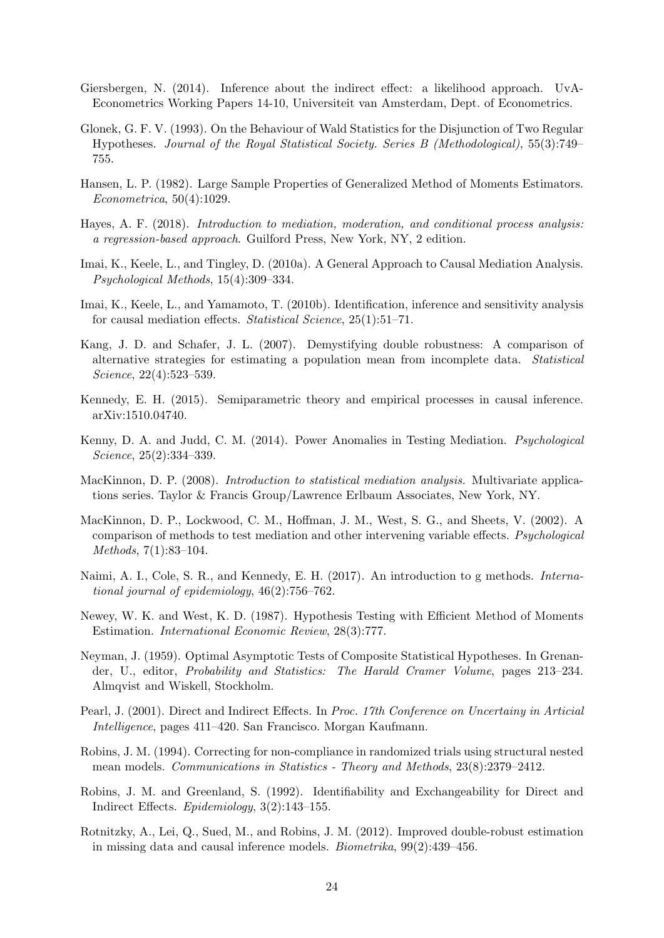- <span id="page-23-9"></span>Giersbergen, N. (2014). Inference about the indirect effect: a likelihood approach. UvA-Econometrics Working Papers 14-10, Universiteit van Amsterdam, Dept. of Econometrics.
- <span id="page-23-17"></span>Glonek, G. F. V. (1993). On the Behaviour of Wald Statistics for the Disjunction of Two Regular Hypotheses. Journal of the Royal Statistical Society. Series B (Methodological), 55(3):749– 755.
- <span id="page-23-16"></span>Hansen, L. P. (1982). Large Sample Properties of Generalized Method of Moments Estimators. Econometrica, 50(4):1029.
- <span id="page-23-1"></span>Hayes, A. F. (2018). Introduction to mediation, moderation, and conditional process analysis: a regression-based approach. Guilford Press, New York, NY, 2 edition.
- <span id="page-23-4"></span>Imai, K., Keele, L., and Tingley, D. (2010a). A General Approach to Causal Mediation Analysis. Psychological Methods, 15(4):309–334.
- <span id="page-23-12"></span>Imai, K., Keele, L., and Yamamoto, T. (2010b). Identification, inference and sensitivity analysis for causal mediation effects. Statistical Science, 25(1):51–71.
- <span id="page-23-6"></span>Kang, J. D. and Schafer, J. L. (2007). Demystifying double robustness: A comparison of alternative strategies for estimating a population mean from incomplete data. Statistical Science, 22(4):523–539.
- <span id="page-23-13"></span>Kennedy, E. H. (2015). Semiparametric theory and empirical processes in causal inference. arXiv:1510.04740.
- <span id="page-23-10"></span>Kenny, D. A. and Judd, C. M. (2014). Power Anomalies in Testing Mediation. Psychological Science, 25(2):334–339.
- <span id="page-23-0"></span>MacKinnon, D. P. (2008). Introduction to statistical mediation analysis. Multivariate applications series. Taylor & Francis Group/Lawrence Erlbaum Associates, New York, NY.
- <span id="page-23-5"></span>MacKinnon, D. P., Lockwood, C. M., Hoffman, J. M., West, S. G., and Sheets, V. (2002). A comparison of methods to test mediation and other intervening variable effects. Psychological Methods, 7(1):83–104.
- <span id="page-23-8"></span>Naimi, A. I., Cole, S. R., and Kennedy, E. H. (2017). An introduction to g methods. International journal of epidemiology, 46(2):756–762.
- <span id="page-23-11"></span>Newey, W. K. and West, K. D. (1987). Hypothesis Testing with Efficient Method of Moments Estimation. International Economic Review, 28(3):777.
- <span id="page-23-14"></span>Neyman, J. (1959). Optimal Asymptotic Tests of Composite Statistical Hypotheses. In Grenander, U., editor, Probability and Statistics: The Harald Cramer Volume, pages 213–234. Almqvist and Wiskell, Stockholm.
- <span id="page-23-3"></span>Pearl, J. (2001). Direct and Indirect Effects. In Proc. 17th Conference on Uncertainy in Articial Intelligence, pages 411–420. San Francisco. Morgan Kaufmann.
- <span id="page-23-7"></span>Robins, J. M. (1994). Correcting for non-compliance in randomized trials using structural nested mean models. Communications in Statistics - Theory and Methods, 23(8):2379–2412.
- <span id="page-23-2"></span>Robins, J. M. and Greenland, S. (1992). Identifiability and Exchangeability for Direct and Indirect Effects. Epidemiology, 3(2):143–155.
- <span id="page-23-15"></span>Rotnitzky, A., Lei, Q., Sued, M., and Robins, J. M. (2012). Improved double-robust estimation in missing data and causal inference models. Biometrika, 99(2):439–456.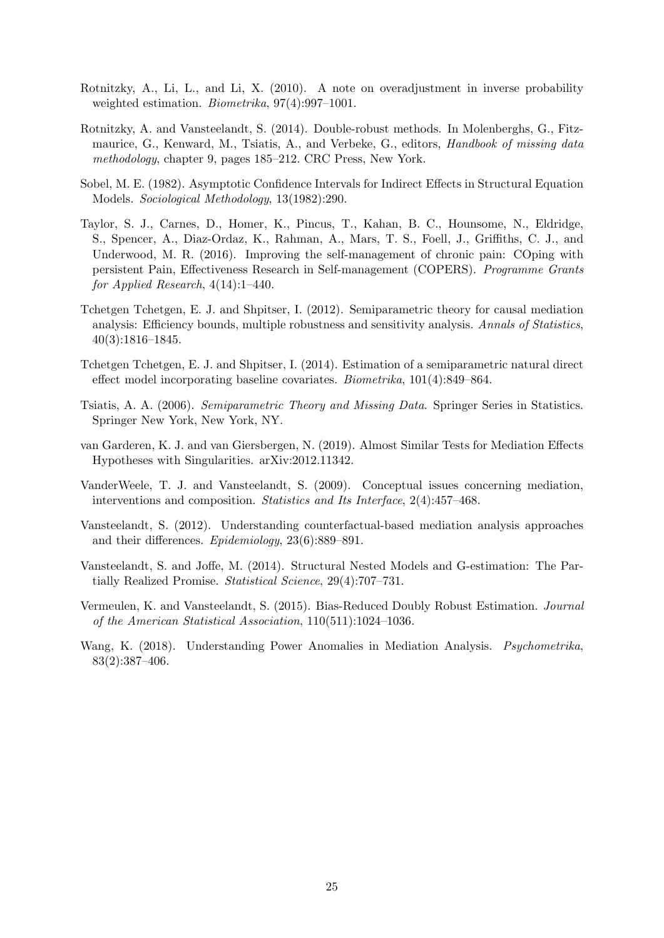- <span id="page-24-12"></span>Rotnitzky, A., Li, L., and Li, X. (2010). A note on overadjustment in inverse probability weighted estimation. Biometrika, 97(4):997–1001.
- <span id="page-24-8"></span>Rotnitzky, A. and Vansteelandt, S. (2014). Double-robust methods. In Molenberghs, G., Fitzmaurice, G., Kenward, M., Tsiatis, A., and Verbeke, G., editors, *Handbook of missing data* methodology, chapter 9, pages 185–212. CRC Press, New York.
- <span id="page-24-5"></span>Sobel, M. E. (1982). Asymptotic Confidence Intervals for Indirect Effects in Structural Equation Models. Sociological Methodology, 13(1982):290.
- <span id="page-24-11"></span>Taylor, S. J., Carnes, D., Homer, K., Pincus, T., Kahan, B. C., Hounsome, N., Eldridge, S., Spencer, A., Diaz-Ordaz, K., Rahman, A., Mars, T. S., Foell, J., Griffiths, C. J., and Underwood, M. R. (2016). Improving the self-management of chronic pain: COping with persistent Pain, Effectiveness Research in Self-management (COPERS). Programme Grants for Applied Research,  $4(14):1-440$ .
- <span id="page-24-2"></span>Tchetgen Tchetgen, E. J. and Shpitser, I. (2012). Semiparametric theory for causal mediation analysis: Efficiency bounds, multiple robustness and sensitivity analysis. Annals of Statistics, 40(3):1816–1845.
- <span id="page-24-3"></span>Tchetgen Tchetgen, E. J. and Shpitser, I. (2014). Estimation of a semiparametric natural direct effect model incorporating baseline covariates. Biometrika, 101(4):849–864.
- <span id="page-24-7"></span>Tsiatis, A. A. (2006). Semiparametric Theory and Missing Data. Springer Series in Statistics. Springer New York, New York, NY.
- <span id="page-24-10"></span>van Garderen, K. J. and van Giersbergen, N. (2019). Almost Similar Tests for Mediation Effects Hypotheses with Singularities. arXiv:2012.11342.
- <span id="page-24-0"></span>VanderWeele, T. J. and Vansteelandt, S. (2009). Conceptual issues concerning mediation, interventions and composition. Statistics and Its Interface, 2(4):457–468.
- <span id="page-24-1"></span>Vansteelandt, S. (2012). Understanding counterfactual-based mediation analysis approaches and their differences. Epidemiology, 23(6):889–891.
- <span id="page-24-4"></span>Vansteelandt, S. and Joffe, M. (2014). Structural Nested Models and G-estimation: The Partially Realized Promise. Statistical Science, 29(4):707–731.
- <span id="page-24-9"></span>Vermeulen, K. and Vansteelandt, S. (2015). Bias-Reduced Doubly Robust Estimation. Journal of the American Statistical Association, 110(511):1024–1036.
- <span id="page-24-6"></span>Wang, K. (2018). Understanding Power Anomalies in Mediation Analysis. Psychometrika, 83(2):387–406.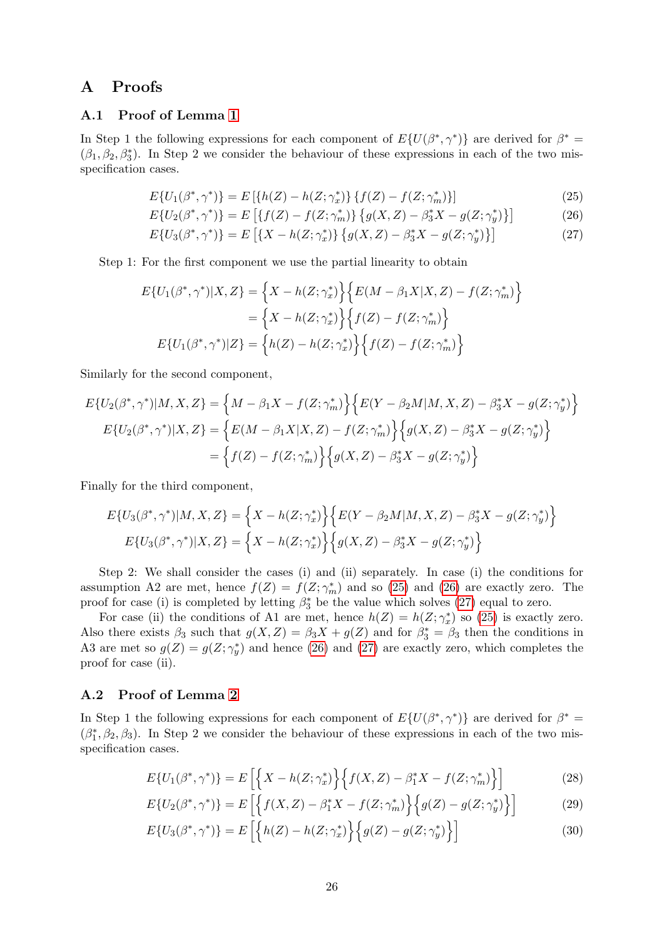## A Proofs

### A.1 Proof of Lemma [1](#page-5-0)

In Step 1 the following expressions for each component of  $E\{U(\beta^*, \gamma^*)\}$  are derived for  $\beta^* =$  $(\beta_1, \beta_2, \beta_3^*)$ . In Step 2 we consider the behaviour of these expressions in each of the two misspecification cases.

<span id="page-25-1"></span><span id="page-25-0"></span>
$$
E\{U_1(\beta^*,\gamma^*)\} = E\left[\{h(Z) - h(Z;\gamma_x^*)\} \{f(Z) - f(Z;\gamma_m^*)\}\right]
$$
\n(25)

$$
E\{U_2(\beta^*,\gamma^*)\} = E\left[\{f(Z) - f(Z;\gamma_m^*)\} \{g(X,Z) - \beta_3^*X - g(Z;\gamma_y^*)\}\right]
$$
(26)

<span id="page-25-2"></span>
$$
E\{U_3(\beta^*,\gamma^*)\} = E\left[\{X - h(Z;\gamma_x^*)\} \{g(X,Z) - \beta_3^*X - g(Z;\gamma_y^*)\}\right]
$$
(27)

Step 1: For the first component we use the partial linearity to obtain

$$
E\{U_1(\beta^*, \gamma^*)|X, Z\} = \left\{X - h(Z; \gamma_x^*)\right\} \left\{E(M - \beta_1 X|X, Z) - f(Z; \gamma_m^*)\right\}
$$

$$
= \left\{X - h(Z; \gamma_x^*)\right\} \left\{f(Z) - f(Z; \gamma_m^*)\right\}
$$

$$
E\{U_1(\beta^*, \gamma^*)|Z\} = \left\{h(Z) - h(Z; \gamma_x^*)\right\} \left\{f(Z) - f(Z; \gamma_m^*)\right\}
$$

Similarly for the second component,

$$
E\{U_2(\beta^*, \gamma^*)|M, X, Z\} = \left\{M - \beta_1 X - f(Z; \gamma_m^*)\right\} \left\{E(Y - \beta_2 M|M, X, Z) - \beta_3^* X - g(Z; \gamma_y^*)\right\}
$$
  

$$
E\{U_2(\beta^*, \gamma^*)|X, Z\} = \left\{E(M - \beta_1 X|X, Z) - f(Z; \gamma_m^*)\right\} \left\{g(X, Z) - \beta_3^* X - g(Z; \gamma_y^*)\right\}
$$
  

$$
= \left\{f(Z) - f(Z; \gamma_m^*)\right\} \left\{g(X, Z) - \beta_3^* X - g(Z; \gamma_y^*)\right\}
$$

Finally for the third component,

$$
E\{U_3(\beta^*, \gamma^*)|M, X, Z\} = \left\{X - h(Z; \gamma_x^*)\right\} \left\{E(Y - \beta_2 M|M, X, Z) - \beta_3^* X - g(Z; \gamma_y^*)\right\}
$$

$$
E\{U_3(\beta^*, \gamma^*)|X, Z\} = \left\{X - h(Z; \gamma_x^*)\right\} \left\{g(X, Z) - \beta_3^* X - g(Z; \gamma_y^*)\right\}
$$

Step 2: We shall consider the cases (i) and (ii) separately. In case (i) the conditions for assumption A2 are met, hence  $f(Z) = f(Z; \gamma_m^*)$  and so [\(25\)](#page-25-0) and [\(26\)](#page-25-1) are exactly zero. The proof for case (i) is completed by letting  $\beta_3^*$  be the value which solves [\(27\)](#page-25-2) equal to zero.

For case (ii) the conditions of A1 are met, hence  $h(Z) = h(Z; \gamma_x^*)$  so [\(25\)](#page-25-0) is exactly zero. Also there exists  $\beta_3$  such that  $g(X, Z) = \beta_3 X + g(Z)$  and for  $\beta_3^* = \beta_3$  then the conditions in A3 are met so  $g(Z) = g(Z; \gamma_y^*)$  and hence [\(26\)](#page-25-1) and [\(27\)](#page-25-2) are exactly zero, which completes the proof for case (ii).

#### A.2 Proof of Lemma [2](#page-5-1)

In Step 1 the following expressions for each component of  $E\{U(\beta^*, \gamma^*)\}$  are derived for  $\beta^* =$  $(\beta_1^*, \beta_2, \beta_3)$ . In Step 2 we consider the behaviour of these expressions in each of the two misspecification cases.

<span id="page-25-5"></span>
$$
E\{U_1(\beta^*,\gamma^*)\} = E\left[\left\{X - h(Z;\gamma_x^*)\right\} \left\{f(X,Z) - \beta_1^*X - f(Z;\gamma_m^*)\right\}\right]
$$
(28)

<span id="page-25-3"></span>
$$
E\{U_2(\beta^*, \gamma^*)\} = E\left[\left\{f(X, Z) - \beta_1^* X - f(Z; \gamma_m^*)\right\} \left\{g(Z) - g(Z; \gamma_y^*)\right\}\right] \tag{29}
$$

<span id="page-25-4"></span>
$$
E\{U_3(\beta^*, \gamma^*)\} = E\left[\left\{h(Z) - h(Z; \gamma_x^*)\right\} \left\{g(Z) - g(Z; \gamma_y^*)\right\}\right] \tag{30}
$$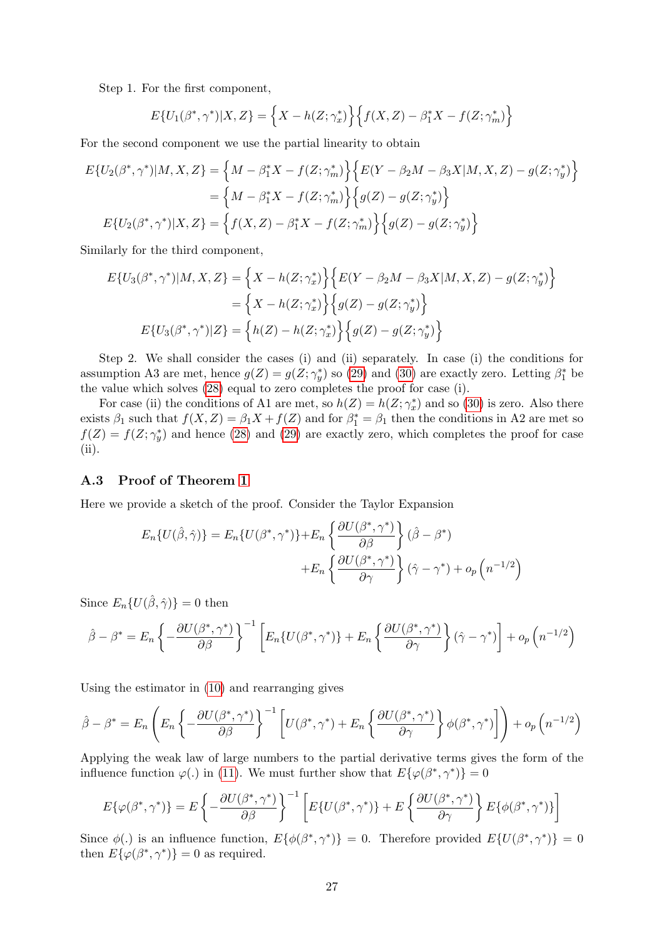Step 1. For the first component,

$$
E\{U_1(\beta^*,\gamma^*)|X,Z\} = \left\{X - h(Z;\gamma_x^*)\right\} \left\{f(X,Z) - \beta_1^*X - f(Z;\gamma_m^*)\right\}
$$

For the second component we use the partial linearity to obtain

$$
E\{U_2(\beta^*, \gamma^*)|M, X, Z\} = \left\{M - \beta_1^* X - f(Z; \gamma_m^*)\right\} \left\{E(Y - \beta_2 M - \beta_3 X|M, X, Z) - g(Z; \gamma_y^*)\right\}
$$
  

$$
= \left\{M - \beta_1^* X - f(Z; \gamma_m^*)\right\} \left\{g(Z) - g(Z; \gamma_y^*)\right\}
$$
  

$$
E\{U_2(\beta^*, \gamma^*)|X, Z\} = \left\{f(X, Z) - \beta_1^* X - f(Z; \gamma_m^*)\right\} \left\{g(Z) - g(Z; \gamma_y^*)\right\}
$$

Similarly for the third component,

$$
E\{U_3(\beta^*, \gamma^*)|M, X, Z\} = \left\{X - h(Z; \gamma_x^*)\right\} \left\{E(Y - \beta_2 M - \beta_3 X|M, X, Z) - g(Z; \gamma_y^*)\right\}
$$

$$
= \left\{X - h(Z; \gamma_x^*)\right\} \left\{g(Z) - g(Z; \gamma_y^*)\right\}
$$

$$
E\{U_3(\beta^*, \gamma^*)|Z\} = \left\{h(Z) - h(Z; \gamma_x^*)\right\} \left\{g(Z) - g(Z; \gamma_y^*)\right\}
$$

Step 2. We shall consider the cases (i) and (ii) separately. In case (i) the conditions for assumption A3 are met, hence  $g(Z) = g(Z; \gamma_y^*)$  so [\(29\)](#page-25-3) and [\(30\)](#page-25-4) are exactly zero. Letting  $\beta_1^*$  be the value which solves [\(28\)](#page-25-5) equal to zero completes the proof for case (i).

For case (ii) the conditions of A1 are met, so  $h(Z) = h(Z; \gamma_x^*)$  and so [\(30\)](#page-25-4) is zero. Also there exists  $\beta_1$  such that  $f(X, Z) = \beta_1 X + f(Z)$  and for  $\beta_1^* = \beta_1$  then the conditions in A2 are met so  $f(Z) = f(Z; \gamma_y^*)$  and hence [\(28\)](#page-25-5) and [\(29\)](#page-25-3) are exactly zero, which completes the proof for case (ii).

#### A.3 Proof of Theorem [1](#page-5-3)

Here we provide a sketch of the proof. Consider the Taylor Expansion

$$
E_n\{U(\hat{\beta}, \hat{\gamma})\} = E_n\{U(\beta^*, \gamma^*)\} + E_n\left\{\frac{\partial U(\beta^*, \gamma^*)}{\partial \beta}\right\}(\hat{\beta} - \beta^*) + E_n\left\{\frac{\partial U(\beta^*, \gamma^*)}{\partial \gamma}\right\}(\hat{\gamma} - \gamma^*) + o_p\left(n^{-1/2}\right)
$$

Since  $E_n\{U(\hat{\beta}, \hat{\gamma})\}=0$  then

$$
\hat{\beta} - \beta^* = E_n \left\{ -\frac{\partial U(\beta^*, \gamma^*)}{\partial \beta} \right\}^{-1} \left[ E_n \{ U(\beta^*, \gamma^*) \} + E_n \left\{ \frac{\partial U(\beta^*, \gamma^*)}{\partial \gamma} \right\} (\hat{\gamma} - \gamma^*) \right] + o_p \left( n^{-1/2} \right)
$$

Using the estimator in [\(10\)](#page-5-5) and rearranging gives

$$
\hat{\beta} - \beta^* = E_n \left( E_n \left\{ -\frac{\partial U(\beta^*, \gamma^*)}{\partial \beta} \right\}^{-1} \left[ U(\beta^*, \gamma^*) + E_n \left\{ \frac{\partial U(\beta^*, \gamma^*)}{\partial \gamma} \right\} \phi(\beta^*, \gamma^*) \right] \right) + o_p\left( n^{-1/2} \right)
$$

Applying the weak law of large numbers to the partial derivative terms gives the form of the influence function  $\varphi(.)$  in [\(11\)](#page-5-4). We must further show that  $E\{\varphi(\beta^*, \gamma^*)\} = 0$ 

$$
E\{\varphi(\beta^*,\gamma^*)\} = E\left\{-\frac{\partial U(\beta^*,\gamma^*)}{\partial \beta}\right\}^{-1} \left[E\{U(\beta^*,\gamma^*)\} + E\left\{\frac{\partial U(\beta^*,\gamma^*)}{\partial \gamma}\right\} E\{\phi(\beta^*,\gamma^*)\}\right]
$$

Since  $\phi(.)$  is an influence function,  $E\{\phi(\beta^*, \gamma^*)\} = 0$ . Therefore provided  $E\{U(\beta^*, \gamma^*)\} = 0$ then  $E{\phi(\beta^*, \gamma^*)} = 0$  as required.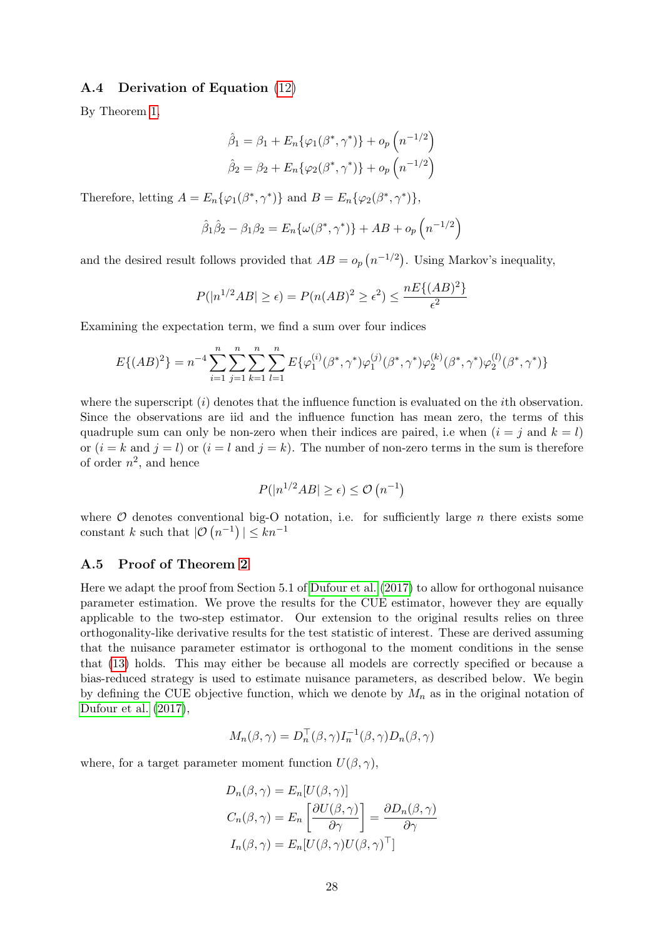### A.4 Derivation of Equation [\(12\)](#page-6-1)

By Theorem [1,](#page-5-3)

$$
\hat{\beta}_1 = \beta_1 + E_n \{ \varphi_1(\beta^*, \gamma^*) \} + o_p \left( n^{-1/2} \right)
$$

$$
\hat{\beta}_2 = \beta_2 + E_n \{ \varphi_2(\beta^*, \gamma^*) \} + o_p \left( n^{-1/2} \right)
$$

Therefore, letting  $A = E_n \{ \varphi_1(\beta^*, \gamma^*) \}$  and  $B = E_n \{ \varphi_2(\beta^*, \gamma^*) \},$ 

$$
\hat{\beta}_1 \hat{\beta}_2 - \beta_1 \beta_2 = E_n \{ \omega(\beta^*, \gamma^*) \} + AB + o_p \left( n^{-1/2} \right)
$$

and the desired result follows provided that  $AB = o_p(n^{-1/2})$ . Using Markov's inequality,

$$
P(|n^{1/2}AB| \ge \epsilon) = P(n(AB)^2 \ge \epsilon^2) \le \frac{nE\{(AB)^2\}}{\epsilon^2}
$$

Examining the expectation term, we find a sum over four indices

$$
E\{(AB)^2\} = n^{-4} \sum_{i=1}^n \sum_{j=1}^n \sum_{k=1}^n \sum_{l=1}^n E\{\varphi_1^{(i)}(\beta^*, \gamma^*)\varphi_1^{(j)}(\beta^*, \gamma^*)\varphi_2^{(k)}(\beta^*, \gamma^*)\varphi_2^{(l)}(\beta^*, \gamma^*)\}
$$

where the superscript  $(i)$  denotes that the influence function is evaluated on the *i*th observation. Since the observations are iid and the influence function has mean zero, the terms of this quadruple sum can only be non-zero when their indices are paired, i.e when  $(i = j$  and  $k = l$ ) or  $(i = k \text{ and } j = l)$  or  $(i = l \text{ and } j = k)$ . The number of non-zero terms in the sum is therefore of order  $n^2$ , and hence

$$
P(|n^{1/2}AB| \ge \epsilon) \le \mathcal{O}(n^{-1})
$$

where  $O$  denotes conventional big-O notation, i.e. for sufficiently large  $n$  there exists some constant k such that  $|\mathcal{O}(n^{-1})| \leq kn^{-1}$ 

#### A.5 Proof of Theorem [2](#page-8-0)

Here we adapt the proof from Section 5.1 of [Dufour et al.](#page-22-5) [\(2017\)](#page-22-5) to allow for orthogonal nuisance parameter estimation. We prove the results for the CUE estimator, however they are equally applicable to the two-step estimator. Our extension to the original results relies on three orthogonality-like derivative results for the test statistic of interest. These are derived assuming that the nuisance parameter estimator is orthogonal to the moment conditions in the sense that [\(13\)](#page-6-2) holds. This may either be because all models are correctly specified or because a bias-reduced strategy is used to estimate nuisance parameters, as described below. We begin by defining the CUE objective function, which we denote by  $M_n$  as in the original notation of [Dufour et al.](#page-22-5) [\(2017\)](#page-22-5),

$$
M_n(\beta, \gamma) = D_n^{\top}(\beta, \gamma) I_n^{-1}(\beta, \gamma) D_n(\beta, \gamma)
$$

where, for a target parameter moment function  $U(\beta, \gamma)$ ,

$$
D_n(\beta, \gamma) = E_n[U(\beta, \gamma)]
$$
  
\n
$$
C_n(\beta, \gamma) = E_n \left[ \frac{\partial U(\beta, \gamma)}{\partial \gamma} \right] = \frac{\partial D_n(\beta, \gamma)}{\partial \gamma}
$$
  
\n
$$
I_n(\beta, \gamma) = E_n[U(\beta, \gamma)U(\beta, \gamma)^\top]
$$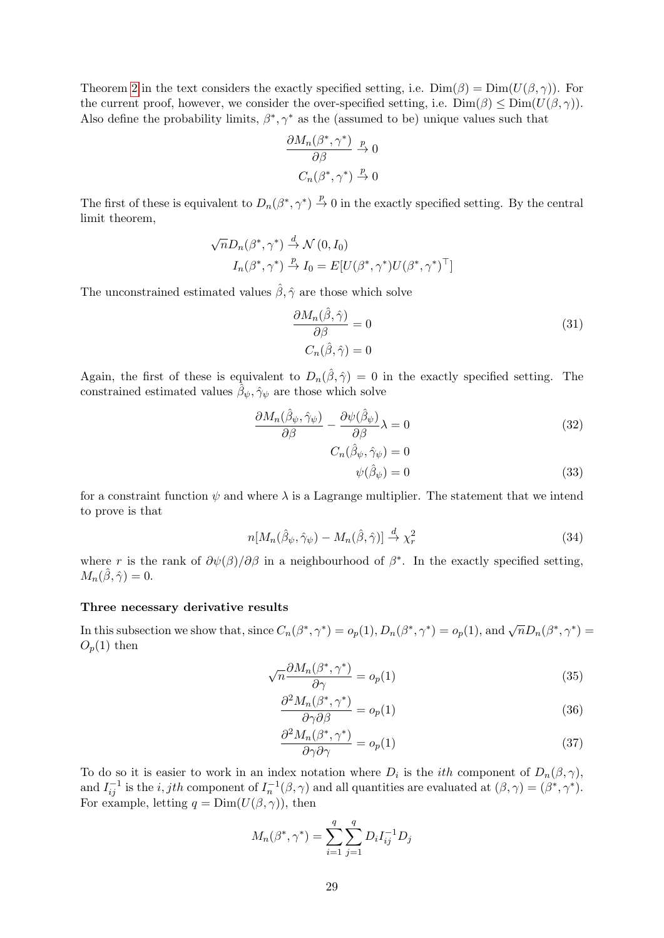Theorem [2](#page-8-0) in the text considers the exactly specified setting, i.e.  $Dim(\beta) = Dim(U(\beta, \gamma))$ . For the current proof, however, we consider the over-specified setting, i.e.  $Dim(\beta) \leq Dim(U(\beta, \gamma)).$ Also define the probability limits,  $\beta^*, \gamma^*$  as the (assumed to be) unique values such that

$$
\frac{\partial M_n(\beta^*, \gamma^*)}{\partial \beta} \xrightarrow{p} 0
$$

$$
C_n(\beta^*, \gamma^*) \xrightarrow{p} 0
$$

The first of these is equivalent to  $D_n(\beta^*, \gamma^*) \stackrel{p}{\to} 0$  in the exactly specified setting. By the central limit theorem,

$$
\sqrt{n}D_n(\beta^*, \gamma^*) \stackrel{d}{\rightarrow} \mathcal{N}(0, I_0)
$$
  

$$
I_n(\beta^*, \gamma^*) \stackrel{p}{\rightarrow} I_0 = E[U(\beta^*, \gamma^*)U(\beta^*, \gamma^*)^\top]
$$

The unconstrained estimated values  $\hat{\beta}, \hat{\gamma}$  are those which solve

<span id="page-28-2"></span>
$$
\frac{\partial M_n(\hat{\beta}, \hat{\gamma})}{\partial \beta} = 0
$$
\n
$$
C_n(\hat{\beta}, \hat{\gamma}) = 0
$$
\n(31)

Again, the first of these is equivalent to  $D_n(\hat{\beta}, \hat{\gamma}) = 0$  in the exactly specified setting. The constrained estimated values  $\hat{\beta}_{\psi}, \hat{\gamma}_{\psi}$  are those which solve

$$
\frac{\partial M_n(\hat{\beta}_\psi, \hat{\gamma}_\psi)}{\partial \beta} - \frac{\partial \psi(\hat{\beta}_\psi)}{\partial \beta} \lambda = 0 \tag{32}
$$

<span id="page-28-3"></span>
$$
C_n(\hat{\beta}_{\psi}, \hat{\gamma}_{\psi}) = 0
$$
  

$$
\psi(\hat{\beta}_{\psi}) = 0
$$
 (33)

for a constraint function  $\psi$  and where  $\lambda$  is a Lagrange multiplier. The statement that we intend to prove is that

$$
n[M_n(\hat{\beta}_{\psi}, \hat{\gamma}_{\psi}) - M_n(\hat{\beta}, \hat{\gamma})] \stackrel{d}{\to} \chi^2_r
$$
\n(34)

where r is the rank of  $\partial \psi(\beta)/\partial \beta$  in a neighbourhood of  $\beta^*$ . In the exactly specified setting,  $M_n(\hat{\beta}, \hat{\gamma}) = 0.$ 

#### Three necessary derivative results

In this subsection we show that, since  $C_n(\beta^*, \gamma^*) = o_p(1), D_n(\beta^*, \gamma^*) = o_p(1)$ , and  $\sqrt{n}D_n(\beta^*, \gamma^*) = o_p(1)$  $O_p(1)$  then

$$
\sqrt{n}\frac{\partial M_n(\beta^*,\gamma^*)}{\partial \gamma} = o_p(1)
$$
\n(35)

<span id="page-28-4"></span><span id="page-28-0"></span>
$$
\frac{\partial^2 M_n(\beta^*, \gamma^*)}{\partial \gamma \partial \beta} = o_p(1)
$$
\n(36)

<span id="page-28-1"></span>
$$
\frac{\partial^2 M_n(\beta^*, \gamma^*)}{\partial \gamma \partial \gamma} = o_p(1)
$$
\n(37)

To do so it is easier to work in an index notation where  $D_i$  is the *ith* component of  $D_n(\beta, \gamma)$ , and  $I_{ij}^{-1}$  is the *i*, *jth* component of  $I_n^{-1}(\beta, \gamma)$  and all quantities are evaluated at  $(\beta, \gamma) = (\beta^*, \gamma^*)$ . For example, letting  $q = \text{Dim}(U(\beta, \gamma))$ , then

$$
M_n(\beta^*, \gamma^*) = \sum_{i=1}^q \sum_{j=1}^q D_i I_{ij}^{-1} D_j
$$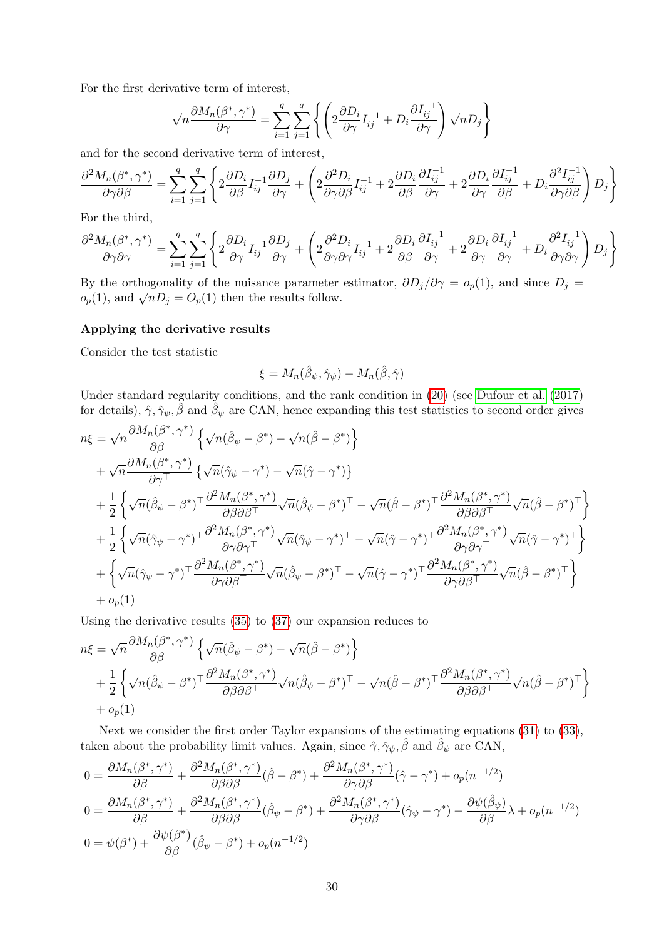For the first derivative term of interest,

$$
\sqrt{n}\frac{\partial M_n(\beta^*,\gamma^*)}{\partial \gamma} = \sum_{i=1}^q \sum_{j=1}^q \left\{ \left( 2\frac{\partial D_i}{\partial \gamma} I_{ij}^{-1} + D_i \frac{\partial I_{ij}^{-1}}{\partial \gamma} \right) \sqrt{n} D_j \right\}
$$

and for the second derivative term of interest,

$$
\frac{\partial^2 M_n(\beta^*, \gamma^*)}{\partial \gamma \partial \beta} = \sum_{i=1}^q \sum_{j=1}^q \left\{ 2 \frac{\partial D_i}{\partial \beta} I_{ij}^{-1} \frac{\partial D_j}{\partial \gamma} + \left( 2 \frac{\partial^2 D_i}{\partial \gamma \partial \beta} I_{ij}^{-1} + 2 \frac{\partial D_i}{\partial \beta} \frac{\partial I_{ij}^{-1}}{\partial \gamma} + 2 \frac{\partial D_i}{\partial \gamma} \frac{\partial I_{ij}^{-1}}{\partial \beta} + D_i \frac{\partial^2 I_{ij}^{-1}}{\partial \gamma \partial \beta} \right) D_j \right\}
$$

For the third,

$$
\frac{\partial^2 M_n(\beta^*, \gamma^*)}{\partial \gamma \partial \gamma} = \sum_{i=1}^q \sum_{j=1}^q \left\{ 2 \frac{\partial D_i}{\partial \gamma} I_{ij}^{-1} \frac{\partial D_j}{\partial \gamma} + \left( 2 \frac{\partial^2 D_i}{\partial \gamma \partial \gamma} I_{ij}^{-1} + 2 \frac{\partial D_i}{\partial \beta} \frac{\partial I_{ij}^{-1}}{\partial \gamma} + 2 \frac{\partial D_i}{\partial \gamma} \frac{\partial I_{ij}^{-1}}{\partial \gamma} + D_i \frac{\partial^2 I_{ij}^{-1}}{\partial \gamma \partial \gamma} \right) D_j \right\}
$$

By the orthogonality of the nuisance parameter estimator,  $\partial D_j/\partial \gamma = o_p(1)$ , and since  $D_j =$ By the orthogonality of the musance parameter  $o_p(1)$ , and  $\sqrt{n}D_j = O_p(1)$  then the results follow.

### Applying the derivative results

Consider the test statistic

$$
\xi=M_n(\hat{\beta}_{\psi},\hat{\gamma}_{\psi})-M_n(\hat{\beta},\hat{\gamma})
$$

Under standard regularity conditions, and the rank condition in [\(20\)](#page-9-0) (see [Dufour et al.](#page-22-5) [\(2017\)](#page-22-5) for details),  $\hat{\gamma}, \hat{\gamma}_{\psi}, \hat{\beta}$  and  $\hat{\beta}_{\psi}$  are CAN, hence expanding this test statistics to second order gives

$$
n\xi = \sqrt{n} \frac{\partial M_n(\beta^*, \gamma^*)}{\partial \beta^{\top}} \left\{ \sqrt{n}(\hat{\beta}_{\psi} - \beta^*) - \sqrt{n}(\hat{\beta} - \beta^*) \right\} + \sqrt{n} \frac{\partial M_n(\beta^*, \gamma^*)}{\partial \gamma^{\top}} \left\{ \sqrt{n}(\hat{\gamma}_{\psi} - \gamma^*) - \sqrt{n}(\hat{\gamma} - \gamma^*) \right\} + \frac{1}{2} \left\{ \sqrt{n}(\hat{\beta}_{\psi} - \beta^*)^{\top} \frac{\partial^2 M_n(\beta^*, \gamma^*)}{\partial \beta \partial \beta^{\top}} \sqrt{n}(\hat{\beta}_{\psi} - \beta^*)^{\top} - \sqrt{n}(\hat{\beta} - \beta^*)^{\top} \frac{\partial^2 M_n(\beta^*, \gamma^*)}{\partial \beta \partial \beta^{\top}} \sqrt{n}(\hat{\beta} - \beta^*)^{\top} \right\} + \frac{1}{2} \left\{ \sqrt{n}(\hat{\gamma}_{\psi} - \gamma^*)^{\top} \frac{\partial^2 M_n(\beta^*, \gamma^*)}{\partial \gamma \partial \gamma^{\top}} \sqrt{n}(\hat{\gamma}_{\psi} - \gamma^*)^{\top} - \sqrt{n}(\hat{\gamma} - \gamma^*)^{\top} \frac{\partial^2 M_n(\beta^*, \gamma^*)}{\partial \gamma \partial \gamma^{\top}} \sqrt{n}(\hat{\gamma} - \gamma^*)^{\top} \right\} + \left\{ \sqrt{n}(\hat{\gamma}_{\psi} - \gamma^*)^{\top} \frac{\partial^2 M_n(\beta^*, \gamma^*)}{\partial \gamma \partial \beta^{\top}} \sqrt{n}(\hat{\beta}_{\psi} - \beta^*)^{\top} - \sqrt{n}(\hat{\gamma} - \gamma^*)^{\top} \frac{\partial^2 M_n(\beta^*, \gamma^*)}{\partial \gamma \partial \beta^{\top}} \sqrt{n}(\hat{\beta} - \beta^*)^{\top} \right\} + o_p(1)
$$

Using the derivative results [\(35\)](#page-28-0) to [\(37\)](#page-28-1) our expansion reduces to

$$
n\xi = \sqrt{n} \frac{\partial M_n(\beta^*, \gamma^*)}{\partial \beta^{\top}} \left\{ \sqrt{n} (\hat{\beta}_{\psi} - \beta^*) - \sqrt{n} (\hat{\beta} - \beta^*) \right\}
$$
  
+ 
$$
\frac{1}{2} \left\{ \sqrt{n} (\hat{\beta}_{\psi} - \beta^*)^{\top} \frac{\partial^2 M_n(\beta^*, \gamma^*)}{\partial \beta \partial \beta^{\top}} \sqrt{n} (\hat{\beta}_{\psi} - \beta^*)^{\top} - \sqrt{n} (\hat{\beta} - \beta^*)^{\top} \frac{\partial^2 M_n(\beta^*, \gamma^*)}{\partial \beta \partial \beta^{\top}} \sqrt{n} (\hat{\beta} - \beta^*)^{\top} \right\}
$$
  
+ 
$$
o_p(1)
$$

Next we consider the first order Taylor expansions of the estimating equations [\(31\)](#page-28-2) to [\(33\)](#page-28-3), taken about the probability limit values. Again, since  $\hat{\gamma}, \hat{\gamma}_{\psi}, \hat{\beta}$  and  $\hat{\beta}_{\psi}$  are CAN,

$$
0 = \frac{\partial M_n(\beta^*, \gamma^*)}{\partial \beta} + \frac{\partial^2 M_n(\beta^*, \gamma^*)}{\partial \beta \partial \beta} (\hat{\beta} - \beta^*) + \frac{\partial^2 M_n(\beta^*, \gamma^*)}{\partial \gamma \partial \beta} (\hat{\gamma} - \gamma^*) + o_p(n^{-1/2})
$$
  
\n
$$
0 = \frac{\partial M_n(\beta^*, \gamma^*)}{\partial \beta} + \frac{\partial^2 M_n(\beta^*, \gamma^*)}{\partial \beta \partial \beta} (\hat{\beta}_{\psi} - \beta^*) + \frac{\partial^2 M_n(\beta^*, \gamma^*)}{\partial \gamma \partial \beta} (\hat{\gamma}_{\psi} - \gamma^*) - \frac{\partial \psi(\hat{\beta}_{\psi})}{\partial \beta} \lambda + o_p(n^{-1/2})
$$
  
\n
$$
0 = \psi(\beta^*) + \frac{\partial \psi(\beta^*)}{\partial \beta} (\hat{\beta}_{\psi} - \beta^*) + o_p(n^{-1/2})
$$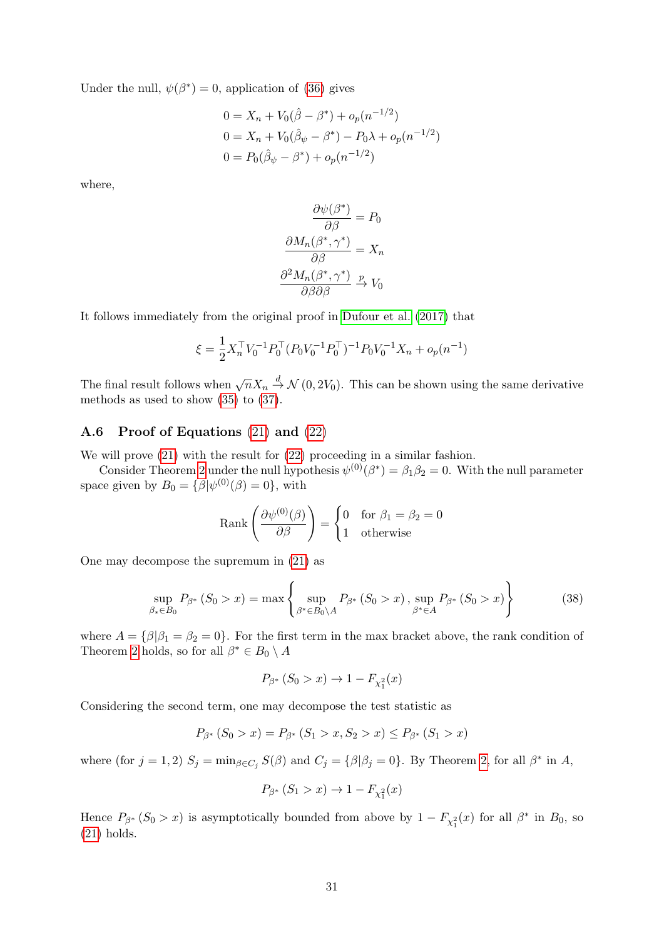Under the null,  $\psi(\beta^*) = 0$ , application of [\(36\)](#page-28-4) gives

$$
0 = X_n + V_0(\hat{\beta} - \beta^*) + o_p(n^{-1/2})
$$
  
\n
$$
0 = X_n + V_0(\hat{\beta}_\psi - \beta^*) - P_0\lambda + o_p(n^{-1/2})
$$
  
\n
$$
0 = P_0(\hat{\beta}_\psi - \beta^*) + o_p(n^{-1/2})
$$

where,

$$
\frac{\partial \psi(\beta^*)}{\partial \beta} = P_0
$$

$$
\frac{\partial M_n(\beta^*, \gamma^*)}{\partial \beta} = X_n
$$

$$
\frac{\partial^2 M_n(\beta^*, \gamma^*)}{\partial \beta \partial \beta} \xrightarrow{p} V_0
$$

It follows immediately from the original proof in [Dufour et al.](#page-22-5) [\(2017\)](#page-22-5) that

$$
\xi = \frac{1}{2} X_n^\top V_0^{-1} P_0^\top (P_0 V_0^{-1} P_0^\top)^{-1} P_0 V_0^{-1} X_n + o_p(n^{-1})
$$

The final result follows when  $\sqrt{n}X_n \stackrel{d}{\rightarrow} \mathcal{N}(0, 2V_0)$ . This can be shown using the same derivative methods as used to show [\(35\)](#page-28-0) to [\(37\)](#page-28-1).

## A.6 Proof of Equations [\(21\)](#page-9-1) and [\(22\)](#page-9-2)

We will prove [\(21\)](#page-9-1) with the result for [\(22\)](#page-9-2) proceeding in a similar fashion.

Consider Theorem [2](#page-8-0) under the null hypothesis  $\psi^{(0)}(\beta^*) = \beta_1 \beta_2 = 0$ . With the null parameter space given by  $B_0 = \{ \beta | \psi^{(0)}(\beta) = 0 \},\$  with

Rank 
$$
\left(\frac{\partial \psi^{(0)}(\beta)}{\partial \beta}\right) = \begin{cases} 0 & \text{for } \beta_1 = \beta_2 = 0 \\ 1 & \text{otherwise} \end{cases}
$$

One may decompose the supremum in [\(21\)](#page-9-1) as

$$
\sup_{\beta_* \in B_0} P_{\beta^*} (S_0 > x) = \max \left\{ \sup_{\beta^* \in B_0 \backslash A} P_{\beta^*} (S_0 > x), \sup_{\beta^* \in A} P_{\beta^*} (S_0 > x) \right\}
$$
(38)

where  $A = \{\beta | \beta_1 = \beta_2 = 0\}$ . For the first term in the max bracket above, the rank condition of Theorem [2](#page-8-0) holds, so for all  $\beta^* \in B_0 \setminus A$ 

$$
P_{\beta^*} (S_0 > x) \to 1 - F_{\chi_1^2}(x)
$$

Considering the second term, one may decompose the test statistic as

$$
P_{\beta^*} (S_0 > x) = P_{\beta^*} (S_1 > x, S_2 > x) \le P_{\beta^*} (S_1 > x)
$$

where (for  $j = 1, 2$ )  $S_j = \min_{\beta \in C_j} S(\beta)$  and  $C_j = {\beta | \beta_j = 0}$ . By Theorem [2,](#page-8-0) for all  $\beta^*$  in A,

$$
P_{\beta^*} (S_1 > x) \to 1 - F_{\chi_1^2}(x)
$$

Hence  $P_{\beta^*}(S_0 > x)$  is asymptotically bounded from above by  $1 - F_{\chi_1^2}(x)$  for all  $\beta^*$  in  $B_0$ , so [\(21\)](#page-9-1) holds.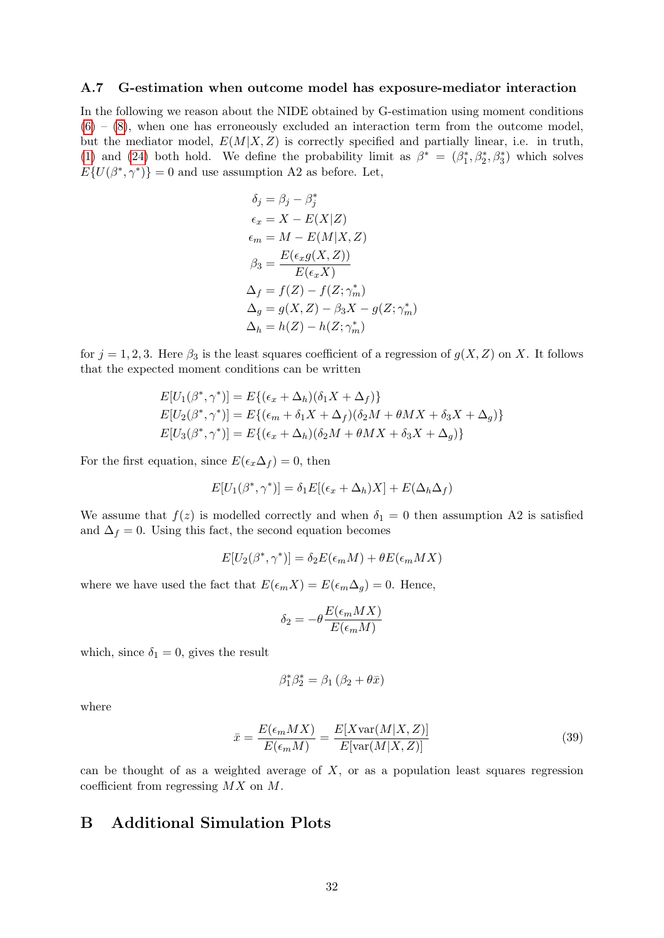#### A.7 G-estimation when outcome model has exposure-mediator interaction

In the following we reason about the NIDE obtained by G-estimation using moment conditions  $(6) - (8)$  $(6) - (8)$  $(6) - (8)$ , when one has erroneously excluded an interaction term from the outcome model, but the mediator model,  $E(M|X, Z)$  is correctly specified and partially linear, i.e. in truth, [\(1\)](#page-1-0) and [\(24\)](#page-19-3) both hold. We define the probability limit as  $\beta^* = (\beta_1^*, \beta_2^*, \beta_3^*)$  which solves  $E\{U(\beta^*,\gamma^*)\}=0$  and use assumption A2 as before. Let,

$$
\delta_j = \beta_j - \beta_j^*
$$
  
\n
$$
\epsilon_x = X - E(X|Z)
$$
  
\n
$$
\epsilon_m = M - E(M|X, Z)
$$
  
\n
$$
\beta_3 = \frac{E(\epsilon_x g(X, Z))}{E(\epsilon_x X)}
$$
  
\n
$$
\Delta_f = f(Z) - f(Z; \gamma_m^*)
$$
  
\n
$$
\Delta_g = g(X, Z) - \beta_3 X - g(Z; \gamma_m^*)
$$
  
\n
$$
\Delta_h = h(Z) - h(Z; \gamma_m^*)
$$

for  $j = 1, 2, 3$ . Here  $\beta_3$  is the least squares coefficient of a regression of  $g(X, Z)$  on X. It follows that the expected moment conditions can be written

$$
E[U_1(\beta^*, \gamma^*)] = E\{ (\epsilon_x + \Delta_h)(\delta_1 X + \Delta_f) \}
$$
  
\n
$$
E[U_2(\beta^*, \gamma^*)] = E\{ (\epsilon_m + \delta_1 X + \Delta_f)(\delta_2 M + \theta M X + \delta_3 X + \Delta_g) \}
$$
  
\n
$$
E[U_3(\beta^*, \gamma^*)] = E\{ (\epsilon_x + \Delta_h)(\delta_2 M + \theta M X + \delta_3 X + \Delta_g) \}
$$

For the first equation, since  $E(\epsilon_x \Delta_f) = 0$ , then

$$
E[U_1(\beta^*,\gamma^*)] = \delta_1 E[(\epsilon_x + \Delta_h)X] + E(\Delta_h \Delta_f)
$$

We assume that  $f(z)$  is modelled correctly and when  $\delta_1 = 0$  then assumption A2 is satisfied and  $\Delta_f = 0$ . Using this fact, the second equation becomes

$$
E[U_2(\beta^*, \gamma^*)] = \delta_2 E(\epsilon_m M) + \theta E(\epsilon_m M X)
$$

where we have used the fact that  $E(\epsilon_m X) = E(\epsilon_m \Delta_g) = 0$ . Hence,

$$
\delta_2 = -\theta \frac{E(\epsilon_m MX)}{E(\epsilon_mM)}
$$

which, since  $\delta_1 = 0$ , gives the result

$$
\beta_1^*\beta_2^*=\beta_1\left(\beta_2+\theta\bar{x}\right)
$$

where

$$
\bar{x} = \frac{E(\epsilon_m MX)}{E(\epsilon_mM)} = \frac{E[X\text{var}(M|X,Z)]}{E[\text{var}(M|X,Z)]}
$$
(39)

can be thought of as a weighted average of  $X$ , or as a population least squares regression coefficient from regressing MX on M.

## B Additional Simulation Plots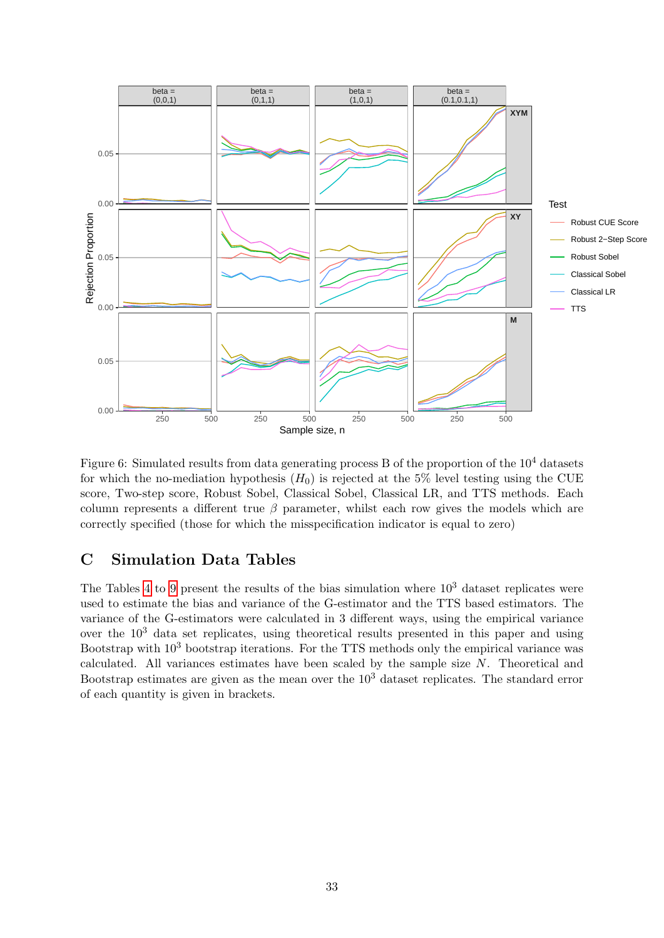

Figure 6: Simulated results from data generating process  $B$  of the proportion of the  $10<sup>4</sup>$  datasets for which the no-mediation hypothesis  $(H_0)$  is rejected at the 5% level testing using the CUE score, Two-step score, Robust Sobel, Classical Sobel, Classical LR, and TTS methods. Each column represents a different true  $\beta$  parameter, whilst each row gives the models which are correctly specified (those for which the misspecification indicator is equal to zero)

## C Simulation Data Tables

The Tables [4](#page-36-0) to [9](#page-41-0) present the results of the bias simulation where  $10<sup>3</sup>$  dataset replicates were used to estimate the bias and variance of the G-estimator and the TTS based estimators. The variance of the G-estimators were calculated in 3 different ways, using the empirical variance over the  $10<sup>3</sup>$  data set replicates, using theoretical results presented in this paper and using Bootstrap with  $10<sup>3</sup>$  bootstrap iterations. For the TTS methods only the empirical variance was calculated. All variances estimates have been scaled by the sample size N. Theoretical and Bootstrap estimates are given as the mean over the  $10<sup>3</sup>$  dataset replicates. The standard error of each quantity is given in brackets.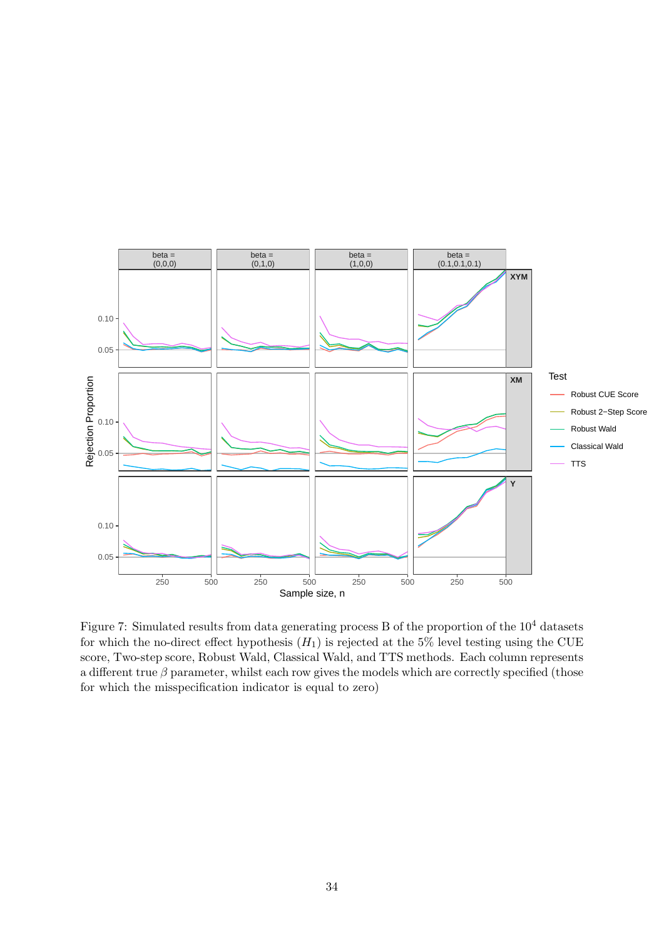

Figure 7: Simulated results from data generating process B of the proportion of the  $10^4$  datasets for which the no-direct effect hypothesis  $(H_1)$  is rejected at the 5% level testing using the CUE score, Two-step score, Robust Wald, Classical Wald, and TTS methods. Each column represents a different true  $\beta$  parameter, whilst each row gives the models which are correctly specified (those for which the misspecification indicator is equal to zero)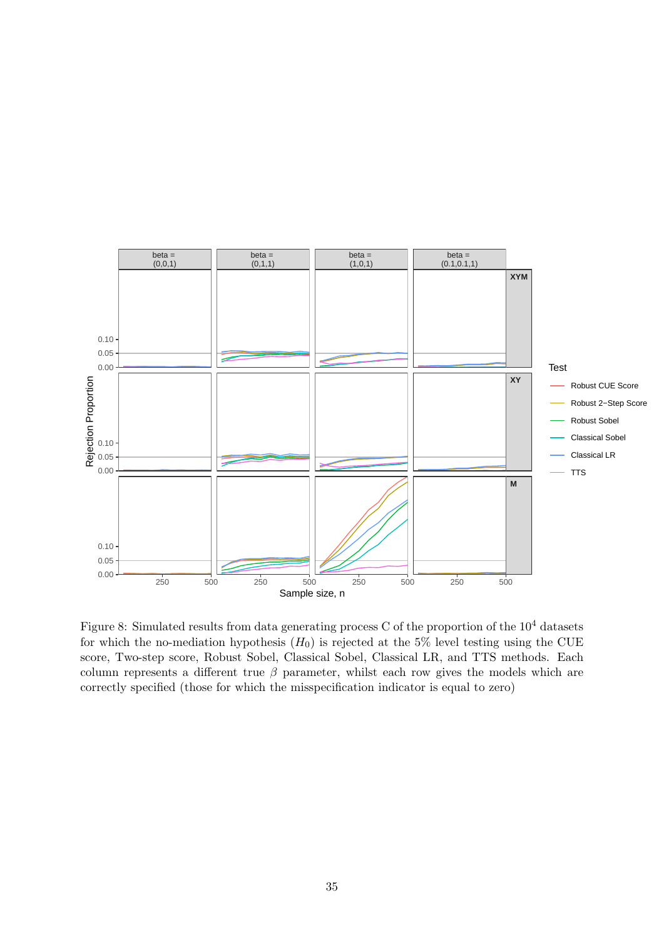

Figure 8: Simulated results from data generating process C of the proportion of the  $10^4$  datasets for which the no-mediation hypothesis  $(H_0)$  is rejected at the 5% level testing using the CUE score, Two-step score, Robust Sobel, Classical Sobel, Classical LR, and TTS methods. Each column represents a different true  $\beta$  parameter, whilst each row gives the models which are correctly specified (those for which the misspecification indicator is equal to zero)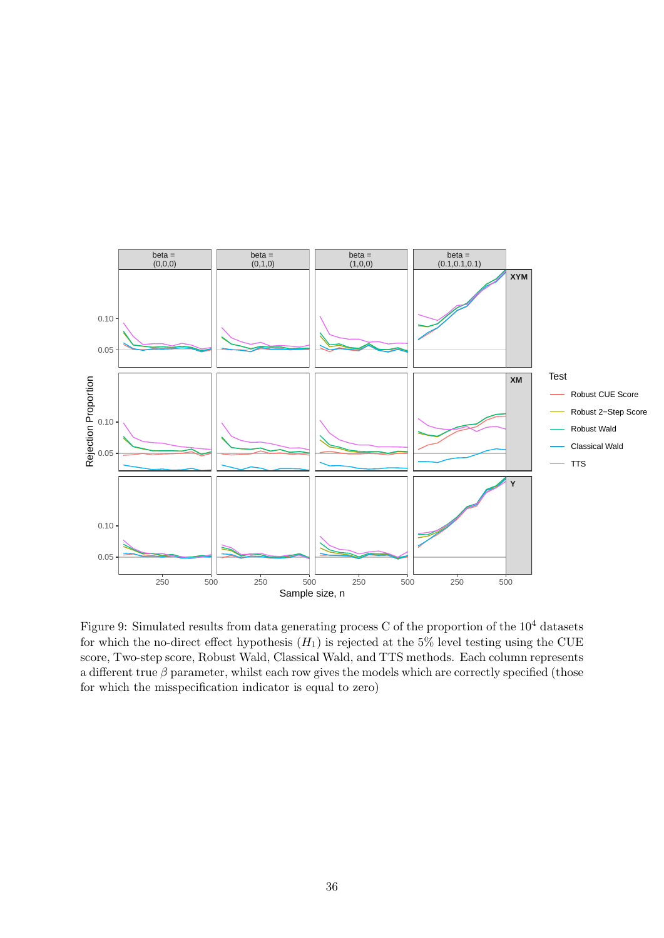

Figure 9: Simulated results from data generating process C of the proportion of the  $10^4$  datasets for which the no-direct effect hypothesis  $(H_1)$  is rejected at the 5% level testing using the CUE score, Two-step score, Robust Wald, Classical Wald, and TTS methods. Each column represents a different true  $\beta$  parameter, whilst each row gives the models which are correctly specified (those for which the misspecification indicator is equal to zero)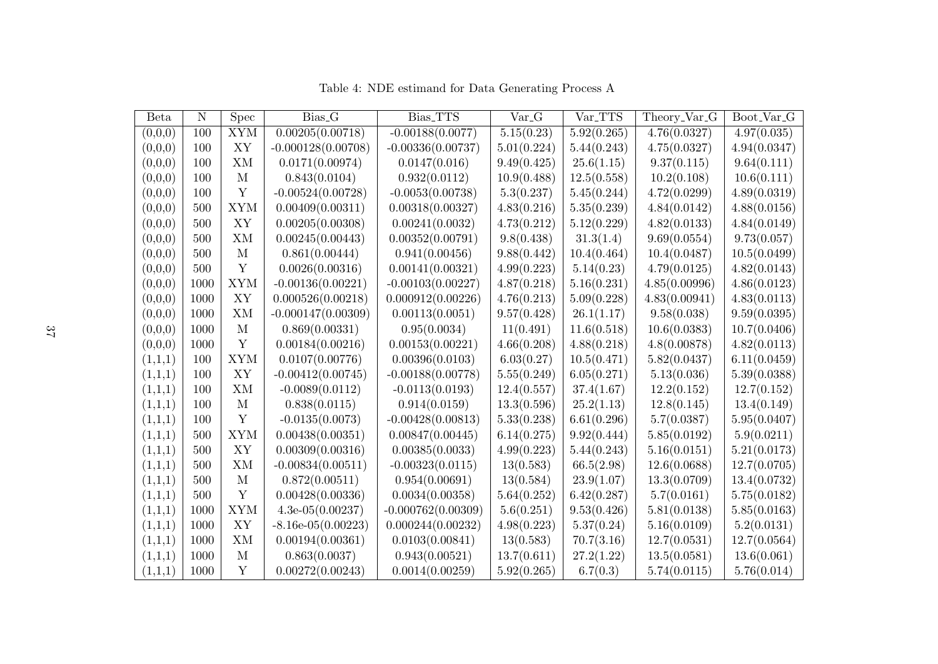<span id="page-36-0"></span>

| Beta    | $\mathbf N$ | <b>Spec</b> | Bias <sub>-G</sub>   | Bias_TTS             | Var <sub>-G</sub> | Var_TTS     | Theory_Var_G  | Boot_Var_G   |
|---------|-------------|-------------|----------------------|----------------------|-------------------|-------------|---------------|--------------|
| (0,0,0) | 100         | <b>XYM</b>  | 0.00205(0.00718)     | $-0.00188(0.0077)$   | 5.15(0.23)        | 5.92(0.265) | 4.76(0.0327)  | 4.97(0.035)  |
| (0,0,0) | 100         | XY          | $-0.000128(0.00708)$ | $-0.00336(0.00737)$  | 5.01(0.224)       | 5.44(0.243) | 4.75(0.0327)  | 4.94(0.0347) |
| (0,0,0) | 100         | XM          | 0.0171(0.00974)      | 0.0147(0.016)        | 9.49(0.425)       | 25.6(1.15)  | 9.37(0.115)   | 9.64(0.111)  |
| (0,0,0) | 100         | М           | 0.843(0.0104)        | 0.932(0.0112)        | 10.9(0.488)       | 12.5(0.558) | 10.2(0.108)   | 10.6(0.111)  |
| (0,0,0) | 100         | Y           | $-0.00524(0.00728)$  | $-0.0053(0.00738)$   | 5.3(0.237)        | 5.45(0.244) | 4.72(0.0299)  | 4.89(0.0319) |
| (0,0,0) | 500         | <b>XYM</b>  | 0.00409(0.00311)     | 0.00318(0.00327)     | 4.83(0.216)       | 5.35(0.239) | 4.84(0.0142)  | 4.88(0.0156) |
| (0,0,0) | 500         | XY          | 0.00205(0.00308)     | 0.00241(0.0032)      | 4.73(0.212)       | 5.12(0.229) | 4.82(0.0133)  | 4.84(0.0149) |
| (0,0,0) | 500         | XM          | 0.00245(0.00443)     | 0.00352(0.00791)     | 9.8(0.438)        | 31.3(1.4)   | 9.69(0.0554)  | 9.73(0.057)  |
| (0,0,0) | 500         | М           | 0.861(0.00444)       | 0.941(0.00456)       | 9.88(0.442)       | 10.4(0.464) | 10.4(0.0487)  | 10.5(0.0499) |
| (0,0,0) | 500         | Y           | 0.0026(0.00316)      | 0.00141(0.00321)     | 4.99(0.223)       | 5.14(0.23)  | 4.79(0.0125)  | 4.82(0.0143) |
| (0,0,0) | 1000        | <b>XYM</b>  | $-0.00136(0.00221)$  | $-0.00103(0.00227)$  | 4.87(0.218)       | 5.16(0.231) | 4.85(0.00996) | 4.86(0.0123) |
| (0,0,0) | 1000        | XY          | 0.000526(0.00218)    | 0.000912(0.00226)    | 4.76(0.213)       | 5.09(0.228) | 4.83(0.00941) | 4.83(0.0113) |
| (0,0,0) | 1000        | XM          | $-0.000147(0.00309)$ | 0.00113(0.0051)      | 9.57(0.428)       | 26.1(1.17)  | 9.58(0.038)   | 9.59(0.0395) |
| (0,0,0) | 1000        | М           | 0.869(0.00331)       | 0.95(0.0034)         | 11(0.491)         | 11.6(0.518) | 10.6(0.0383)  | 10.7(0.0406) |
| (0,0,0) | 1000        | Y           | 0.00184(0.00216)     | 0.00153(0.00221)     | 4.66(0.208)       | 4.88(0.218) | 4.8(0.00878)  | 4.82(0.0113) |
| (1,1,1) | 100         | <b>XYM</b>  | 0.0107(0.00776)      | 0.00396(0.0103)      | 6.03(0.27)        | 10.5(0.471) | 5.82(0.0437)  | 6.11(0.0459) |
| (1,1,1) | 100         | ${\bf XY}$  | $-0.00412(0.00745)$  | $-0.00188(0.00778)$  | 5.55(0.249)       | 6.05(0.271) | 5.13(0.036)   | 5.39(0.0388) |
| (1,1,1) | 100         | XM          | $-0.0089(0.0112)$    | $-0.0113(0.0193)$    | 12.4(0.557)       | 37.4(1.67)  | 12.2(0.152)   | 12.7(0.152)  |
| (1,1,1) | 100         | М           | 0.838(0.0115)        | 0.914(0.0159)        | 13.3(0.596)       | 25.2(1.13)  | 12.8(0.145)   | 13.4(0.149)  |
| (1,1,1) | 100         | Y           | $-0.0135(0.0073)$    | $-0.00428(0.00813)$  | 5.33(0.238)       | 6.61(0.296) | 5.7(0.0387)   | 5.95(0.0407) |
| (1,1,1) | 500         | <b>XYM</b>  | 0.00438(0.00351)     | 0.00847(0.00445)     | 6.14(0.275)       | 9.92(0.444) | 5.85(0.0192)  | 5.9(0.0211)  |
| (1,1,1) | 500         | XY          | 0.00309(0.00316)     | 0.00385(0.0033)      | 4.99(0.223)       | 5.44(0.243) | 5.16(0.0151)  | 5.21(0.0173) |
| (1,1,1) | 500         | XM          | $-0.00834(0.00511)$  | $-0.00323(0.0115)$   | 13(0.583)         | 66.5(2.98)  | 12.6(0.0688)  | 12.7(0.0705) |
| (1,1,1) | 500         | М           | 0.872(0.00511)       | 0.954(0.00691)       | 13(0.584)         | 23.9(1.07)  | 13.3(0.0709)  | 13.4(0.0732) |
| (1,1,1) | 500         | Y           | 0.00428(0.00336)     | 0.0034(0.00358)      | 5.64(0.252)       | 6.42(0.287) | 5.7(0.0161)   | 5.75(0.0182) |
| (1,1,1) | 1000        | <b>XYM</b>  | $4.3e-05(0.00237)$   | $-0.000762(0.00309)$ | 5.6(0.251)        | 9.53(0.426) | 5.81(0.0138)  | 5.85(0.0163) |
| (1,1,1) | 1000        | ${\bf XY}$  | $-8.16e-05(0.00223)$ | 0.000244(0.00232)    | 4.98(0.223)       | 5.37(0.24)  | 5.16(0.0109)  | 5.2(0.0131)  |
| (1,1,1) | 1000        | XM          | 0.00194(0.00361)     | 0.0103(0.00841)      | 13(0.583)         | 70.7(3.16)  | 12.7(0.0531)  | 12.7(0.0564) |
| (1,1,1) | 1000        | M           | 0.863(0.0037)        | 0.943(0.00521)       | 13.7(0.611)       | 27.2(1.22)  | 13.5(0.0581)  | 13.6(0.061)  |
| (1,1,1) | 1000        | Y           | 0.00272(0.00243)     | 0.0014(0.00259)      | 5.92(0.265)       | 6.7(0.3)    | 5.74(0.0115)  | 5.76(0.014)  |

Table 4: NDE estimand for Data Generating Process A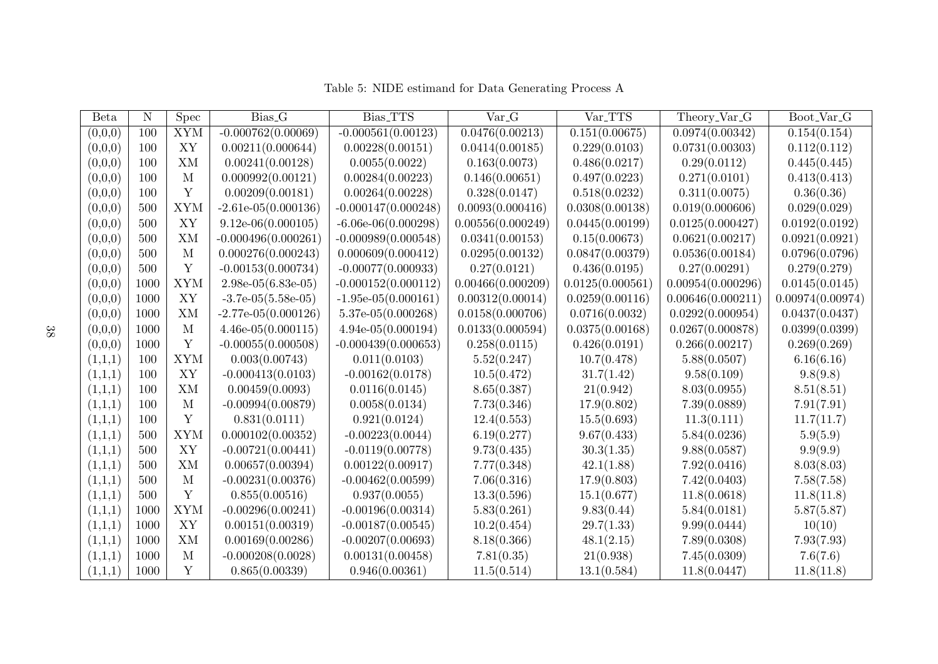| <b>Beta</b> | N    | <b>Spec</b> | Bias <sub>-G</sub>    | Bias_TTS              | Var <sub>-G</sub> | Var_TTS          | Theory_Var_G      | Boot_Var_G       |
|-------------|------|-------------|-----------------------|-----------------------|-------------------|------------------|-------------------|------------------|
| (0,0,0)     | 100  | <b>XYM</b>  | $-0.000762(0.00069)$  | $-0.000561(0.00123)$  | 0.0476(0.00213)   | 0.151(0.00675)   | 0.0974(0.00342)   | 0.154(0.154)     |
| (0,0,0)     | 100  | XY          | 0.00211(0.000644)     | 0.00228(0.00151)      | 0.0414(0.00185)   | 0.229(0.0103)    | 0.0731(0.00303)   | 0.112(0.112)     |
| (0,0,0)     | 100  | <b>XM</b>   | 0.00241(0.00128)      | 0.0055(0.0022)        | 0.163(0.0073)     | 0.486(0.0217)    | 0.29(0.0112)      | 0.445(0.445)     |
| (0,0,0)     | 100  | M           | 0.000992(0.00121)     | 0.00284(0.00223)      | 0.146(0.00651)    | 0.497(0.0223)    | 0.271(0.0101)     | 0.413(0.413)     |
| (0,0,0)     | 100  | Y           | 0.00209(0.00181)      | 0.00264(0.00228)      | 0.328(0.0147)     | 0.518(0.0232)    | 0.311(0.0075)     | 0.36(0.36)       |
| (0,0,0)     | 500  | <b>XYM</b>  | $-2.61e-05(0.000136)$ | $-0.000147(0.000248)$ | 0.0093(0.000416)  | 0.0308(0.00138)  | 0.019(0.000606)   | 0.029(0.029)     |
| (0,0,0)     | 500  | XY          | $9.12e-06(0.000105)$  | $-6.06e-06(0.000298)$ | 0.00556(0.000249) | 0.0445(0.00199)  | 0.0125(0.000427)  | 0.0192(0.0192)   |
| (0,0,0)     | 500  | XM          | $-0.000496(0.000261)$ | $-0.000989(0.000548)$ | 0.0341(0.00153)   | 0.15(0.00673)    | 0.0621(0.00217)   | 0.0921(0.0921)   |
| (0,0,0)     | 500  | M           | 0.000276(0.000243)    | 0.000609(0.000412)    | 0.0295(0.00132)   | 0.0847(0.00379)  | 0.0536(0.00184)   | 0.0796(0.0796)   |
| (0,0,0)     | 500  | Y           | $-0.00153(0.000734)$  | $-0.00077(0.000933)$  | 0.27(0.0121)      | 0.436(0.0195)    | 0.27(0.00291)     | 0.279(0.279)     |
| (0,0,0)     | 1000 | <b>XYM</b>  | $2.98e-05(6.83e-05)$  | $-0.000152(0.000112)$ | 0.00466(0.000209) | 0.0125(0.000561) | 0.00954(0.000296) | 0.0145(0.0145)   |
| (0,0,0)     | 1000 | XY          | $-3.7e-05(5.58e-05)$  | $-1.95e-05(0.000161)$ | 0.00312(0.00014)  | 0.0259(0.00116)  | 0.00646(0.000211) | 0.00974(0.00974) |
| (0,0,0)     | 1000 | XM          | $-2.77e-05(0.000126)$ | $5.37e-05(0.000268)$  | 0.0158(0.000706)  | 0.0716(0.0032)   | 0.0292(0.000954)  | 0.0437(0.0437)   |
| (0,0,0)     | 1000 | M           | $4.46e-05(0.000115)$  | $4.94e-05(0.000194)$  | 0.0133(0.000594)  | 0.0375(0.00168)  | 0.0267(0.000878)  | 0.0399(0.0399)   |
| (0,0,0)     | 1000 | Y           | $-0.00055(0.000508)$  | $-0.000439(0.000653)$ | 0.258(0.0115)     | 0.426(0.0191)    | 0.266(0.00217)    | 0.269(0.269)     |
| (1,1,1)     | 100  | <b>XYM</b>  | 0.003(0.00743)        | 0.011(0.0103)         | 5.52(0.247)       | 10.7(0.478)      | 5.88(0.0507)      | 6.16(6.16)       |
| (1,1,1)     | 100  | XY          | $-0.000413(0.0103)$   | $-0.00162(0.0178)$    | 10.5(0.472)       | 31.7(1.42)       | 9.58(0.109)       | 9.8(9.8)         |
| (1,1,1)     | 100  | <b>XM</b>   | 0.00459(0.0093)       | 0.0116(0.0145)        | 8.65(0.387)       | 21(0.942)        | 8.03(0.0955)      | 8.51(8.51)       |
| (1,1,1)     | 100  | M           | $-0.00994(0.00879)$   | 0.0058(0.0134)        | 7.73(0.346)       | 17.9(0.802)      | 7.39(0.0889)      | 7.91(7.91)       |
| (1,1,1)     | 100  | Y           | 0.831(0.0111)         | 0.921(0.0124)         | 12.4(0.553)       | 15.5(0.693)      | 11.3(0.111)       | 11.7(11.7)       |
| (1,1,1)     | 500  | <b>XYM</b>  | 0.000102(0.00352)     | $-0.00223(0.0044)$    | 6.19(0.277)       | 9.67(0.433)      | 5.84(0.0236)      | 5.9(5.9)         |
| (1,1,1)     | 500  | XY          | $-0.00721(0.00441)$   | $-0.0119(0.00778)$    | 9.73(0.435)       | 30.3(1.35)       | 9.88(0.0587)      | 9.9(9.9)         |
| (1,1,1)     | 500  | XM          | 0.00657(0.00394)      | 0.00122(0.00917)      | 7.77(0.348)       | 42.1(1.88)       | 7.92(0.0416)      | 8.03(8.03)       |
| (1,1,1)     | 500  | M           | $-0.00231(0.00376)$   | $-0.00462(0.00599)$   | 7.06(0.316)       | 17.9(0.803)      | 7.42(0.0403)      | 7.58(7.58)       |
| (1,1,1)     | 500  | Y           | 0.855(0.00516)        | 0.937(0.0055)         | 13.3(0.596)       | 15.1(0.677)      | 11.8(0.0618)      | 11.8(11.8)       |
| (1,1,1)     | 1000 | <b>XYM</b>  | $-0.00296(0.00241)$   | $-0.00196(0.00314)$   | 5.83(0.261)       | 9.83(0.44)       | 5.84(0.0181)      | 5.87(5.87)       |
| (1,1,1)     | 1000 | XY          | 0.00151(0.00319)      | $-0.00187(0.00545)$   | 10.2(0.454)       | 29.7(1.33)       | 9.99(0.0444)      | 10(10)           |
| (1,1,1)     | 1000 | <b>XM</b>   | 0.00169(0.00286)      | $-0.00207(0.00693)$   | 8.18(0.366)       | 48.1(2.15)       | 7.89(0.0308)      | 7.93(7.93)       |
| (1,1,1)     | 1000 | M           | $-0.000208(0.0028)$   | 0.00131(0.00458)      | 7.81(0.35)        | 21(0.938)        | 7.45(0.0309)      | 7.6(7.6)         |
| (1,1,1)     | 1000 | Y           | 0.865(0.00339)        | 0.946(0.00361)        | 11.5(0.514)       | 13.1(0.584)      | 11.8(0.0447)      | 11.8(11.8)       |

Table 5: NIDE estimand for Data Generating Process A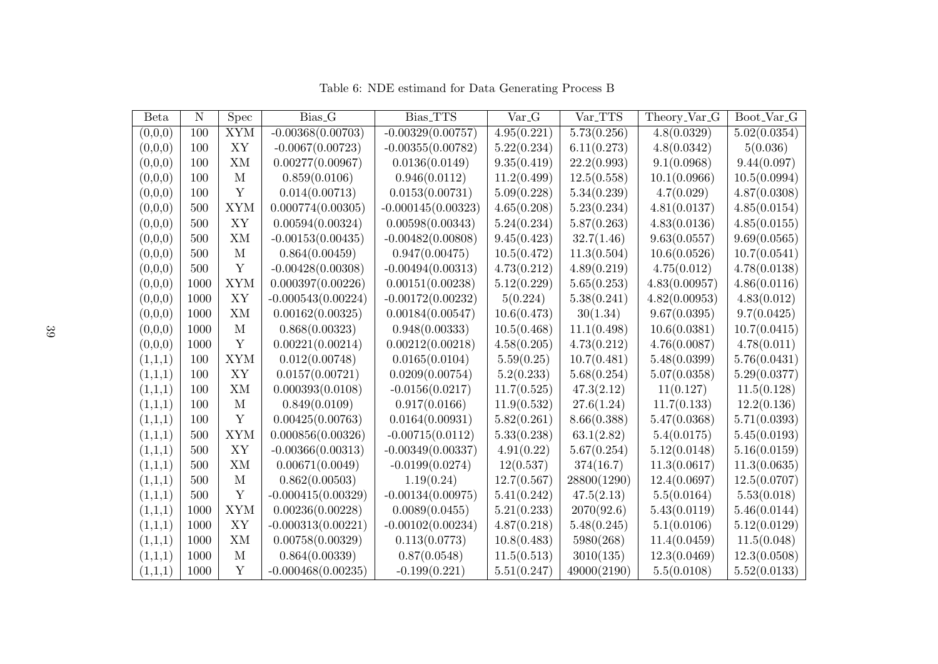| Beta    | $\mathbf N$ | Spec       | Bias <sub>-G</sub>   | Bias_TTS             | Var <sub>-G</sub> | Var_TTS     | Theory_Var_G  | Boot_Var_G   |
|---------|-------------|------------|----------------------|----------------------|-------------------|-------------|---------------|--------------|
| (0,0,0) | 100         | <b>XYM</b> | $-0.00368(0.00703)$  | $-0.00329(0.00757)$  | 4.95(0.221)       | 5.73(0.256) | 4.8(0.0329)   | 5.02(0.0354) |
| (0,0,0) | 100         | XY         | $-0.0067(0.00723)$   | $-0.00355(0.00782)$  | 5.22(0.234)       | 6.11(0.273) | 4.8(0.0342)   | 5(0.036)     |
| (0,0,0) | 100         | XM         | 0.00277(0.00967)     | 0.0136(0.0149)       | 9.35(0.419)       | 22.2(0.993) | 9.1(0.0968)   | 9.44(0.097)  |
| (0,0,0) | 100         | M          | 0.859(0.0106)        | 0.946(0.0112)        | 11.2(0.499)       | 12.5(0.558) | 10.1(0.0966)  | 10.5(0.0994) |
| (0,0,0) | 100         | Y          | 0.014(0.00713)       | 0.0153(0.00731)      | 5.09(0.228)       | 5.34(0.239) | 4.7(0.029)    | 4.87(0.0308) |
| (0,0,0) | 500         | <b>XYM</b> | 0.000774(0.00305)    | $-0.000145(0.00323)$ | 4.65(0.208)       | 5.23(0.234) | 4.81(0.0137)  | 4.85(0.0154) |
| (0,0,0) | 500         | XY         | 0.00594(0.00324)     | 0.00598(0.00343)     | 5.24(0.234)       | 5.87(0.263) | 4.83(0.0136)  | 4.85(0.0155) |
| (0,0,0) | 500         | XM         | $-0.00153(0.00435)$  | $-0.00482(0.00808)$  | 9.45(0.423)       | 32.7(1.46)  | 9.63(0.0557)  | 9.69(0.0565) |
| (0,0,0) | 500         | M          | 0.864(0.00459)       | 0.947(0.00475)       | 10.5(0.472)       | 11.3(0.504) | 10.6(0.0526)  | 10.7(0.0541) |
| (0,0,0) | 500         | Y          | $-0.00428(0.00308)$  | $-0.00494(0.00313)$  | 4.73(0.212)       | 4.89(0.219) | 4.75(0.012)   | 4.78(0.0138) |
| (0,0,0) | 1000        | <b>XYM</b> | 0.000397(0.00226)    | 0.00151(0.00238)     | 5.12(0.229)       | 5.65(0.253) | 4.83(0.00957) | 4.86(0.0116) |
| (0,0,0) | 1000        | XY         | $-0.000543(0.00224)$ | $-0.00172(0.00232)$  | 5(0.224)          | 5.38(0.241) | 4.82(0.00953) | 4.83(0.012)  |
| (0,0,0) | 1000        | XM         | 0.00162(0.00325)     | 0.00184(0.00547)     | 10.6(0.473)       | 30(1.34)    | 9.67(0.0395)  | 9.7(0.0425)  |
| (0,0,0) | 1000        | M          | 0.868(0.00323)       | 0.948(0.00333)       | 10.5(0.468)       | 11.1(0.498) | 10.6(0.0381)  | 10.7(0.0415) |
| (0,0,0) | 1000        | Y          | 0.00221(0.00214)     | 0.00212(0.00218)     | 4.58(0.205)       | 4.73(0.212) | 4.76(0.0087)  | 4.78(0.011)  |
| (1,1,1) | 100         | <b>XYM</b> | 0.012(0.00748)       | 0.0165(0.0104)       | 5.59(0.25)        | 10.7(0.481) | 5.48(0.0399)  | 5.76(0.0431) |
| (1,1,1) | 100         | XY         | 0.0157(0.00721)      | 0.0209(0.00754)      | 5.2(0.233)        | 5.68(0.254) | 5.07(0.0358)  | 5.29(0.0377) |
| (1,1,1) | 100         | XM         | 0.000393(0.0108)     | $-0.0156(0.0217)$    | 11.7(0.525)       | 47.3(2.12)  | 11(0.127)     | 11.5(0.128)  |
| (1,1,1) | 100         | M          | 0.849(0.0109)        | 0.917(0.0166)        | 11.9(0.532)       | 27.6(1.24)  | 11.7(0.133)   | 12.2(0.136)  |
| (1,1,1) | 100         | Y          | 0.00425(0.00763)     | 0.0164(0.00931)      | 5.82(0.261)       | 8.66(0.388) | 5.47(0.0368)  | 5.71(0.0393) |
| (1,1,1) | 500         | <b>XYM</b> | 0.000856(0.00326)    | $-0.00715(0.0112)$   | 5.33(0.238)       | 63.1(2.82)  | 5.4(0.0175)   | 5.45(0.0193) |
| (1,1,1) | 500         | XY         | $-0.00366(0.00313)$  | $-0.00349(0.00337)$  | 4.91(0.22)        | 5.67(0.254) | 5.12(0.0148)  | 5.16(0.0159) |
| (1,1,1) | 500         | ΧM         | 0.00671(0.0049)      | $-0.0199(0.0274)$    | 12(0.537)         | 374(16.7)   | 11.3(0.0617)  | 11.3(0.0635) |
| (1,1,1) | 500         | M          | 0.862(0.00503)       | 1.19(0.24)           | 12.7(0.567)       | 28800(1290) | 12.4(0.0697)  | 12.5(0.0707) |
| (1,1,1) | 500         | Y          | $-0.000415(0.00329)$ | $-0.00134(0.00975)$  | 5.41(0.242)       | 47.5(2.13)  | 5.5(0.0164)   | 5.53(0.018)  |
| (1,1,1) | 1000        | <b>XYM</b> | 0.00236(0.00228)     | 0.0089(0.0455)       | 5.21(0.233)       | 2070(92.6)  | 5.43(0.0119)  | 5.46(0.0144) |
| (1,1,1) | 1000        | ${\bf XY}$ | $-0.000313(0.00221)$ | $-0.00102(0.00234)$  | 4.87(0.218)       | 5.48(0.245) | 5.1(0.0106)   | 5.12(0.0129) |
| (1,1,1) | 1000        | XM         | 0.00758(0.00329)     | 0.113(0.0773)        | 10.8(0.483)       | 5980(268)   | 11.4(0.0459)  | 11.5(0.048)  |
| (1,1,1) | 1000        | M          | 0.864(0.00339)       | 0.87(0.0548)         | 11.5(0.513)       | 3010(135)   | 12.3(0.0469)  | 12.3(0.0508) |
| (1,1,1) | 1000        | Y          | $-0.000468(0.00235)$ | $-0.199(0.221)$      | 5.51(0.247)       | 49000(2190) | 5.5(0.0108)   | 5.52(0.0133) |

Table 6: NDE estimand for Data Generating Process B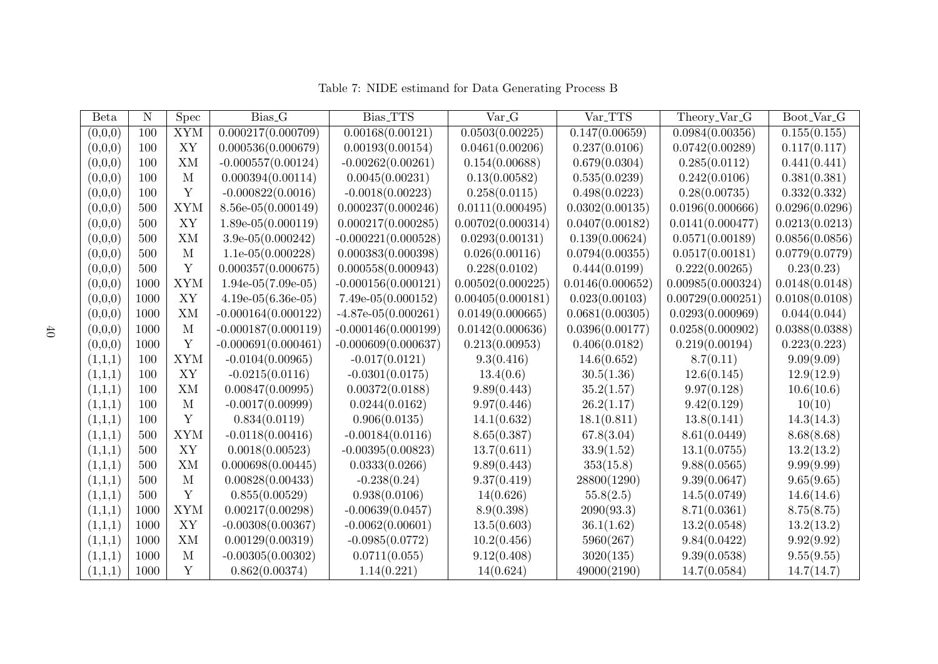| <b>B</b> eta | N    | <b>Spec</b>  | Bias <sub>-G</sub>    | Bias_TTS              | Var <sub>-G</sub> | Var_TTS          | Theory_Var_G      | Boot_Var_G     |
|--------------|------|--------------|-----------------------|-----------------------|-------------------|------------------|-------------------|----------------|
| (0,0,0)      | 100  | <b>XYM</b>   | 0.000217(0.000709)    | 0.00168(0.00121)      | 0.0503(0.00225)   | 0.147(0.00659)   | 0.0984(0.00356)   | 0.155(0.155)   |
| (0,0,0)      | 100  | XY           | 0.000536(0.000679)    | 0.00193(0.00154)      | 0.0461(0.00206)   | 0.237(0.0106)    | 0.0742(0.00289)   | 0.117(0.117)   |
| (0,0,0)      | 100  | XM           | $-0.000557(0.00124)$  | $-0.00262(0.00261)$   | 0.154(0.00688)    | 0.679(0.0304)    | 0.285(0.0112)     | 0.441(0.441)   |
| (0,0,0)      | 100  | $\mathbf{M}$ | 0.000394(0.00114)     | 0.0045(0.00231)       | 0.13(0.00582)     | 0.535(0.0239)    | 0.242(0.0106)     | 0.381(0.381)   |
| (0,0,0)      | 100  | Y            | $-0.000822(0.0016)$   | $-0.0018(0.00223)$    | 0.258(0.0115)     | 0.498(0.0223)    | 0.28(0.00735)     | 0.332(0.332)   |
| (0,0,0)      | 500  | <b>XYM</b>   | $8.56e-05(0.000149)$  | 0.000237(0.000246)    | 0.0111(0.000495)  | 0.0302(0.00135)  | 0.0196(0.000666)  | 0.0296(0.0296) |
| (0,0,0)      | 500  | XY           | $1.89e-05(0.000119)$  | 0.000217(0.000285)    | 0.00702(0.000314) | 0.0407(0.00182)  | 0.0141(0.000477)  | 0.0213(0.0213) |
| (0,0,0)      | 500  | XM           | $3.9e-05(0.000242)$   | $-0.000221(0.000528)$ | 0.0293(0.00131)   | 0.139(0.00624)   | 0.0571(0.00189)   | 0.0856(0.0856) |
| (0,0,0)      | 500  | $\mathbf{M}$ | $1.1e-05(0.000228)$   | 0.000383(0.000398)    | 0.026(0.00116)    | 0.0794(0.00355)  | 0.0517(0.00181)   | 0.0779(0.0779) |
| (0,0,0)      | 500  | Y            | 0.000357(0.000675)    | 0.000558(0.000943)    | 0.228(0.0102)     | 0.444(0.0199)    | 0.222(0.00265)    | 0.23(0.23)     |
| (0,0,0)      | 1000 | <b>XYM</b>   | $1.94e-05(7.09e-05)$  | $-0.000156(0.000121)$ | 0.00502(0.000225) | 0.0146(0.000652) | 0.00985(0.000324) | 0.0148(0.0148) |
| (0,0,0)      | 1000 | XY           | $4.19e-05(6.36e-05)$  | $7.49e-05(0.000152)$  | 0.00405(0.000181) | 0.023(0.00103)   | 0.00729(0.000251) | 0.0108(0.0108) |
| (0,0,0)      | 1000 | XM           | $-0.000164(0.000122)$ | $-4.87e-05(0.000261)$ | 0.0149(0.000665)  | 0.0681(0.00305)  | 0.0293(0.000969)  | 0.044(0.044)   |
| (0,0,0)      | 1000 | $\mathbf{M}$ | $-0.000187(0.000119)$ | $-0.000146(0.000199)$ | 0.0142(0.000636)  | 0.0396(0.00177)  | 0.0258(0.000902)  | 0.0388(0.0388) |
| (0,0,0)      | 1000 | Y            | $-0.000691(0.000461)$ | $-0.000609(0.000637)$ | 0.213(0.00953)    | 0.406(0.0182)    | 0.219(0.00194)    | 0.223(0.223)   |
| (1,1,1)      | 100  | <b>XYM</b>   | $-0.0104(0.00965)$    | $-0.017(0.0121)$      | 9.3(0.416)        | 14.6(0.652)      | 8.7(0.11)         | 9.09(9.09)     |
| (1,1,1)      | 100  | XY           | $-0.0215(0.0116)$     | $-0.0301(0.0175)$     | 13.4(0.6)         | 30.5(1.36)       | 12.6(0.145)       | 12.9(12.9)     |
| (1,1,1)      | 100  | XM           | 0.00847(0.00995)      | 0.00372(0.0188)       | 9.89(0.443)       | 35.2(1.57)       | 9.97(0.128)       | 10.6(10.6)     |
| (1,1,1)      | 100  | $\mathbf{M}$ | $-0.0017(0.00999)$    | 0.0244(0.0162)        | 9.97(0.446)       | 26.2(1.17)       | 9.42(0.129)       | 10(10)         |
| (1,1,1)      | 100  | Y            | 0.834(0.0119)         | 0.906(0.0135)         | 14.1(0.632)       | 18.1(0.811)      | 13.8(0.141)       | 14.3(14.3)     |
| (1,1,1)      | 500  | <b>XYM</b>   | $-0.0118(0.00416)$    | $-0.00184(0.0116)$    | 8.65(0.387)       | 67.8(3.04)       | 8.61(0.0449)      | 8.68(8.68)     |
| (1,1,1)      | 500  | XY           | 0.0018(0.00523)       | $-0.00395(0.00823)$   | 13.7(0.611)       | 33.9(1.52)       | 13.1(0.0755)      | 13.2(13.2)     |
| (1,1,1)      | 500  | XM           | 0.000698(0.00445)     | 0.0333(0.0266)        | 9.89(0.443)       | 353(15.8)        | 9.88(0.0565)      | 9.99(9.99)     |
| (1,1,1)      | 500  | M            | 0.00828(0.00433)      | $-0.238(0.24)$        | 9.37(0.419)       | 28800(1290)      | 9.39(0.0647)      | 9.65(9.65)     |
| (1,1,1)      | 500  | Y            | 0.855(0.00529)        | 0.938(0.0106)         | 14(0.626)         | 55.8(2.5)        | 14.5(0.0749)      | 14.6(14.6)     |
| (1,1,1)      | 1000 | <b>XYM</b>   | 0.00217(0.00298)      | $-0.00639(0.0457)$    | 8.9(0.398)        | 2090(93.3)       | 8.71(0.0361)      | 8.75(8.75)     |
| (1,1,1)      | 1000 | XY           | $-0.00308(0.00367)$   | $-0.0062(0.00601)$    | 13.5(0.603)       | 36.1(1.62)       | 13.2(0.0548)      | 13.2(13.2)     |
| (1,1,1)      | 1000 | XM           | 0.00129(0.00319)      | $-0.0985(0.0772)$     | 10.2(0.456)       | 5960(267)        | 9.84(0.0422)      | 9.92(9.92)     |
| (1,1,1)      | 1000 | M            | $-0.00305(0.00302)$   | 0.0711(0.055)         | 9.12(0.408)       | 3020(135)        | 9.39(0.0538)      | 9.55(9.55)     |
| (1,1,1)      | 1000 | Y            | 0.862(0.00374)        | 1.14(0.221)           | 14(0.624)         | 49000(2190)      | 14.7(0.0584)      | 14.7(14.7)     |

Table 7: NIDE estimand for Data Generating Process B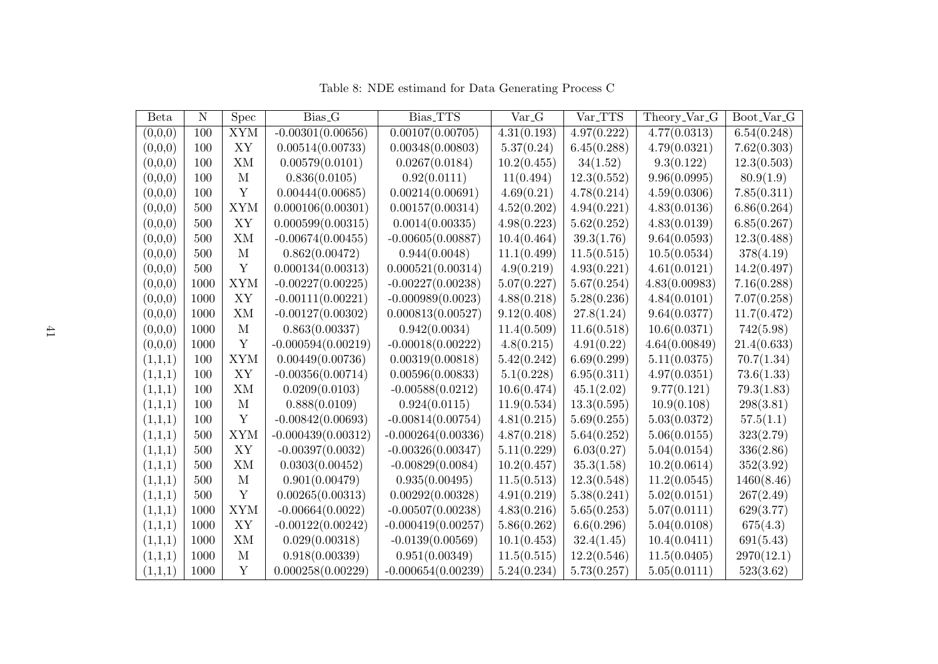| Beta    | $\mathbf N$ | <b>Spec</b>  | Bias <sub>-G</sub>   | Bias_TTS             | Var <sub>-G</sub> | Var_TTS     | Theory_Var_G  | Boot_Var_G  |
|---------|-------------|--------------|----------------------|----------------------|-------------------|-------------|---------------|-------------|
| (0,0,0) | 100         | <b>XYM</b>   | $-0.00301(0.00656)$  | 0.00107(0.00705)     | 4.31(0.193)       | 4.97(0.222) | 4.77(0.0313)  | 6.54(0.248) |
| (0,0,0) | 100         | XY           | 0.00514(0.00733)     | 0.00348(0.00803)     | 5.37(0.24)        | 6.45(0.288) | 4.79(0.0321)  | 7.62(0.303) |
| (0,0,0) | 100         | ΧM           | 0.00579(0.0101)      | 0.0267(0.0184)       | 10.2(0.455)       | 34(1.52)    | 9.3(0.122)    | 12.3(0.503) |
| (0,0,0) | 100         | М            | 0.836(0.0105)        | 0.92(0.0111)         | 11(0.494)         | 12.3(0.552) | 9.96(0.0995)  | 80.9(1.9)   |
| (0,0,0) | 100         | Y            | 0.00444(0.00685)     | 0.00214(0.00691)     | 4.69(0.21)        | 4.78(0.214) | 4.59(0.0306)  | 7.85(0.311) |
| (0,0,0) | 500         | <b>XYM</b>   | 0.000106(0.00301)    | 0.00157(0.00314)     | 4.52(0.202)       | 4.94(0.221) | 4.83(0.0136)  | 6.86(0.264) |
| (0,0,0) | 500         | XY           | 0.000599(0.00315)    | 0.0014(0.00335)      | 4.98(0.223)       | 5.62(0.252) | 4.83(0.0139)  | 6.85(0.267) |
| (0,0,0) | 500         | XM           | $-0.00674(0.00455)$  | $-0.00605(0.00887)$  | 10.4(0.464)       | 39.3(1.76)  | 9.64(0.0593)  | 12.3(0.488) |
| (0,0,0) | 500         | $\mathbf{M}$ | 0.862(0.00472)       | 0.944(0.0048)        | 11.1(0.499)       | 11.5(0.515) | 10.5(0.0534)  | 378(4.19)   |
| (0,0,0) | 500         | Y            | 0.000134(0.00313)    | 0.000521(0.00314)    | 4.9(0.219)        | 4.93(0.221) | 4.61(0.0121)  | 14.2(0.497) |
| (0,0,0) | 1000        | <b>XYM</b>   | $-0.00227(0.00225)$  | $-0.00227(0.00238)$  | 5.07(0.227)       | 5.67(0.254) | 4.83(0.00983) | 7.16(0.288) |
| (0,0,0) | 1000        | XY           | $-0.00111(0.00221)$  | $-0.000989(0.0023)$  | 4.88(0.218)       | 5.28(0.236) | 4.84(0.0101)  | 7.07(0.258) |
| (0,0,0) | 1000        | XM           | $-0.00127(0.00302)$  | 0.000813(0.00527)    | 9.12(0.408)       | 27.8(1.24)  | 9.64(0.0377)  | 11.7(0.472) |
| (0,0,0) | 1000        | М            | 0.863(0.00337)       | 0.942(0.0034)        | 11.4(0.509)       | 11.6(0.518) | 10.6(0.0371)  | 742(5.98)   |
| (0,0,0) | 1000        | Y            | $-0.000594(0.00219)$ | $-0.00018(0.00222)$  | 4.8(0.215)        | 4.91(0.22)  | 4.64(0.00849) | 21.4(0.633) |
| (1,1,1) | 100         | <b>XYM</b>   | 0.00449(0.00736)     | 0.00319(0.00818)     | 5.42(0.242)       | 6.69(0.299) | 5.11(0.0375)  | 70.7(1.34)  |
| (1,1,1) | 100         | XY           | $-0.00356(0.00714)$  | 0.00596(0.00833)     | 5.1(0.228)        | 6.95(0.311) | 4.97(0.0351)  | 73.6(1.33)  |
| (1,1,1) | 100         | ΧM           | 0.0209(0.0103)       | $-0.00588(0.0212)$   | 10.6(0.474)       | 45.1(2.02)  | 9.77(0.121)   | 79.3(1.83)  |
| (1,1,1) | 100         | M            | 0.888(0.0109)        | 0.924(0.0115)        | 11.9(0.534)       | 13.3(0.595) | 10.9(0.108)   | 298(3.81)   |
| (1,1,1) | 100         | Y            | $-0.00842(0.00693)$  | $-0.00814(0.00754)$  | 4.81(0.215)       | 5.69(0.255) | 5.03(0.0372)  | 57.5(1.1)   |
| (1,1,1) | 500         | <b>XYM</b>   | $-0.000439(0.00312)$ | $-0.000264(0.00336)$ | 4.87(0.218)       | 5.64(0.252) | 5.06(0.0155)  | 323(2.79)   |
| (1,1,1) | 500         | XY           | $-0.00397(0.0032)$   | $-0.00326(0.00347)$  | 5.11(0.229)       | 6.03(0.27)  | 5.04(0.0154)  | 336(2.86)   |
| (1,1,1) | 500         | ΧM           | 0.0303(0.00452)      | $-0.00829(0.0084)$   | 10.2(0.457)       | 35.3(1.58)  | 10.2(0.0614)  | 352(3.92)   |
| (1,1,1) | 500         | M            | 0.901(0.00479)       | 0.935(0.00495)       | 11.5(0.513)       | 12.3(0.548) | 11.2(0.0545)  | 1460(8.46)  |
| (1,1,1) | 500         | Y            | 0.00265(0.00313)     | 0.00292(0.00328)     | 4.91(0.219)       | 5.38(0.241) | 5.02(0.0151)  | 267(2.49)   |
| (1,1,1) | 1000        | <b>XYM</b>   | $-0.00664(0.0022)$   | $-0.00507(0.00238)$  | 4.83(0.216)       | 5.65(0.253) | 5.07(0.0111)  | 629(3.77)   |
| (1,1,1) | 1000        | ${\bf XY}$   | $-0.00122(0.00242)$  | $-0.000419(0.00257)$ | 5.86(0.262)       | 6.6(0.296)  | 5.04(0.0108)  | 675(4.3)    |
| (1,1,1) | 1000        | XM           | 0.029(0.00318)       | $-0.0139(0.00569)$   | 10.1(0.453)       | 32.4(1.45)  | 10.4(0.0411)  | 691(5.43)   |
| (1,1,1) | 1000        | M            | 0.918(0.00339)       | 0.951(0.00349)       | 11.5(0.515)       | 12.2(0.546) | 11.5(0.0405)  | 2970(12.1)  |
| (1,1,1) | 1000        | Y            | 0.000258(0.00229)    | $-0.000654(0.00239)$ | 5.24(0.234)       | 5.73(0.257) | 5.05(0.0111)  | 523(3.62)   |

Table 8: NDE estimand for Data Generating Process C